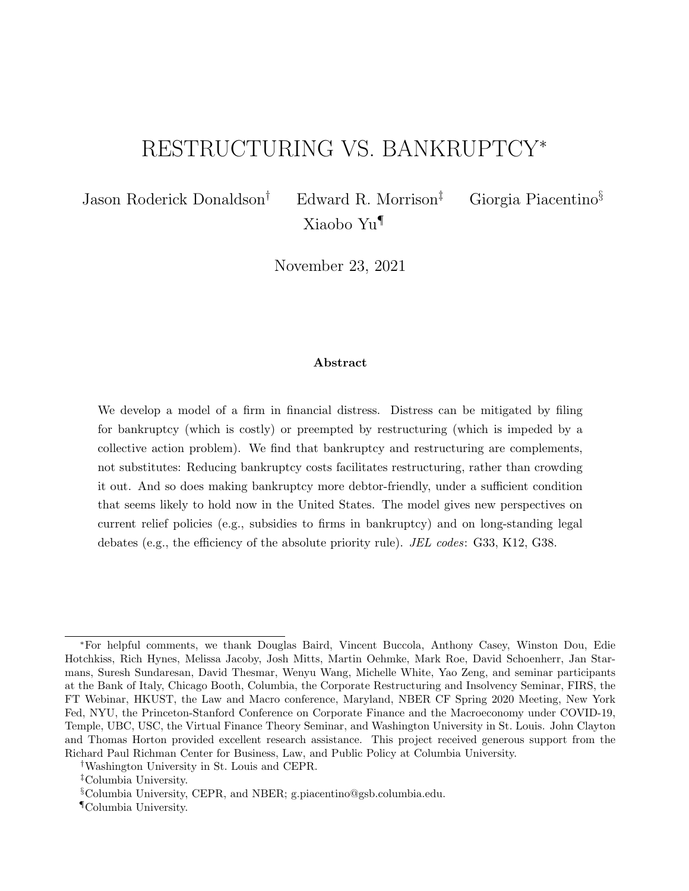# RESTRUCTURING VS. BANKRUPTCY<sup>∗</sup>

Jason Roderick Donaldson† Edward R. Morrison‡ Giorgia Piacentino§

November 23, 2021

Xiaobo Yu¶

### Abstract

We develop a model of a firm in financial distress. Distress can be mitigated by filing for bankruptcy (which is costly) or preempted by restructuring (which is impeded by a collective action problem). We find that bankruptcy and restructuring are complements, not substitutes: Reducing bankruptcy costs facilitates restructuring, rather than crowding it out. And so does making bankruptcy more debtor-friendly, under a sufficient condition that seems likely to hold now in the United States. The model gives new perspectives on current relief policies (e.g., subsidies to firms in bankruptcy) and on long-standing legal debates (e.g., the efficiency of the absolute priority rule). JEL codes: G33, K12, G38.

<sup>∗</sup>For helpful comments, we thank Douglas Baird, Vincent Buccola, Anthony Casey, Winston Dou, Edie Hotchkiss, Rich Hynes, Melissa Jacoby, Josh Mitts, Martin Oehmke, Mark Roe, David Schoenherr, Jan Starmans, Suresh Sundaresan, David Thesmar, Wenyu Wang, Michelle White, Yao Zeng, and seminar participants at the Bank of Italy, Chicago Booth, Columbia, the Corporate Restructuring and Insolvency Seminar, FIRS, the FT Webinar, HKUST, the Law and Macro conference, Maryland, NBER CF Spring 2020 Meeting, New York Fed, NYU, the Princeton-Stanford Conference on Corporate Finance and the Macroeconomy under COVID-19, Temple, UBC, USC, the Virtual Finance Theory Seminar, and Washington University in St. Louis. John Clayton and Thomas Horton provided excellent research assistance. This project received generous support from the Richard Paul Richman Center for Business, Law, and Public Policy at Columbia University.

<sup>†</sup>Washington University in St. Louis and CEPR.

<sup>‡</sup>Columbia University.

<sup>§</sup>Columbia University, CEPR, and NBER; g.piacentino@gsb.columbia.edu.

<sup>¶</sup>Columbia University.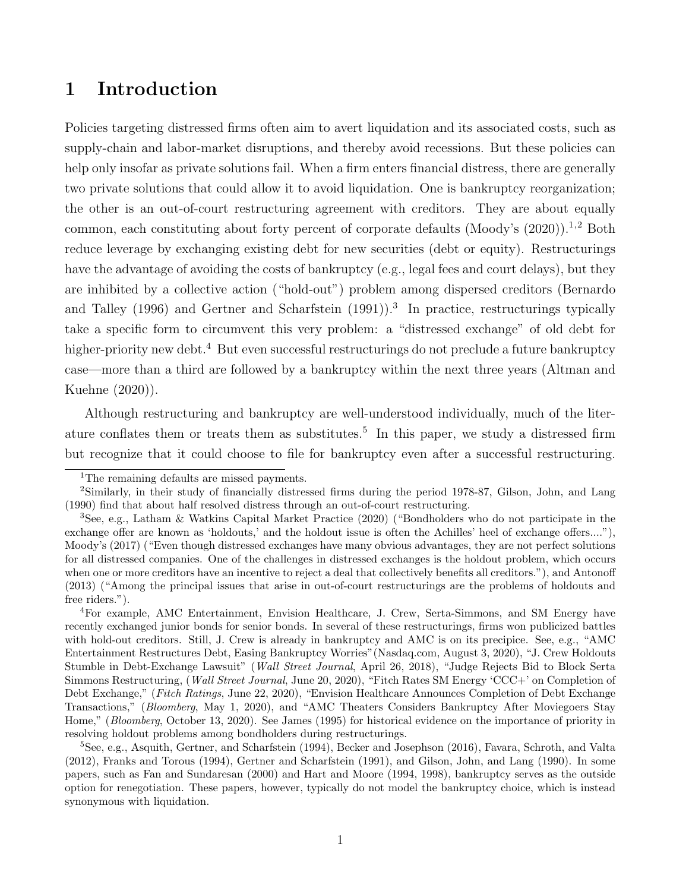# 1 Introduction

Policies targeting distressed firms often aim to avert liquidation and its associated costs, such as supply-chain and labor-market disruptions, and thereby avoid recessions. But these policies can help only insofar as private solutions fail. When a firm enters financial distress, there are generally two private solutions that could allow it to avoid liquidation. One is bankruptcy reorganization; the other is an out-of-court restructuring agreement with creditors. They are about equally common, each constituting about forty percent of corporate defaults (Moody's  $(2020)$ ).<sup>1,2</sup> Both reduce leverage by exchanging existing debt for new securities (debt or equity). Restructurings have the advantage of avoiding the costs of bankruptcy (e.g., legal fees and court delays), but they are inhibited by a collective action ("hold-out") problem among dispersed creditors (Bernardo and Talley (1996) and Gertner and Scharfstein (1991)).<sup>3</sup> In practice, restructurings typically take a specific form to circumvent this very problem: a "distressed exchange" of old debt for higher-priority new debt.<sup>4</sup> But even successful restructurings do not preclude a future bankruptcy case—more than a third are followed by a bankruptcy within the next three years (Altman and Kuehne (2020)).

Although restructuring and bankruptcy are well-understood individually, much of the literature conflates them or treats them as substitutes.<sup>5</sup> In this paper, we study a distressed firm but recognize that it could choose to file for bankruptcy even after a successful restructuring.

<sup>&</sup>lt;sup>1</sup>The remaining defaults are missed payments.

<sup>2</sup>Similarly, in their study of financially distressed firms during the period 1978-87, Gilson, John, and Lang (1990) find that about half resolved distress through an out-of-court restructuring.

<sup>3</sup>See, e.g., Latham & Watkins Capital Market Practice (2020) ("Bondholders who do not participate in the exchange offer are known as 'holdouts,' and the holdout issue is often the Achilles' heel of exchange offers...."), Moody's (2017) ("Even though distressed exchanges have many obvious advantages, they are not perfect solutions for all distressed companies. One of the challenges in distressed exchanges is the holdout problem, which occurs when one or more creditors have an incentive to reject a deal that collectively benefits all creditors."), and Antonoff (2013) ("Among the principal issues that arise in out-of-court restructurings are the problems of holdouts and free riders.").

<sup>4</sup>For example, AMC Entertainment, Envision Healthcare, J. Crew, Serta-Simmons, and SM Energy have recently exchanged junior bonds for senior bonds. In several of these restructurings, firms won publicized battles with hold-out creditors. Still, J. Crew is already in bankruptcy and AMC is on its precipice. See, e.g., "AMC Entertainment Restructures Debt, Easing Bankruptcy Worries"(Nasdaq.com, August 3, 2020), "J. Crew Holdouts Stumble in Debt-Exchange Lawsuit" (Wall Street Journal, April 26, 2018), "Judge Rejects Bid to Block Serta Simmons Restructuring, (Wall Street Journal, June 20, 2020), "Fitch Rates SM Energy 'CCC+' on Completion of Debt Exchange," (Fitch Ratings, June 22, 2020), "Envision Healthcare Announces Completion of Debt Exchange Transactions," (Bloomberg, May 1, 2020), and "AMC Theaters Considers Bankruptcy After Moviegoers Stay Home," (Bloomberg, October 13, 2020). See James (1995) for historical evidence on the importance of priority in resolving holdout problems among bondholders during restructurings.

<sup>5</sup>See, e.g., Asquith, Gertner, and Scharfstein (1994), Becker and Josephson (2016), Favara, Schroth, and Valta (2012), Franks and Torous (1994), Gertner and Scharfstein (1991), and Gilson, John, and Lang (1990). In some papers, such as Fan and Sundaresan (2000) and Hart and Moore (1994, 1998), bankruptcy serves as the outside option for renegotiation. These papers, however, typically do not model the bankruptcy choice, which is instead synonymous with liquidation.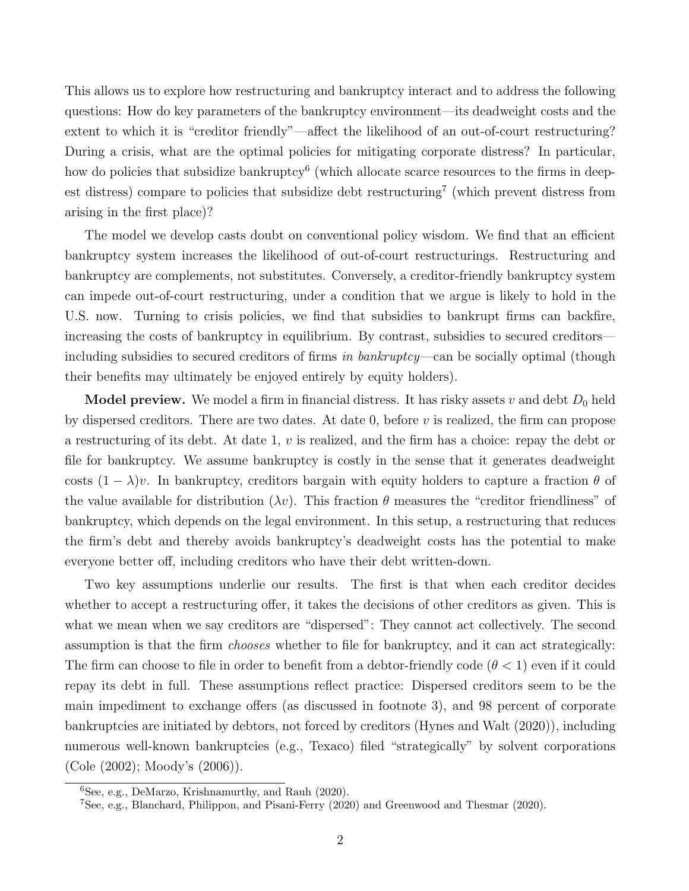This allows us to explore how restructuring and bankruptcy interact and to address the following questions: How do key parameters of the bankruptcy environment—its deadweight costs and the extent to which it is "creditor friendly"—affect the likelihood of an out-of-court restructuring? During a crisis, what are the optimal policies for mitigating corporate distress? In particular, how do policies that subsidize bankruptcy<sup>6</sup> (which allocate scarce resources to the firms in deepest distress) compare to policies that subsidize debt restructuring<sup>7</sup> (which prevent distress from arising in the first place)?

The model we develop casts doubt on conventional policy wisdom. We find that an efficient bankruptcy system increases the likelihood of out-of-court restructurings. Restructuring and bankruptcy are complements, not substitutes. Conversely, a creditor-friendly bankruptcy system can impede out-of-court restructuring, under a condition that we argue is likely to hold in the U.S. now. Turning to crisis policies, we find that subsidies to bankrupt firms can backfire, increasing the costs of bankruptcy in equilibrium. By contrast, subsidies to secured creditors including subsidies to secured creditors of firms in bankruptcy—can be socially optimal (though their benefits may ultimately be enjoyed entirely by equity holders).

**Model preview.** We model a firm in financial distress. It has risky assets v and debt  $D_0$  held by dispersed creditors. There are two dates. At date 0, before  $v$  is realized, the firm can propose a restructuring of its debt. At date 1,  $v$  is realized, and the firm has a choice: repay the debt or file for bankruptcy. We assume bankruptcy is costly in the sense that it generates deadweight costs  $(1 - \lambda)v$ . In bankruptcy, creditors bargain with equity holders to capture a fraction  $\theta$  of the value available for distribution  $(\lambda v)$ . This fraction  $\theta$  measures the "creditor friendliness" of bankruptcy, which depends on the legal environment. In this setup, a restructuring that reduces the firm's debt and thereby avoids bankruptcy's deadweight costs has the potential to make everyone better off, including creditors who have their debt written-down.

Two key assumptions underlie our results. The first is that when each creditor decides whether to accept a restructuring offer, it takes the decisions of other creditors as given. This is what we mean when we say creditors are "dispersed": They cannot act collectively. The second assumption is that the firm chooses whether to file for bankruptcy, and it can act strategically: The firm can choose to file in order to benefit from a debtor-friendly code  $(\theta < 1)$  even if it could repay its debt in full. These assumptions reflect practice: Dispersed creditors seem to be the main impediment to exchange offers (as discussed in footnote 3), and 98 percent of corporate bankruptcies are initiated by debtors, not forced by creditors (Hynes and Walt (2020)), including numerous well-known bankruptcies (e.g., Texaco) filed "strategically" by solvent corporations (Cole (2002); Moody's (2006)).

<sup>6</sup>See, e.g., DeMarzo, Krishnamurthy, and Rauh (2020).

<sup>7</sup>See, e.g., Blanchard, Philippon, and Pisani-Ferry (2020) and Greenwood and Thesmar (2020).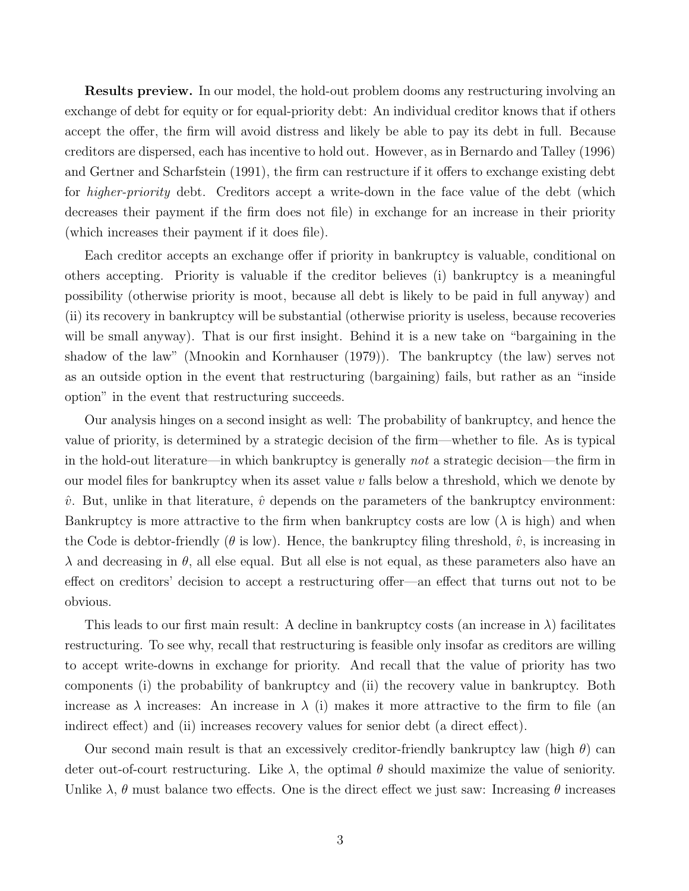Results preview. In our model, the hold-out problem dooms any restructuring involving an exchange of debt for equity or for equal-priority debt: An individual creditor knows that if others accept the offer, the firm will avoid distress and likely be able to pay its debt in full. Because creditors are dispersed, each has incentive to hold out. However, as in Bernardo and Talley (1996) and Gertner and Scharfstein (1991), the firm can restructure if it offers to exchange existing debt for higher-priority debt. Creditors accept a write-down in the face value of the debt (which decreases their payment if the firm does not file) in exchange for an increase in their priority (which increases their payment if it does file).

Each creditor accepts an exchange offer if priority in bankruptcy is valuable, conditional on others accepting. Priority is valuable if the creditor believes (i) bankruptcy is a meaningful possibility (otherwise priority is moot, because all debt is likely to be paid in full anyway) and (ii) its recovery in bankruptcy will be substantial (otherwise priority is useless, because recoveries will be small anyway). That is our first insight. Behind it is a new take on "bargaining in the shadow of the law" (Mnookin and Kornhauser (1979)). The bankruptcy (the law) serves not as an outside option in the event that restructuring (bargaining) fails, but rather as an "inside option" in the event that restructuring succeeds.

Our analysis hinges on a second insight as well: The probability of bankruptcy, and hence the value of priority, is determined by a strategic decision of the firm—whether to file. As is typical in the hold-out literature—in which bankruptcy is generally not a strategic decision—the firm in our model files for bankruptcy when its asset value  $v$  falls below a threshold, which we denote by  $\hat{v}$ . But, unlike in that literature,  $\hat{v}$  depends on the parameters of the bankruptcy environment: Bankruptcy is more attractive to the firm when bankruptcy costs are low  $(\lambda)$  is high) and when the Code is debtor-friendly ( $\theta$  is low). Hence, the bankruptcy filing threshold,  $\hat{v}$ , is increasing in  $\lambda$  and decreasing in  $\theta$ , all else equal. But all else is not equal, as these parameters also have an effect on creditors' decision to accept a restructuring offer—an effect that turns out not to be obvious.

This leads to our first main result: A decline in bankruptcy costs (an increase in  $\lambda$ ) facilitates restructuring. To see why, recall that restructuring is feasible only insofar as creditors are willing to accept write-downs in exchange for priority. And recall that the value of priority has two components (i) the probability of bankruptcy and (ii) the recovery value in bankruptcy. Both increase as  $\lambda$  increases: An increase in  $\lambda$  (i) makes it more attractive to the firm to file (an indirect effect) and (ii) increases recovery values for senior debt (a direct effect).

Our second main result is that an excessively creditor-friendly bankruptcy law (high  $\theta$ ) can deter out-of-court restructuring. Like  $\lambda$ , the optimal  $\theta$  should maximize the value of seniority. Unlike  $\lambda$ ,  $\theta$  must balance two effects. One is the direct effect we just saw: Increasing  $\theta$  increases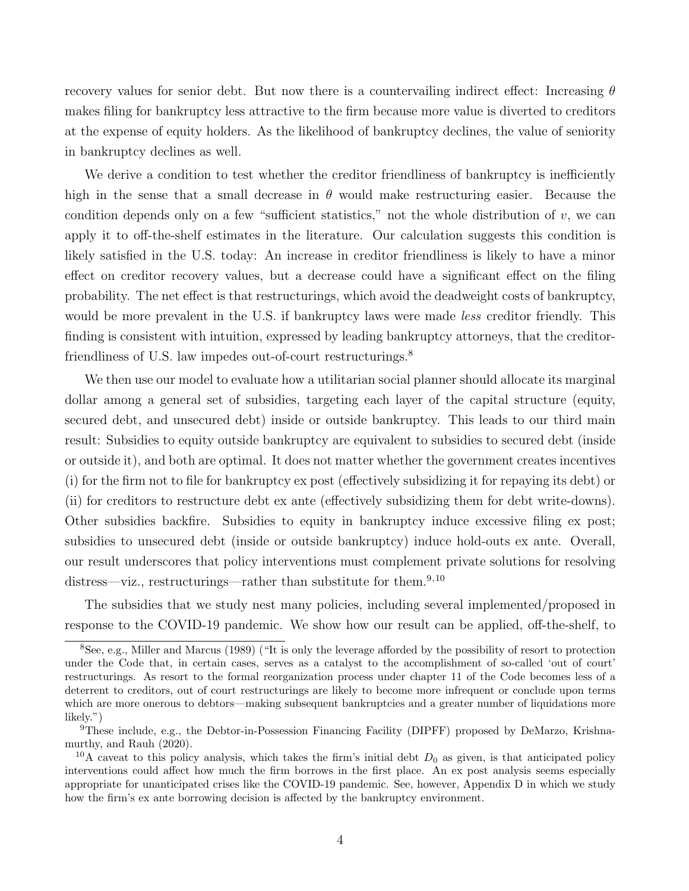recovery values for senior debt. But now there is a countervailing indirect effect: Increasing  $\theta$ makes filing for bankruptcy less attractive to the firm because more value is diverted to creditors at the expense of equity holders. As the likelihood of bankruptcy declines, the value of seniority in bankruptcy declines as well.

We derive a condition to test whether the creditor friendliness of bankruptcy is inefficiently high in the sense that a small decrease in  $\theta$  would make restructuring easier. Because the condition depends only on a few "sufficient statistics," not the whole distribution of  $v$ , we can apply it to off-the-shelf estimates in the literature. Our calculation suggests this condition is likely satisfied in the U.S. today: An increase in creditor friendliness is likely to have a minor effect on creditor recovery values, but a decrease could have a significant effect on the filing probability. The net effect is that restructurings, which avoid the deadweight costs of bankruptcy, would be more prevalent in the U.S. if bankruptcy laws were made less creditor friendly. This finding is consistent with intuition, expressed by leading bankruptcy attorneys, that the creditorfriendliness of U.S. law impedes out-of-court restructurings.<sup>8</sup>

We then use our model to evaluate how a utilitarian social planner should allocate its marginal dollar among a general set of subsidies, targeting each layer of the capital structure (equity, secured debt, and unsecured debt) inside or outside bankruptcy. This leads to our third main result: Subsidies to equity outside bankruptcy are equivalent to subsidies to secured debt (inside or outside it), and both are optimal. It does not matter whether the government creates incentives (i) for the firm not to file for bankruptcy ex post (effectively subsidizing it for repaying its debt) or (ii) for creditors to restructure debt ex ante (effectively subsidizing them for debt write-downs). Other subsidies backfire. Subsidies to equity in bankruptcy induce excessive filing ex post; subsidies to unsecured debt (inside or outside bankruptcy) induce hold-outs ex ante. Overall, our result underscores that policy interventions must complement private solutions for resolving distress—viz., restructurings—rather than substitute for them.<sup>9,10</sup>

The subsidies that we study nest many policies, including several implemented/proposed in response to the COVID-19 pandemic. We show how our result can be applied, off-the-shelf, to

<sup>&</sup>lt;sup>8</sup>See, e.g., Miller and Marcus (1989) ("It is only the leverage afforded by the possibility of resort to protection under the Code that, in certain cases, serves as a catalyst to the accomplishment of so-called 'out of court' restructurings. As resort to the formal reorganization process under chapter 11 of the Code becomes less of a deterrent to creditors, out of court restructurings are likely to become more infrequent or conclude upon terms which are more onerous to debtors—making subsequent bankruptcies and a greater number of liquidations more likely.")

<sup>&</sup>lt;sup>9</sup>These include, e.g., the Debtor-in-Possession Financing Facility (DIPFF) proposed by DeMarzo, Krishnamurthy, and Rauh (2020).

<sup>&</sup>lt;sup>10</sup>A caveat to this policy analysis, which takes the firm's initial debt  $D_0$  as given, is that anticipated policy interventions could affect how much the firm borrows in the first place. An ex post analysis seems especially appropriate for unanticipated crises like the COVID-19 pandemic. See, however, Appendix D in which we study how the firm's ex ante borrowing decision is affected by the bankruptcy environment.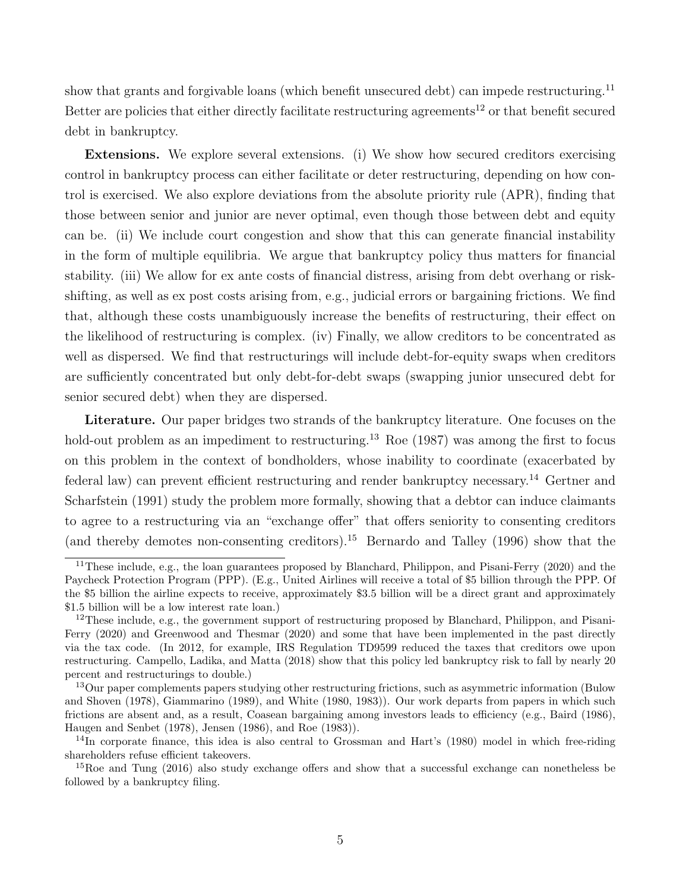show that grants and forgivable loans (which benefit unsecured debt) can impede restructuring.<sup>11</sup> Better are policies that either directly facilitate restructuring agreements<sup>12</sup> or that benefit secured debt in bankruptcy.

Extensions. We explore several extensions. (i) We show how secured creditors exercising control in bankruptcy process can either facilitate or deter restructuring, depending on how control is exercised. We also explore deviations from the absolute priority rule (APR), finding that those between senior and junior are never optimal, even though those between debt and equity can be. (ii) We include court congestion and show that this can generate financial instability in the form of multiple equilibria. We argue that bankruptcy policy thus matters for financial stability. (iii) We allow for ex ante costs of financial distress, arising from debt overhang or riskshifting, as well as ex post costs arising from, e.g., judicial errors or bargaining frictions. We find that, although these costs unambiguously increase the benefits of restructuring, their effect on the likelihood of restructuring is complex. (iv) Finally, we allow creditors to be concentrated as well as dispersed. We find that restructurings will include debt-for-equity swaps when creditors are sufficiently concentrated but only debt-for-debt swaps (swapping junior unsecured debt for senior secured debt) when they are dispersed.

Literature. Our paper bridges two strands of the bankruptcy literature. One focuses on the hold-out problem as an impediment to restructuring.<sup>13</sup> Roe (1987) was among the first to focus on this problem in the context of bondholders, whose inability to coordinate (exacerbated by federal law) can prevent efficient restructuring and render bankruptcy necessary.<sup>14</sup> Gertner and Scharfstein (1991) study the problem more formally, showing that a debtor can induce claimants to agree to a restructuring via an "exchange offer" that offers seniority to consenting creditors (and thereby demotes non-consenting creditors).<sup>15</sup> Bernardo and Talley (1996) show that the

 $11$ These include, e.g., the loan guarantees proposed by Blanchard, Philippon, and Pisani-Ferry (2020) and the Paycheck Protection Program (PPP). (E.g., United Airlines will receive a total of \$5 billion through the PPP. Of the \$5 billion the airline expects to receive, approximately \$3.5 billion will be a direct grant and approximately \$1.5 billion will be a low interest rate loan.)

 $12$ These include, e.g., the government support of restructuring proposed by Blanchard, Philippon, and Pisani-Ferry (2020) and Greenwood and Thesmar (2020) and some that have been implemented in the past directly via the tax code. (In 2012, for example, IRS Regulation TD9599 reduced the taxes that creditors owe upon restructuring. Campello, Ladika, and Matta (2018) show that this policy led bankruptcy risk to fall by nearly 20 percent and restructurings to double.)

<sup>&</sup>lt;sup>13</sup>Our paper complements papers studying other restructuring frictions, such as asymmetric information (Bulow and Shoven (1978), Giammarino (1989), and White (1980, 1983)). Our work departs from papers in which such frictions are absent and, as a result, Coasean bargaining among investors leads to efficiency (e.g., Baird (1986), Haugen and Senbet (1978), Jensen (1986), and Roe (1983)).

<sup>&</sup>lt;sup>14</sup>In corporate finance, this idea is also central to Grossman and Hart's (1980) model in which free-riding shareholders refuse efficient takeovers.

<sup>&</sup>lt;sup>15</sup>Roe and Tung (2016) also study exchange offers and show that a successful exchange can nonetheless be followed by a bankruptcy filing.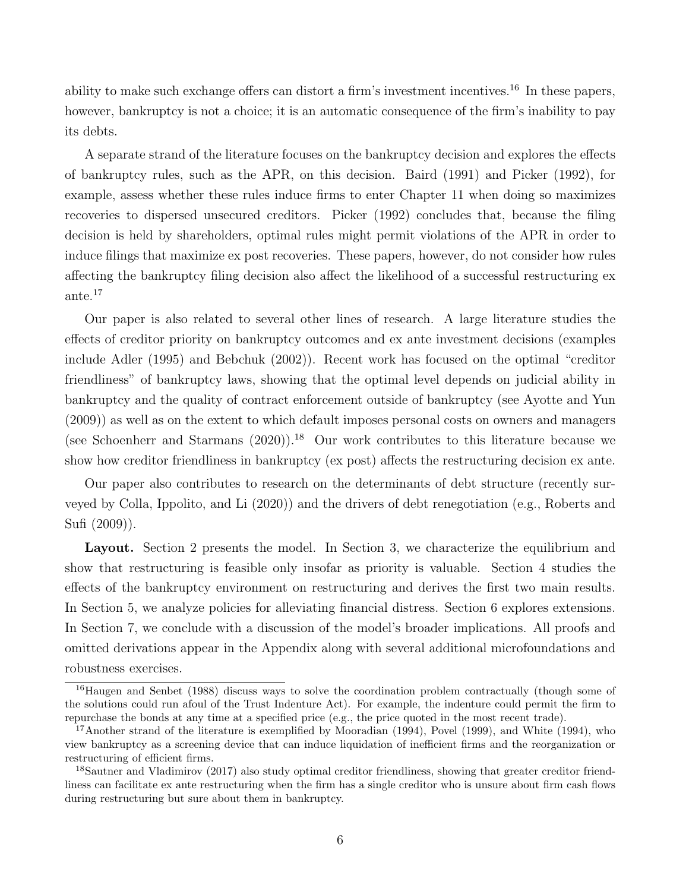ability to make such exchange offers can distort a firm's investment incentives.<sup>16</sup> In these papers, however, bankruptcy is not a choice; it is an automatic consequence of the firm's inability to pay its debts.

A separate strand of the literature focuses on the bankruptcy decision and explores the effects of bankruptcy rules, such as the APR, on this decision. Baird (1991) and Picker (1992), for example, assess whether these rules induce firms to enter Chapter 11 when doing so maximizes recoveries to dispersed unsecured creditors. Picker (1992) concludes that, because the filing decision is held by shareholders, optimal rules might permit violations of the APR in order to induce filings that maximize ex post recoveries. These papers, however, do not consider how rules affecting the bankruptcy filing decision also affect the likelihood of a successful restructuring ex ante.<sup>17</sup>

Our paper is also related to several other lines of research. A large literature studies the effects of creditor priority on bankruptcy outcomes and ex ante investment decisions (examples include Adler (1995) and Bebchuk (2002)). Recent work has focused on the optimal "creditor friendliness" of bankruptcy laws, showing that the optimal level depends on judicial ability in bankruptcy and the quality of contract enforcement outside of bankruptcy (see Ayotte and Yun (2009)) as well as on the extent to which default imposes personal costs on owners and managers (see Schoenherr and Starmans  $(2020)$ ).<sup>18</sup> Our work contributes to this literature because we show how creditor friendliness in bankruptcy (ex post) affects the restructuring decision ex ante.

Our paper also contributes to research on the determinants of debt structure (recently surveyed by Colla, Ippolito, and Li (2020)) and the drivers of debt renegotiation (e.g., Roberts and Sufi (2009)).

Layout. Section 2 presents the model. In Section 3, we characterize the equilibrium and show that restructuring is feasible only insofar as priority is valuable. Section 4 studies the effects of the bankruptcy environment on restructuring and derives the first two main results. In Section 5, we analyze policies for alleviating financial distress. Section 6 explores extensions. In Section 7, we conclude with a discussion of the model's broader implications. All proofs and omitted derivations appear in the Appendix along with several additional microfoundations and robustness exercises.

<sup>&</sup>lt;sup>16</sup>Haugen and Senbet (1988) discuss ways to solve the coordination problem contractually (though some of the solutions could run afoul of the Trust Indenture Act). For example, the indenture could permit the firm to repurchase the bonds at any time at a specified price (e.g., the price quoted in the most recent trade).

<sup>&</sup>lt;sup>17</sup>Another strand of the literature is exemplified by Mooradian  $(1994)$ , Povel  $(1999)$ , and White  $(1994)$ , who view bankruptcy as a screening device that can induce liquidation of inefficient firms and the reorganization or restructuring of efficient firms.

<sup>18</sup>Sautner and Vladimirov (2017) also study optimal creditor friendliness, showing that greater creditor friendliness can facilitate ex ante restructuring when the firm has a single creditor who is unsure about firm cash flows during restructuring but sure about them in bankruptcy.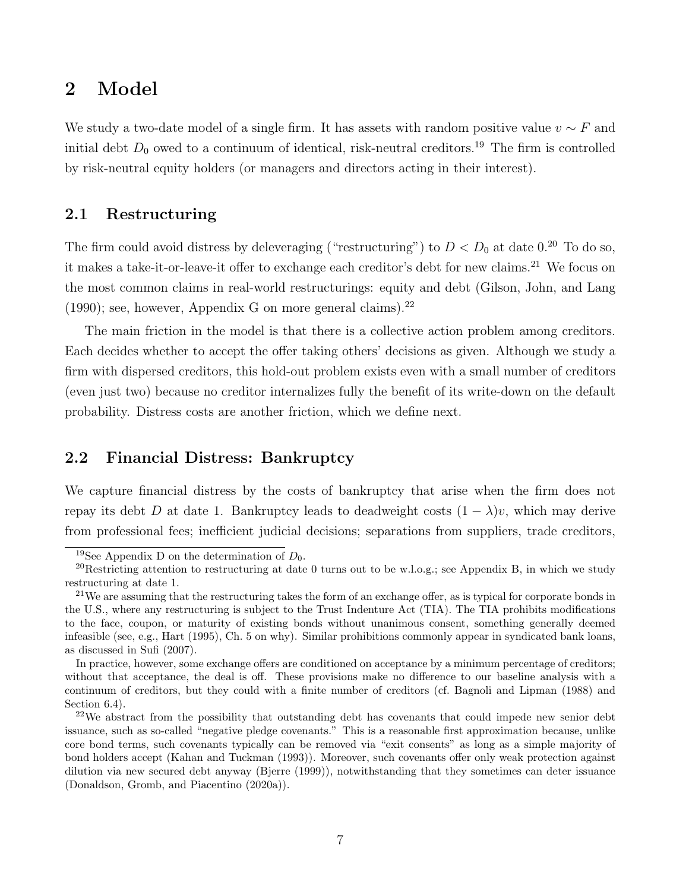# 2 Model

We study a two-date model of a single firm. It has assets with random positive value  $v \sim F$  and initial debt  $D_0$  owed to a continuum of identical, risk-neutral creditors.<sup>19</sup> The firm is controlled by risk-neutral equity holders (or managers and directors acting in their interest).

### 2.1 Restructuring

The firm could avoid distress by deleveraging ("restructuring") to  $D < D_0$  at date 0.<sup>20</sup> To do so, it makes a take-it-or-leave-it offer to exchange each creditor's debt for new claims.<sup>21</sup> We focus on the most common claims in real-world restructurings: equity and debt (Gilson, John, and Lang  $(1990)$ ; see, however, Appendix G on more general claims).<sup>22</sup>

The main friction in the model is that there is a collective action problem among creditors. Each decides whether to accept the offer taking others' decisions as given. Although we study a firm with dispersed creditors, this hold-out problem exists even with a small number of creditors (even just two) because no creditor internalizes fully the benefit of its write-down on the default probability. Distress costs are another friction, which we define next.

### 2.2 Financial Distress: Bankruptcy

We capture financial distress by the costs of bankruptcy that arise when the firm does not repay its debt D at date 1. Bankruptcy leads to deadweight costs  $(1 - \lambda)v$ , which may derive from professional fees; inefficient judicial decisions; separations from suppliers, trade creditors,

<sup>&</sup>lt;sup>19</sup>See Appendix D on the determination of  $D_0$ .

<sup>20</sup>Restricting attention to restructuring at date 0 turns out to be w.l.o.g.; see Appendix B, in which we study restructuring at date 1.

 $21$ We are assuming that the restructuring takes the form of an exchange offer, as is typical for corporate bonds in the U.S., where any restructuring is subject to the Trust Indenture Act (TIA). The TIA prohibits modifications to the face, coupon, or maturity of existing bonds without unanimous consent, something generally deemed infeasible (see, e.g., Hart (1995), Ch. 5 on why). Similar prohibitions commonly appear in syndicated bank loans, as discussed in Sufi (2007).

In practice, however, some exchange offers are conditioned on acceptance by a minimum percentage of creditors; without that acceptance, the deal is off. These provisions make no difference to our baseline analysis with a continuum of creditors, but they could with a finite number of creditors (cf. Bagnoli and Lipman (1988) and Section 6.4).

 $22$ We abstract from the possibility that outstanding debt has covenants that could impede new senior debt issuance, such as so-called "negative pledge covenants." This is a reasonable first approximation because, unlike core bond terms, such covenants typically can be removed via "exit consents" as long as a simple majority of bond holders accept (Kahan and Tuckman (1993)). Moreover, such covenants offer only weak protection against dilution via new secured debt anyway (Bjerre (1999)), notwithstanding that they sometimes can deter issuance (Donaldson, Gromb, and Piacentino (2020a)).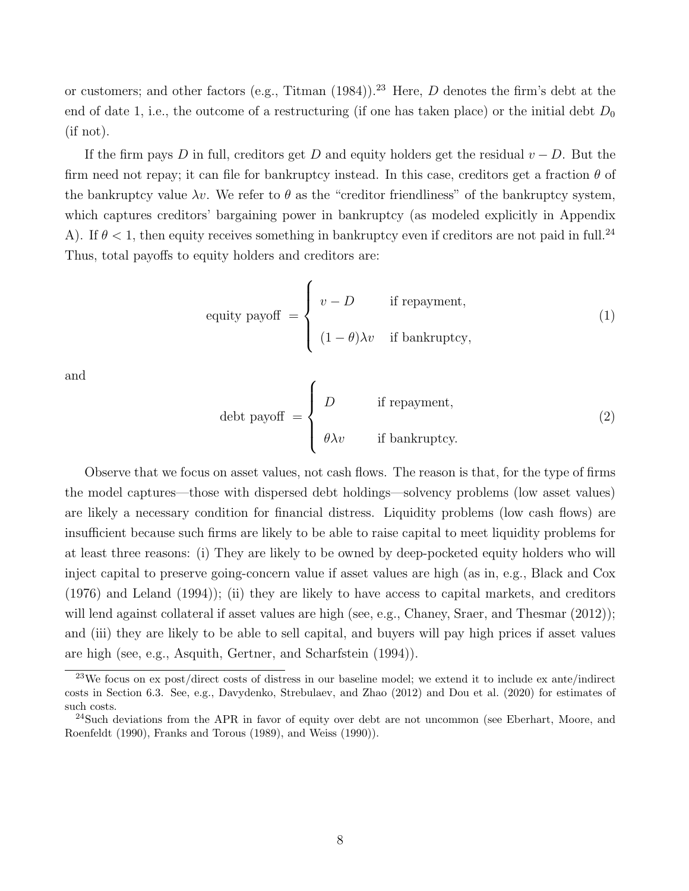or customers; and other factors (e.g., Titman  $(1984)$ ).<sup>23</sup> Here, D denotes the firm's debt at the end of date 1, i.e., the outcome of a restructuring (if one has taken place) or the initial debt  $D_0$ (if not).

If the firm pays D in full, creditors get D and equity holders get the residual  $v - D$ . But the firm need not repay; it can file for bankruptcy instead. In this case, creditors get a fraction  $\theta$  of the bankruptcy value  $\lambda v$ . We refer to  $\theta$  as the "creditor friendliness" of the bankruptcy system, which captures creditors' bargaining power in bankruptcy (as modeled explicitly in Appendix A). If  $\theta$  < 1, then equity receives something in bankruptcy even if creditors are not paid in full.<sup>24</sup> Thus, total payoffs to equity holders and creditors are:

equity payoff 
$$
= \begin{cases} v - D & \text{if repayment,} \\ (1 - \theta)\lambda v & \text{if bankruptcy,} \end{cases}
$$
 (1)

and

$$
\text{debt payoff} = \begin{cases} D & \text{if repayment,} \\ \theta \lambda v & \text{if bankruptcy.} \end{cases} \tag{2}
$$

Observe that we focus on asset values, not cash flows. The reason is that, for the type of firms the model captures—those with dispersed debt holdings—solvency problems (low asset values) are likely a necessary condition for financial distress. Liquidity problems (low cash flows) are insufficient because such firms are likely to be able to raise capital to meet liquidity problems for at least three reasons: (i) They are likely to be owned by deep-pocketed equity holders who will inject capital to preserve going-concern value if asset values are high (as in, e.g., Black and Cox (1976) and Leland (1994)); (ii) they are likely to have access to capital markets, and creditors will lend against collateral if asset values are high (see, e.g., Chaney, Sraer, and Thesmar (2012)); and (iii) they are likely to be able to sell capital, and buyers will pay high prices if asset values are high (see, e.g., Asquith, Gertner, and Scharfstein (1994)).

<sup>23</sup>We focus on ex post/direct costs of distress in our baseline model; we extend it to include ex ante/indirect costs in Section 6.3. See, e.g., Davydenko, Strebulaev, and Zhao (2012) and Dou et al. (2020) for estimates of such costs.

<sup>&</sup>lt;sup>24</sup>Such deviations from the APR in favor of equity over debt are not uncommon (see Eberhart, Moore, and Roenfeldt (1990), Franks and Torous (1989), and Weiss (1990)).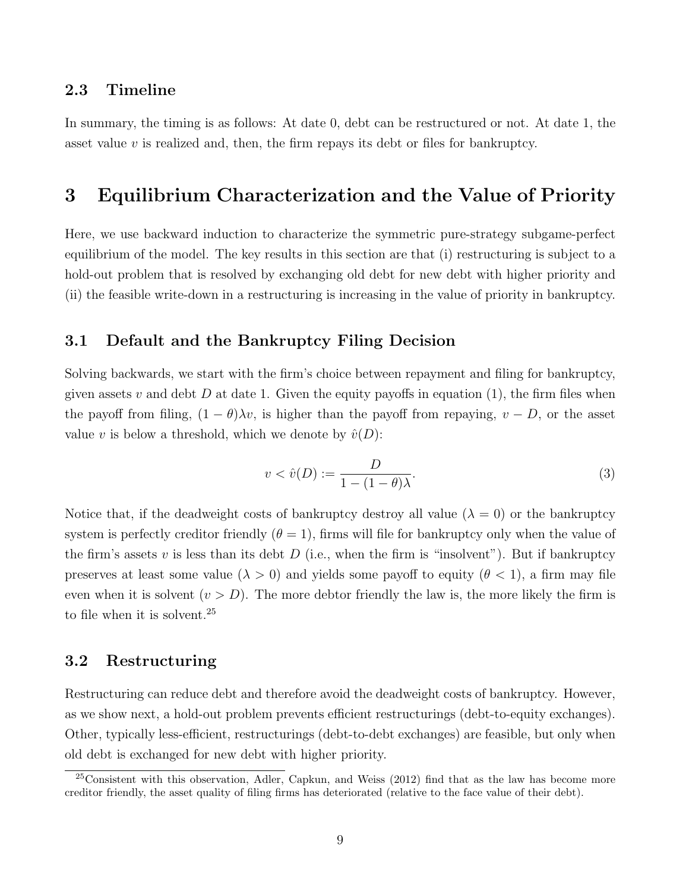### 2.3 Timeline

In summary, the timing is as follows: At date 0, debt can be restructured or not. At date 1, the asset value  $v$  is realized and, then, the firm repays its debt or files for bankruptcy.

# 3 Equilibrium Characterization and the Value of Priority

Here, we use backward induction to characterize the symmetric pure-strategy subgame-perfect equilibrium of the model. The key results in this section are that (i) restructuring is subject to a hold-out problem that is resolved by exchanging old debt for new debt with higher priority and (ii) the feasible write-down in a restructuring is increasing in the value of priority in bankruptcy.

### 3.1 Default and the Bankruptcy Filing Decision

Solving backwards, we start with the firm's choice between repayment and filing for bankruptcy, given assets v and debt D at date 1. Given the equity payoffs in equation (1), the firm files when the payoff from filing,  $(1 - \theta)\lambda v$ , is higher than the payoff from repaying,  $v - D$ , or the asset value v is below a threshold, which we denote by  $\hat{v}(D)$ :

$$
v < \hat{v}(D) := \frac{D}{1 - (1 - \theta)\lambda}.\tag{3}
$$

Notice that, if the deadweight costs of bankruptcy destroy all value  $(\lambda = 0)$  or the bankruptcy system is perfectly creditor friendly  $(\theta = 1)$ , firms will file for bankruptcy only when the value of the firm's assets v is less than its debt  $D$  (i.e., when the firm is "insolvent"). But if bankruptcy preserves at least some value ( $\lambda > 0$ ) and yields some payoff to equity ( $\theta < 1$ ), a firm may file even when it is solvent  $(v > D)$ . The more debtor friendly the law is, the more likely the firm is to file when it is solvent.<sup>25</sup>

### 3.2 Restructuring

Restructuring can reduce debt and therefore avoid the deadweight costs of bankruptcy. However, as we show next, a hold-out problem prevents efficient restructurings (debt-to-equity exchanges). Other, typically less-efficient, restructurings (debt-to-debt exchanges) are feasible, but only when old debt is exchanged for new debt with higher priority.

 $25$ Consistent with this observation, Adler, Capkun, and Weiss (2012) find that as the law has become more creditor friendly, the asset quality of filing firms has deteriorated (relative to the face value of their debt).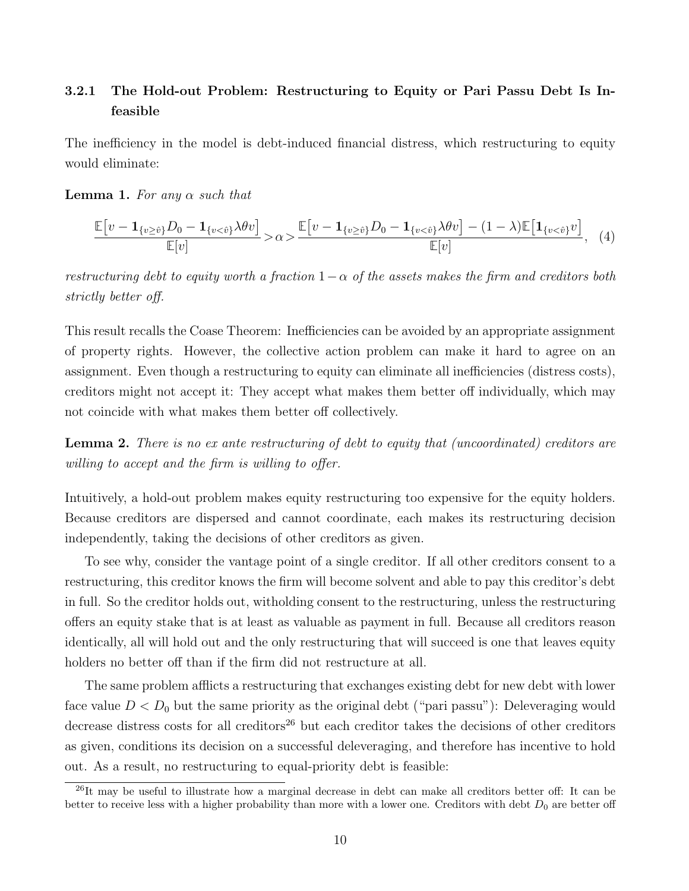## 3.2.1 The Hold-out Problem: Restructuring to Equity or Pari Passu Debt Is Infeasible

The inefficiency in the model is debt-induced financial distress, which restructuring to equity would eliminate:

#### **Lemma 1.** For any  $\alpha$  such that

$$
\frac{\mathbb{E}\left[v-\mathbf{1}_{\{v\geq \hat{v}\}}D_0-\mathbf{1}_{\{v< \hat{v}\}}\lambda\theta v\right]}{\mathbb{E}[v]}>\alpha > \frac{\mathbb{E}\left[v-\mathbf{1}_{\{v\geq \hat{v}\}}D_0-\mathbf{1}_{\{v< \hat{v}\}}\lambda\theta v\right]-(1-\lambda)\mathbb{E}\left[\mathbf{1}_{\{v< \hat{v}\}}v\right]}{\mathbb{E}[v]},\tag{4}
$$

restructuring debt to equity worth a fraction  $1-\alpha$  of the assets makes the firm and creditors both strictly better off.

This result recalls the Coase Theorem: Inefficiencies can be avoided by an appropriate assignment of property rights. However, the collective action problem can make it hard to agree on an assignment. Even though a restructuring to equity can eliminate all inefficiencies (distress costs), creditors might not accept it: They accept what makes them better off individually, which may not coincide with what makes them better off collectively.

Lemma 2. There is no ex ante restructuring of debt to equity that (uncoordinated) creditors are willing to accept and the firm is willing to offer.

Intuitively, a hold-out problem makes equity restructuring too expensive for the equity holders. Because creditors are dispersed and cannot coordinate, each makes its restructuring decision independently, taking the decisions of other creditors as given.

To see why, consider the vantage point of a single creditor. If all other creditors consent to a restructuring, this creditor knows the firm will become solvent and able to pay this creditor's debt in full. So the creditor holds out, witholding consent to the restructuring, unless the restructuring offers an equity stake that is at least as valuable as payment in full. Because all creditors reason identically, all will hold out and the only restructuring that will succeed is one that leaves equity holders no better off than if the firm did not restructure at all.

The same problem afflicts a restructuring that exchanges existing debt for new debt with lower face value  $D < D_0$  but the same priority as the original debt ("pari passu"): Deleveraging would decrease distress costs for all creditors<sup>26</sup> but each creditor takes the decisions of other creditors as given, conditions its decision on a successful deleveraging, and therefore has incentive to hold out. As a result, no restructuring to equal-priority debt is feasible:

 $^{26}$ It may be useful to illustrate how a marginal decrease in debt can make all creditors better off: It can be better to receive less with a higher probability than more with a lower one. Creditors with debt  $D_0$  are better off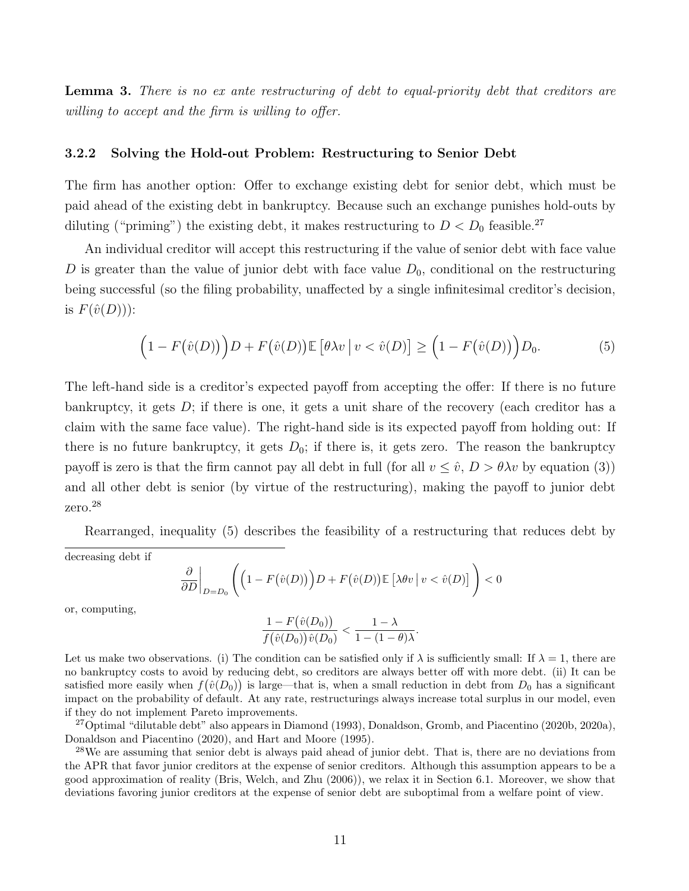Lemma 3. There is no ex ante restructuring of debt to equal-priority debt that creditors are willing to accept and the firm is willing to offer.

#### 3.2.2 Solving the Hold-out Problem: Restructuring to Senior Debt

The firm has another option: Offer to exchange existing debt for senior debt, which must be paid ahead of the existing debt in bankruptcy. Because such an exchange punishes hold-outs by diluting ("priming") the existing debt, it makes restructuring to  $D < D_0$  feasible.<sup>27</sup>

An individual creditor will accept this restructuring if the value of senior debt with face value D is greater than the value of junior debt with face value  $D_0$ , conditional on the restructuring being successful (so the filing probability, unaffected by a single infinitesimal creditor's decision, is  $F(\hat{v}(D))$ :

$$
(1 - F(\hat{v}(D))) D + F(\hat{v}(D)) \mathbb{E} [\theta \lambda v | v < \hat{v}(D)] \ge (1 - F(\hat{v}(D))) D_0.
$$
 (5)

The left-hand side is a creditor's expected payoff from accepting the offer: If there is no future bankruptcy, it gets  $D$ ; if there is one, it gets a unit share of the recovery (each creditor has a claim with the same face value). The right-hand side is its expected payoff from holding out: If there is no future bankruptcy, it gets  $D_0$ ; if there is, it gets zero. The reason the bankruptcy payoff is zero is that the firm cannot pay all debt in full (for all  $v \leq \hat{v}$ ,  $D > \theta \lambda v$  by equation (3)) and all other debt is senior (by virtue of the restructuring), making the payoff to junior debt zero.<sup>28</sup>

Rearranged, inequality (5) describes the feasibility of a restructuring that reduces debt by

decreasing debt if

$$
\frac{\partial}{\partial D}\bigg|_{D=D_0}\Bigg(\Big(1-F(\hat{v}(D)\Big)\Big)D+F(\hat{v}(D))\mathbb{E}\Big[\lambda\theta v\,\big|\,v<\hat{v}(D)\Big]\Bigg)<0
$$

or, computing,

$$
\frac{1-F(\hat{v}(D_0))}{f(\hat{v}(D_0))\hat{v}(D_0)} < \frac{1-\lambda}{1-(1-\theta)\lambda}.
$$

Let us make two observations. (i) The condition can be satisfied only if  $\lambda$  is sufficiently small: If  $\lambda = 1$ , there are no bankruptcy costs to avoid by reducing debt, so creditors are always better off with more debt. (ii) It can be satisfied more easily when  $f(\hat{v}(D_0))$  is large—that is, when a small reduction in debt from  $D_0$  has a significant impact on the probability of default. At any rate, restructurings always increase total surplus in our model, even if they do not implement Pareto improvements.

<sup>27</sup>Optimal "dilutable debt" also appears in Diamond (1993), Donaldson, Gromb, and Piacentino (2020b, 2020a), Donaldson and Piacentino (2020), and Hart and Moore (1995).

<sup>28</sup>We are assuming that senior debt is always paid ahead of junior debt. That is, there are no deviations from the APR that favor junior creditors at the expense of senior creditors. Although this assumption appears to be a good approximation of reality (Bris, Welch, and Zhu (2006)), we relax it in Section 6.1. Moreover, we show that deviations favoring junior creditors at the expense of senior debt are suboptimal from a welfare point of view.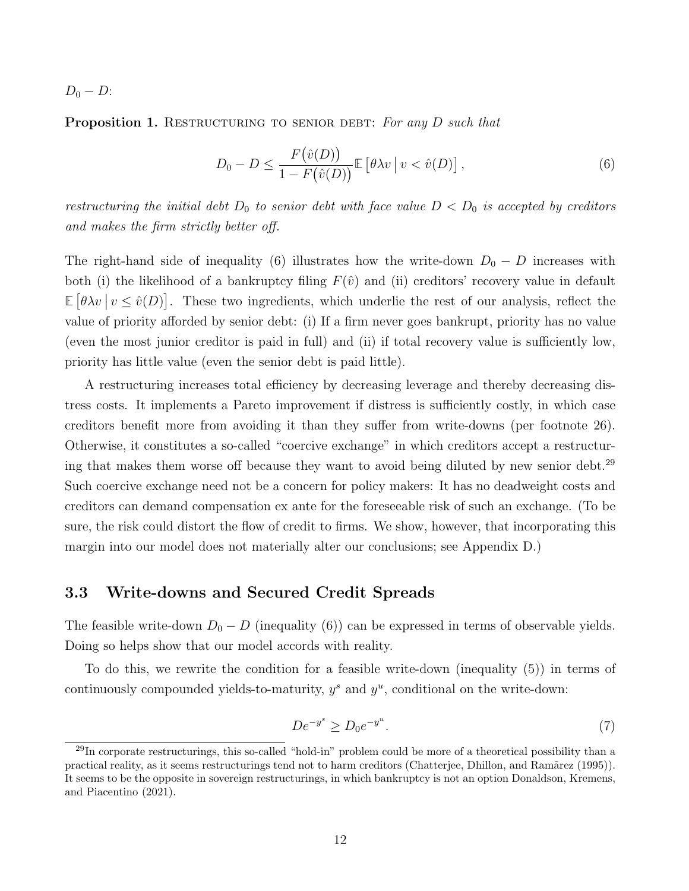$D_0 - D$ :

Proposition 1. RESTRUCTURING TO SENIOR DEBT: For any  $D$  such that

$$
D_0 - D \le \frac{F(\hat{v}(D))}{1 - F(\hat{v}(D))} \mathbb{E} \left[ \theta \lambda v \, \middle| \, v < \hat{v}(D) \right],\tag{6}
$$

restructuring the initial debt  $D_0$  to senior debt with face value  $D < D_0$  is accepted by creditors and makes the firm strictly better off.

The right-hand side of inequality (6) illustrates how the write-down  $D_0 - D$  increases with both (i) the likelihood of a bankruptcy filing  $F(\hat{v})$  and (ii) creditors' recovery value in default  $\mathbb{E}[\theta \lambda v \mid v \leq \hat{v}(D)].$  These two ingredients, which underlie the rest of our analysis, reflect the value of priority afforded by senior debt: (i) If a firm never goes bankrupt, priority has no value (even the most junior creditor is paid in full) and (ii) if total recovery value is sufficiently low, priority has little value (even the senior debt is paid little).

A restructuring increases total efficiency by decreasing leverage and thereby decreasing distress costs. It implements a Pareto improvement if distress is sufficiently costly, in which case creditors benefit more from avoiding it than they suffer from write-downs (per footnote 26). Otherwise, it constitutes a so-called "coercive exchange" in which creditors accept a restructuring that makes them worse off because they want to avoid being diluted by new senior debt.<sup>29</sup> Such coercive exchange need not be a concern for policy makers: It has no deadweight costs and creditors can demand compensation ex ante for the foreseeable risk of such an exchange. (To be sure, the risk could distort the flow of credit to firms. We show, however, that incorporating this margin into our model does not materially alter our conclusions; see Appendix D.)

### 3.3 Write-downs and Secured Credit Spreads

The feasible write-down  $D_0 - D$  (inequality (6)) can be expressed in terms of observable yields. Doing so helps show that our model accords with reality.

To do this, we rewrite the condition for a feasible write-down (inequality (5)) in terms of continuously compounded yields-to-maturity,  $y^s$  and  $y^u$ , conditional on the write-down:

$$
De^{-y^s} \ge D_0 e^{-y^u}.
$$
\n(7)

 $^{29}$ In corporate restructurings, this so-called "hold-in" problem could be more of a theoretical possibility than a practical reality, as it seems restructurings tend not to harm creditors (Chatterjee, Dhillon, and Ramãrez (1995)). It seems to be the opposite in sovereign restructurings, in which bankruptcy is not an option Donaldson, Kremens, and Piacentino (2021).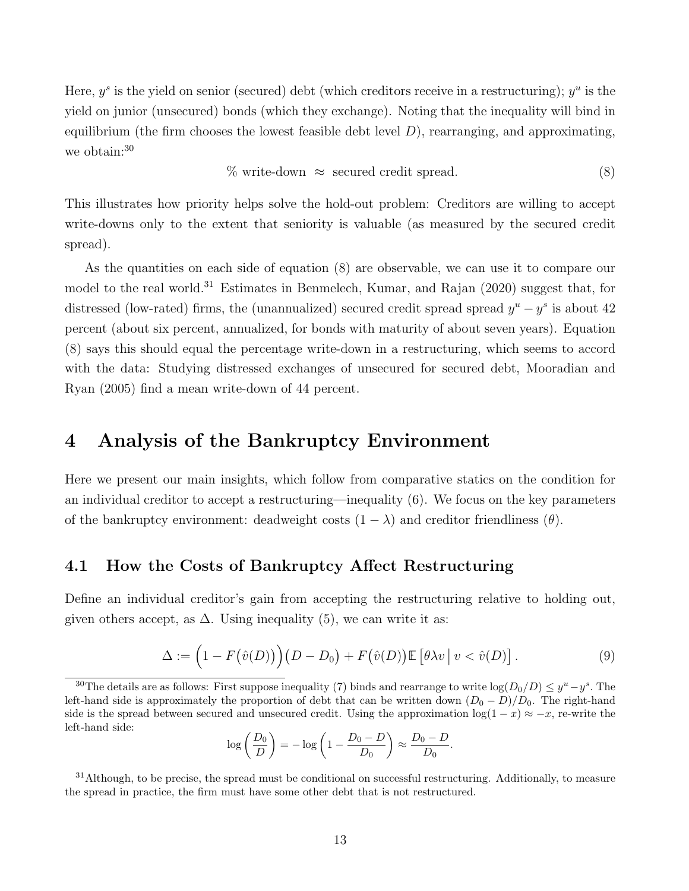Here,  $y^s$  is the yield on senior (secured) debt (which creditors receive in a restructuring);  $y^u$  is the yield on junior (unsecured) bonds (which they exchange). Noting that the inequality will bind in equilibrium (the firm chooses the lowest feasible debt level  $D$ ), rearranging, and approximating, we obtain:<sup>30</sup>

$$
\% \text{ write-down } \approx \text{ secured credit spread.} \tag{8}
$$

This illustrates how priority helps solve the hold-out problem: Creditors are willing to accept write-downs only to the extent that seniority is valuable (as measured by the secured credit spread).

As the quantities on each side of equation (8) are observable, we can use it to compare our model to the real world.<sup>31</sup> Estimates in Benmelech, Kumar, and Rajan  $(2020)$  suggest that, for distressed (low-rated) firms, the (unannualized) secured credit spread spread  $y^u - y^s$  is about 42 percent (about six percent, annualized, for bonds with maturity of about seven years). Equation (8) says this should equal the percentage write-down in a restructuring, which seems to accord with the data: Studying distressed exchanges of unsecured for secured debt, Mooradian and Ryan (2005) find a mean write-down of 44 percent.

## 4 Analysis of the Bankruptcy Environment

Here we present our main insights, which follow from comparative statics on the condition for an individual creditor to accept a restructuring—inequality (6). We focus on the key parameters of the bankruptcy environment: deadweight costs  $(1 - \lambda)$  and creditor friendliness  $(\theta)$ .

### 4.1 How the Costs of Bankruptcy Affect Restructuring

Define an individual creditor's gain from accepting the restructuring relative to holding out, given others accept, as  $\Delta$ . Using inequality (5), we can write it as:

$$
\Delta := \left(1 - F(\hat{v}(D))\right)(D - D_0) + F(\hat{v}(D))\mathbb{E}\left[\theta\lambda v \,|\, v < \hat{v}(D)\right].\tag{9}
$$

$$
\log\left(\frac{D_0}{D}\right) = -\log\left(1 - \frac{D_0 - D}{D_0}\right) \approx \frac{D_0 - D}{D_0}.
$$

 $31$ Although, to be precise, the spread must be conditional on successful restructuring. Additionally, to measure the spread in practice, the firm must have some other debt that is not restructured.

<sup>&</sup>lt;sup>30</sup>The details are as follows: First suppose inequality (7) binds and rearrange to write  $\log(D_0/D) \leq y^u - y^s$ . The left-hand side is approximately the proportion of debt that can be written down  $(D_0 - D)/D_0$ . The right-hand side is the spread between secured and unsecured credit. Using the approximation  $log(1-x) \approx -x$ , re-write the left-hand side: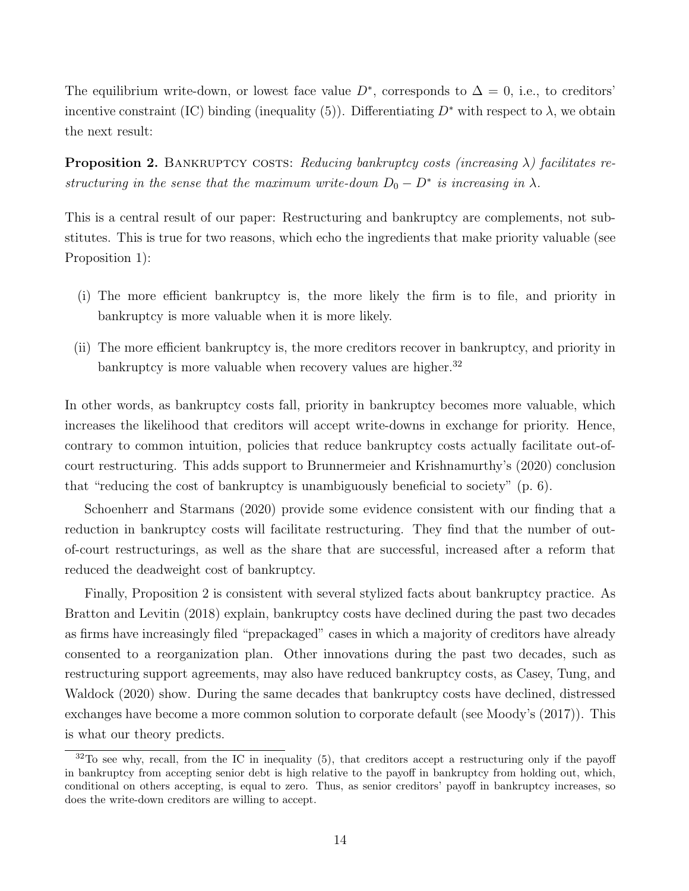The equilibrium write-down, or lowest face value  $D^*$ , corresponds to  $\Delta = 0$ , i.e., to creditors' incentive constraint (IC) binding (inequality (5)). Differentiating  $D^*$  with respect to  $\lambda$ , we obtain the next result:

**Proposition 2.** BANKRUPTCY COSTS: Reducing bankruptcy costs (increasing  $\lambda$ ) facilitates restructuring in the sense that the maximum write-down  $D_0 - D^*$  is increasing in  $\lambda$ .

This is a central result of our paper: Restructuring and bankruptcy are complements, not substitutes. This is true for two reasons, which echo the ingredients that make priority valuable (see Proposition 1):

- (i) The more efficient bankruptcy is, the more likely the firm is to file, and priority in bankruptcy is more valuable when it is more likely.
- (ii) The more efficient bankruptcy is, the more creditors recover in bankruptcy, and priority in bankruptcy is more valuable when recovery values are higher.<sup>32</sup>

In other words, as bankruptcy costs fall, priority in bankruptcy becomes more valuable, which increases the likelihood that creditors will accept write-downs in exchange for priority. Hence, contrary to common intuition, policies that reduce bankruptcy costs actually facilitate out-ofcourt restructuring. This adds support to Brunnermeier and Krishnamurthy's (2020) conclusion that "reducing the cost of bankruptcy is unambiguously beneficial to society" (p. 6).

Schoenherr and Starmans (2020) provide some evidence consistent with our finding that a reduction in bankruptcy costs will facilitate restructuring. They find that the number of outof-court restructurings, as well as the share that are successful, increased after a reform that reduced the deadweight cost of bankruptcy.

Finally, Proposition 2 is consistent with several stylized facts about bankruptcy practice. As Bratton and Levitin (2018) explain, bankruptcy costs have declined during the past two decades as firms have increasingly filed "prepackaged" cases in which a majority of creditors have already consented to a reorganization plan. Other innovations during the past two decades, such as restructuring support agreements, may also have reduced bankruptcy costs, as Casey, Tung, and Waldock (2020) show. During the same decades that bankruptcy costs have declined, distressed exchanges have become a more common solution to corporate default (see Moody's (2017)). This is what our theory predicts.

 $32$ To see why, recall, from the IC in inequality (5), that creditors accept a restructuring only if the payoff in bankruptcy from accepting senior debt is high relative to the payoff in bankruptcy from holding out, which, conditional on others accepting, is equal to zero. Thus, as senior creditors' payoff in bankruptcy increases, so does the write-down creditors are willing to accept.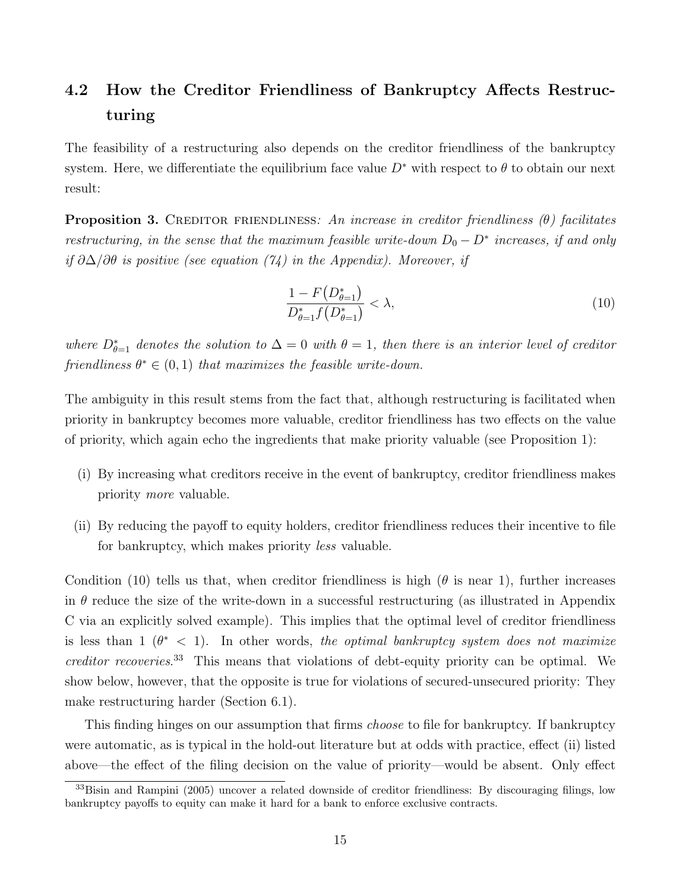# 4.2 How the Creditor Friendliness of Bankruptcy Affects Restructuring

The feasibility of a restructuring also depends on the creditor friendliness of the bankruptcy system. Here, we differentiate the equilibrium face value  $D^*$  with respect to  $\theta$  to obtain our next result:

**Proposition 3.** CREDITOR FRIENDLINESS: An increase in creditor friendliness  $(\theta)$  facilitates restructuring, in the sense that the maximum feasible write-down  $D_0 - D^*$  increases, if and only if  $\partial \Delta/\partial \theta$  is positive (see equation (74) in the Appendix). Moreover, if

$$
\frac{1 - F(D_{\theta=1}^*)}{D_{\theta=1}^* f(D_{\theta=1}^*)} < \lambda,\tag{10}
$$

where  $D_{\theta=1}^*$  denotes the solution to  $\Delta=0$  with  $\theta=1$ , then there is an interior level of creditor friendliness  $\theta^* \in (0,1)$  that maximizes the feasible write-down.

The ambiguity in this result stems from the fact that, although restructuring is facilitated when priority in bankruptcy becomes more valuable, creditor friendliness has two effects on the value of priority, which again echo the ingredients that make priority valuable (see Proposition 1):

- (i) By increasing what creditors receive in the event of bankruptcy, creditor friendliness makes priority more valuable.
- (ii) By reducing the payoff to equity holders, creditor friendliness reduces their incentive to file for bankruptcy, which makes priority less valuable.

Condition (10) tells us that, when creditor friendliness is high ( $\theta$  is near 1), further increases in  $\theta$  reduce the size of the write-down in a successful restructuring (as illustrated in Appendix C via an explicitly solved example). This implies that the optimal level of creditor friendliness is less than  $1 \ (\theta^* \ < 1)$ . In other words, the optimal bankruptcy system does not maximize creditor recoveries. <sup>33</sup> This means that violations of debt-equity priority can be optimal. We show below, however, that the opposite is true for violations of secured-unsecured priority: They make restructuring harder (Section 6.1).

This finding hinges on our assumption that firms *choose* to file for bankruptcy. If bankruptcy were automatic, as is typical in the hold-out literature but at odds with practice, effect (ii) listed above—the effect of the filing decision on the value of priority—would be absent. Only effect

<sup>33</sup>Bisin and Rampini (2005) uncover a related downside of creditor friendliness: By discouraging filings, low bankruptcy payoffs to equity can make it hard for a bank to enforce exclusive contracts.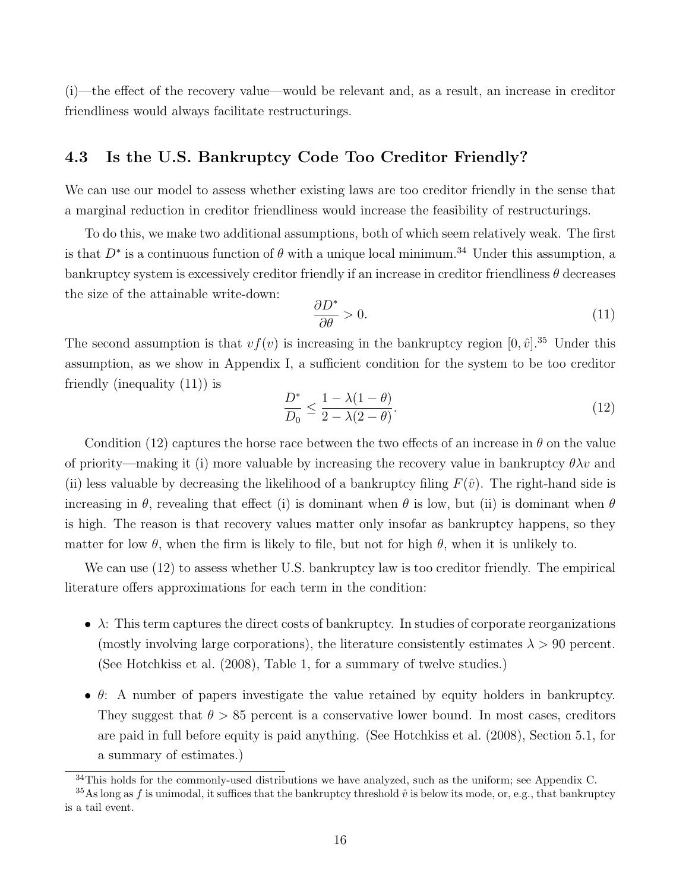(i)—the effect of the recovery value—would be relevant and, as a result, an increase in creditor friendliness would always facilitate restructurings.

## 4.3 Is the U.S. Bankruptcy Code Too Creditor Friendly?

We can use our model to assess whether existing laws are too creditor friendly in the sense that a marginal reduction in creditor friendliness would increase the feasibility of restructurings.

To do this, we make two additional assumptions, both of which seem relatively weak. The first is that  $D^*$  is a continuous function of  $\theta$  with a unique local minimum.<sup>34</sup> Under this assumption, a bankruptcy system is excessively creditor friendly if an increase in creditor friendliness  $\theta$  decreases the size of the attainable write-down:

$$
\frac{\partial D^*}{\partial \theta} > 0. \tag{11}
$$

The second assumption is that  $vf(v)$  is increasing in the bankruptcy region  $[0, \hat{v}]$ .<sup>35</sup> Under this assumption, as we show in Appendix I, a sufficient condition for the system to be too creditor friendly (inequality (11)) is

$$
\frac{D^*}{D_0} \le \frac{1 - \lambda(1 - \theta)}{2 - \lambda(2 - \theta)}.\tag{12}
$$

Condition (12) captures the horse race between the two effects of an increase in  $\theta$  on the value of priority—making it (i) more valuable by increasing the recovery value in bankruptcy  $\theta \lambda v$  and (ii) less valuable by decreasing the likelihood of a bankruptcy filing  $F(\hat{v})$ . The right-hand side is increasing in  $\theta$ , revealing that effect (i) is dominant when  $\theta$  is low, but (ii) is dominant when  $\theta$ is high. The reason is that recovery values matter only insofar as bankruptcy happens, so they matter for low  $\theta$ , when the firm is likely to file, but not for high  $\theta$ , when it is unlikely to.

We can use  $(12)$  to assess whether U.S. bankruptcy law is too creditor friendly. The empirical literature offers approximations for each term in the condition:

- $\bullet \; \lambda$ : This term captures the direct costs of bankruptcy. In studies of corporate reorganizations (mostly involving large corporations), the literature consistently estimates  $\lambda > 90$  percent. (See Hotchkiss et al. (2008), Table 1, for a summary of twelve studies.)
- $\bullet$   $\theta$ : A number of papers investigate the value retained by equity holders in bankruptcy. They suggest that  $\theta > 85$  percent is a conservative lower bound. In most cases, creditors are paid in full before equity is paid anything. (See Hotchkiss et al. (2008), Section 5.1, for a summary of estimates.)

 $34$ This holds for the commonly-used distributions we have analyzed, such as the uniform; see Appendix C.

<sup>&</sup>lt;sup>35</sup>As long as f is unimodal, it suffices that the bankruptcy threshold  $\hat{v}$  is below its mode, or, e.g., that bankruptcy is a tail event.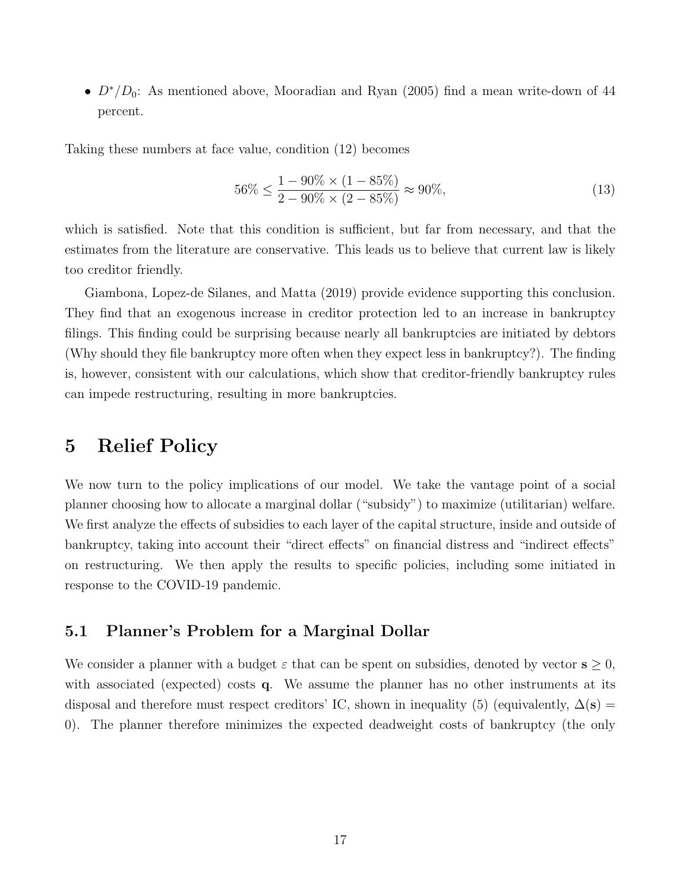•  $D^*/D_0$ : As mentioned above, Mooradian and Ryan (2005) find a mean write-down of 44 percent.

Taking these numbers at face value, condition (12) becomes

$$
56\% \le \frac{1 - 90\% \times (1 - 85\%)}{2 - 90\% \times (2 - 85\%)} \approx 90\%,\tag{13}
$$

which is satisfied. Note that this condition is sufficient, but far from necessary, and that the estimates from the literature are conservative. This leads us to believe that current law is likely too creditor friendly.

Giambona, Lopez-de Silanes, and Matta (2019) provide evidence supporting this conclusion. They find that an exogenous increase in creditor protection led to an increase in bankruptcy filings. This finding could be surprising because nearly all bankruptcies are initiated by debtors (Why should they file bankruptcy more often when they expect less in bankruptcy?). The finding is, however, consistent with our calculations, which show that creditor-friendly bankruptcy rules can impede restructuring, resulting in more bankruptcies.

## 5 Relief Policy

We now turn to the policy implications of our model. We take the vantage point of a social planner choosing how to allocate a marginal dollar ("subsidy") to maximize (utilitarian) welfare. We first analyze the effects of subsidies to each layer of the capital structure, inside and outside of bankruptcy, taking into account their "direct effects" on financial distress and "indirect effects" on restructuring. We then apply the results to specific policies, including some initiated in response to the COVID-19 pandemic.

### 5.1 Planner's Problem for a Marginal Dollar

We consider a planner with a budget  $\varepsilon$  that can be spent on subsidies, denoted by vector  $s \geq 0$ , with associated (expected) costs q. We assume the planner has no other instruments at its disposal and therefore must respect creditors' IC, shown in inequality (5) (equivalently,  $\Delta(s)$  = 0). The planner therefore minimizes the expected deadweight costs of bankruptcy (the only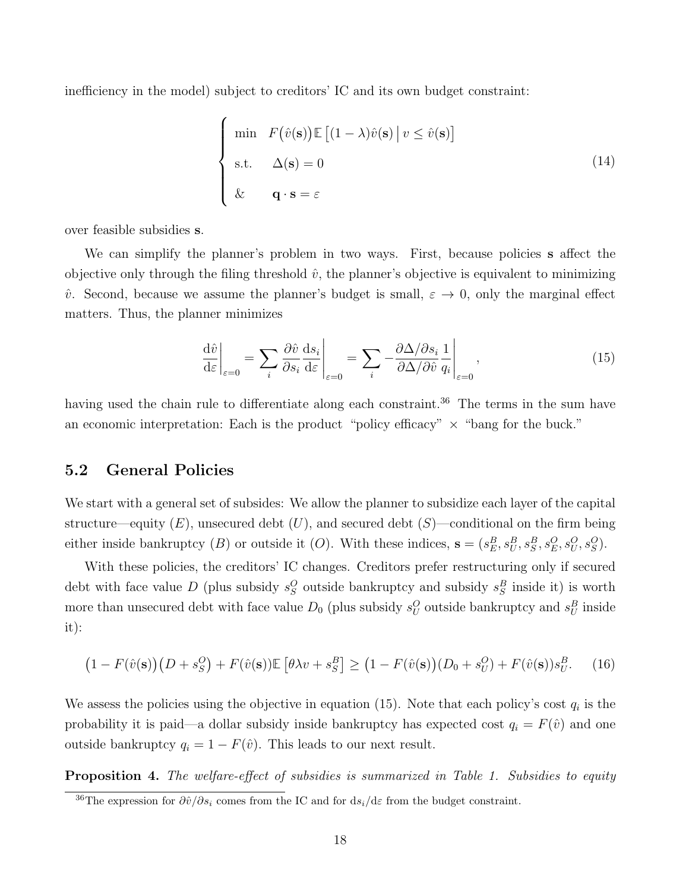inefficiency in the model) subject to creditors' IC and its own budget constraint:

$$
\begin{cases}\n\min \quad F(\hat{v}(\mathbf{s})) \mathbb{E} \left[ (1 - \lambda) \hat{v}(\mathbf{s}) \, \middle| \, v \le \hat{v}(\mathbf{s}) \right] \\
\text{s.t.} \quad \Delta(\mathbf{s}) = 0 \\
\& \mathbf{q} \cdot \mathbf{s} = \varepsilon\n\end{cases} \tag{14}
$$

over feasible subsidies s.

We can simplify the planner's problem in two ways. First, because policies **s** affect the objective only through the filing threshold  $\hat{v}$ , the planner's objective is equivalent to minimizing  $\hat{v}$ . Second, because we assume the planner's budget is small,  $\varepsilon \to 0$ , only the marginal effect matters. Thus, the planner minimizes

$$
\left. \frac{\mathrm{d}\hat{v}}{\mathrm{d}\varepsilon} \right|_{\varepsilon=0} = \sum_{i} \frac{\partial \hat{v}}{\partial s_i} \frac{\mathrm{d}s_i}{\mathrm{d}\varepsilon} \Big|_{\varepsilon=0} = \sum_{i} -\frac{\partial \Delta/\partial s_i}{\partial \Delta/\partial \hat{v}} \frac{1}{q_i} \Big|_{\varepsilon=0},\tag{15}
$$

having used the chain rule to differentiate along each constraint.<sup>36</sup> The terms in the sum have an economic interpretation: Each is the product "policy efficacy"  $\times$  "bang for the buck."

### 5.2 General Policies

We start with a general set of subsides: We allow the planner to subsidize each layer of the capital structure—equity  $(E)$ , unsecured debt  $(U)$ , and secured debt  $(S)$ —conditional on the firm being either inside bankruptcy (B) or outside it (O). With these indices,  $\mathbf{s} = (s_E^B, s_U^B, s_S^B, s_E^O, s_U^O, s_S^O)$ .

With these policies, the creditors' IC changes. Creditors prefer restructuring only if secured debt with face value D (plus subsidy  $s_S^O$  outside bankruptcy and subsidy  $s_S^B$  inside it) is worth more than unsecured debt with face value  $D_0$  (plus subsidy  $s_U^O$  outside bankruptcy and  $s_U^B$  inside it):

$$
(1 - F(\hat{v}(\mathbf{s}))\left(D + s_S^O\right) + F(\hat{v}(\mathbf{s}))\mathbb{E}\left[\theta\lambda v + s_S^B\right] \geq \left(1 - F(\hat{v}(\mathbf{s}))\left(D_0 + s_U^O\right) + F(\hat{v}(\mathbf{s}))s_U^B\right). \tag{16}
$$

We assess the policies using the objective in equation (15). Note that each policy's cost  $q_i$  is the probability it is paid—a dollar subsidy inside bankruptcy has expected cost  $q_i = F(\hat{v})$  and one outside bankruptcy  $q_i = 1 - F(\hat{v})$ . This leads to our next result.

Proposition 4. The welfare-effect of subsidies is summarized in Table 1. Subsidies to equity

<sup>&</sup>lt;sup>36</sup>The expression for  $\frac{\partial \hat{v}}{\partial s_i}$  comes from the IC and for ds<sub>i</sub>/dε from the budget constraint.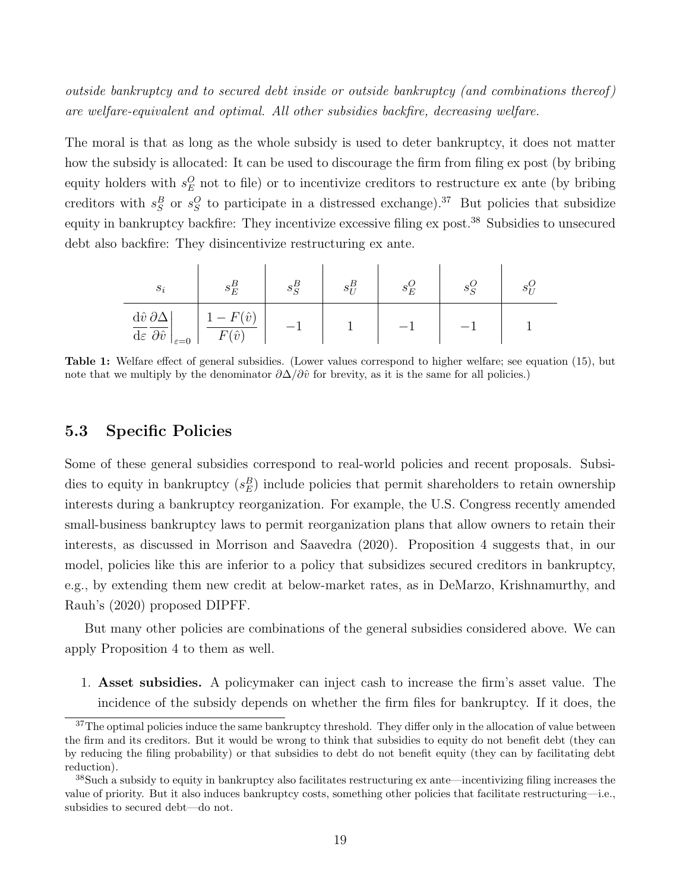outside bankruptcy and to secured debt inside or outside bankruptcy (and combinations thereof) are welfare-equivalent and optimal. All other subsidies backfire, decreasing welfare.

The moral is that as long as the whole subsidy is used to deter bankruptcy, it does not matter how the subsidy is allocated: It can be used to discourage the firm from filing ex post (by bribing equity holders with  $s_E^O$  not to file) or to incentivize creditors to restructure ex ante (by bribing creditors with  $s_S^B$  or  $s_S^O$  to participate in a distressed exchange).<sup>37</sup> But policies that subsidize equity in bankruptcy backfire: They incentivize excessive filing ex post.<sup>38</sup> Subsidies to unsecured debt also backfire: They disincentivize restructuring ex ante.

| $s_i$                                                                                                                | $^{\sigma}E$                                                       | o q | $\circ_E$ |  |
|----------------------------------------------------------------------------------------------------------------------|--------------------------------------------------------------------|-----|-----------|--|
| $d\hat{v} \, \partial \Delta$<br>$\overline{\mathrm{d}\varepsilon} \, \overline{\partial \hat{v}}$<br>$\epsilon = 0$ | $\hat{r}$<br>$\overline{\phantom{0}}$<br>$\langle \hat{v} \rangle$ |     |           |  |

Table 1: Welfare effect of general subsidies. (Lower values correspond to higher welfare; see equation (15), but note that we multiply by the denominator  $\partial \Delta / \partial \hat{v}$  for brevity, as it is the same for all policies.)

### 5.3 Specific Policies

Some of these general subsidies correspond to real-world policies and recent proposals. Subsidies to equity in bankruptcy  $(s_E^B)$  include policies that permit shareholders to retain ownership interests during a bankruptcy reorganization. For example, the U.S. Congress recently amended small-business bankruptcy laws to permit reorganization plans that allow owners to retain their interests, as discussed in Morrison and Saavedra (2020). Proposition 4 suggests that, in our model, policies like this are inferior to a policy that subsidizes secured creditors in bankruptcy, e.g., by extending them new credit at below-market rates, as in DeMarzo, Krishnamurthy, and Rauh's (2020) proposed DIPFF.

But many other policies are combinations of the general subsidies considered above. We can apply Proposition 4 to them as well.

1. Asset subsidies. A policymaker can inject cash to increase the firm's asset value. The incidence of the subsidy depends on whether the firm files for bankruptcy. If it does, the

<sup>&</sup>lt;sup>37</sup>The optimal policies induce the same bankruptcy threshold. They differ only in the allocation of value between the firm and its creditors. But it would be wrong to think that subsidies to equity do not benefit debt (they can by reducing the filing probability) or that subsidies to debt do not benefit equity (they can by facilitating debt reduction).

 $38$ Such a subsidy to equity in bankruptcy also facilitates restructuring ex ante—incentivizing filing increases the value of priority. But it also induces bankruptcy costs, something other policies that facilitate restructuring—i.e., subsidies to secured debt—do not.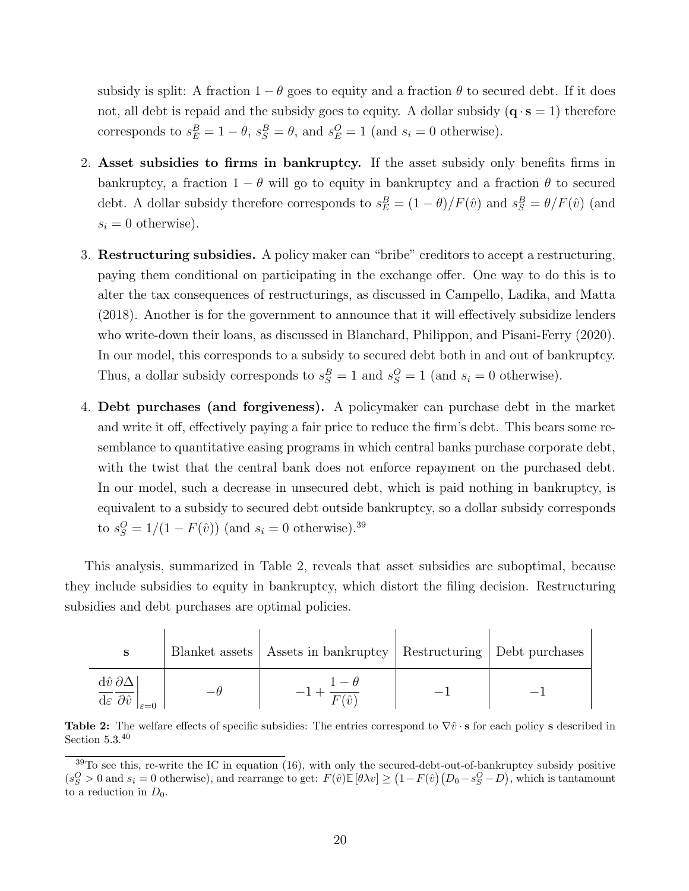subsidy is split: A fraction  $1 - \theta$  goes to equity and a fraction  $\theta$  to secured debt. If it does not, all debt is repaid and the subsidy goes to equity. A dollar subsidy  $(q \cdot s = 1)$  therefore corresponds to  $s_E^B = 1 - \theta$ ,  $s_S^B = \theta$ , and  $s_E^O = 1$  (and  $s_i = 0$  otherwise).

- 2. Asset subsidies to firms in bankruptcy. If the asset subsidy only benefits firms in bankruptcy, a fraction  $1 - \theta$  will go to equity in bankruptcy and a fraction  $\theta$  to secured debt. A dollar subsidy therefore corresponds to  $s_E^B = (1 - \theta)/F(\hat{v})$  and  $s_S^B = \theta/F(\hat{v})$  (and  $s_i = 0$  otherwise).
- 3. Restructuring subsidies. A policy maker can "bribe" creditors to accept a restructuring, paying them conditional on participating in the exchange offer. One way to do this is to alter the tax consequences of restructurings, as discussed in Campello, Ladika, and Matta (2018). Another is for the government to announce that it will effectively subsidize lenders who write-down their loans, as discussed in Blanchard, Philippon, and Pisani-Ferry (2020). In our model, this corresponds to a subsidy to secured debt both in and out of bankruptcy. Thus, a dollar subsidy corresponds to  $s_S^B = 1$  and  $s_S^O = 1$  (and  $s_i = 0$  otherwise).
- 4. Debt purchases (and forgiveness). A policymaker can purchase debt in the market and write it off, effectively paying a fair price to reduce the firm's debt. This bears some resemblance to quantitative easing programs in which central banks purchase corporate debt, with the twist that the central bank does not enforce repayment on the purchased debt. In our model, such a decrease in unsecured debt, which is paid nothing in bankruptcy, is equivalent to a subsidy to secured debt outside bankruptcy, so a dollar subsidy corresponds to  $s_S^O = 1/(1 - F(\hat{v}))$  (and  $s_i = 0$  otherwise).<sup>39</sup>

This analysis, summarized in Table 2, reveals that asset subsidies are suboptimal, because they include subsidies to equity in bankruptcy, which distort the filing decision. Restructuring subsidies and debt purchases are optimal policies.

| S                                                              | Blanket assets   Assets in bankruptcy   Restructuring   Debt purchases |  |
|----------------------------------------------------------------|------------------------------------------------------------------------|--|
| $d\hat{v}\,\partial\Delta$<br>d $\varepsilon \partial \hat{v}$ | $\sqrt{2}$                                                             |  |

**Table 2:** The welfare effects of specific subsidies: The entries correspond to  $\nabla \hat{v} \cdot \mathbf{s}$  for each policy s described in Section 5.3.<sup>40</sup>

 $39$ To see this, re-write the IC in equation (16), with only the secured-debt-out-of-bankruptcy subsidy positive  $(s_S^O > 0 \text{ and } s_i = 0 \text{ otherwise}),$  and rearrange to get:  $F(\hat{v}) \mathbb{E} [\theta \lambda v] \ge (1 - F(\hat{v}) (D_0 - s_S^O - D),$  which is tantamount to a reduction in  $D_0$ .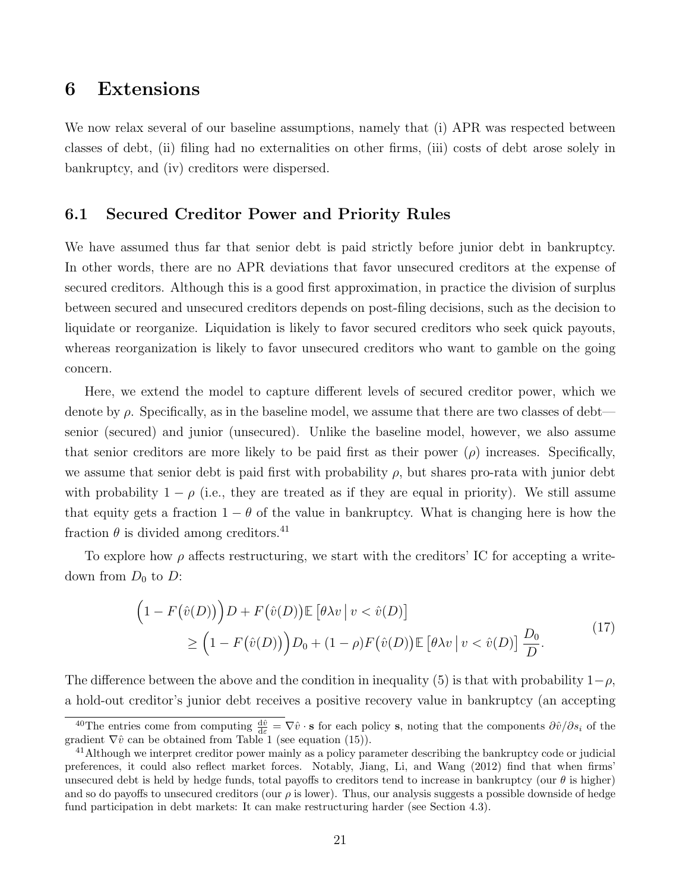## 6 Extensions

We now relax several of our baseline assumptions, namely that (i) APR was respected between classes of debt, (ii) filing had no externalities on other firms, (iii) costs of debt arose solely in bankruptcy, and (iv) creditors were dispersed.

### 6.1 Secured Creditor Power and Priority Rules

We have assumed thus far that senior debt is paid strictly before junior debt in bankruptcy. In other words, there are no APR deviations that favor unsecured creditors at the expense of secured creditors. Although this is a good first approximation, in practice the division of surplus between secured and unsecured creditors depends on post-filing decisions, such as the decision to liquidate or reorganize. Liquidation is likely to favor secured creditors who seek quick payouts, whereas reorganization is likely to favor unsecured creditors who want to gamble on the going concern.

Here, we extend the model to capture different levels of secured creditor power, which we denote by  $\rho$ . Specifically, as in the baseline model, we assume that there are two classes of debt senior (secured) and junior (unsecured). Unlike the baseline model, however, we also assume that senior creditors are more likely to be paid first as their power  $(\rho)$  increases. Specifically, we assume that senior debt is paid first with probability  $\rho$ , but shares pro-rata with junior debt with probability  $1 - \rho$  (i.e., they are treated as if they are equal in priority). We still assume that equity gets a fraction  $1 - \theta$  of the value in bankruptcy. What is changing here is how the fraction  $\theta$  is divided among creditors.<sup>41</sup>

To explore how  $\rho$  affects restructuring, we start with the creditors' IC for accepting a writedown from  $D_0$  to D:

$$
\left(1 - F(\hat{v}(D))\right)D + F(\hat{v}(D))\mathbb{E}\left[\theta\lambda v \mid v < \hat{v}(D)\right]
$$
\n
$$
\geq \left(1 - F(\hat{v}(D))\right)D_0 + (1 - \rho)F(\hat{v}(D))\mathbb{E}\left[\theta\lambda v \mid v < \hat{v}(D)\right]\frac{D_0}{D}.\tag{17}
$$

The difference between the above and the condition in inequality (5) is that with probability  $1-\rho$ , a hold-out creditor's junior debt receives a positive recovery value in bankruptcy (an accepting

<sup>&</sup>lt;sup>40</sup>The entries come from computing  $\frac{d\hat{v}}{d\varepsilon} = \nabla \hat{v} \cdot \mathbf{s}$  for each policy s, noting that the components  $\partial \hat{v}/\partial s_i$  of the gradient  $\nabla \hat{v}$  can be obtained from Table 1 (see equation (15)).

<sup>&</sup>lt;sup>41</sup>Although we interpret creditor power mainly as a policy parameter describing the bankruptcy code or judicial preferences, it could also reflect market forces. Notably, Jiang, Li, and Wang (2012) find that when firms' unsecured debt is held by hedge funds, total payoffs to creditors tend to increase in bankruptcy (our  $\theta$  is higher) and so do payoffs to unsecured creditors (our  $\rho$  is lower). Thus, our analysis suggests a possible downside of hedge fund participation in debt markets: It can make restructuring harder (see Section 4.3).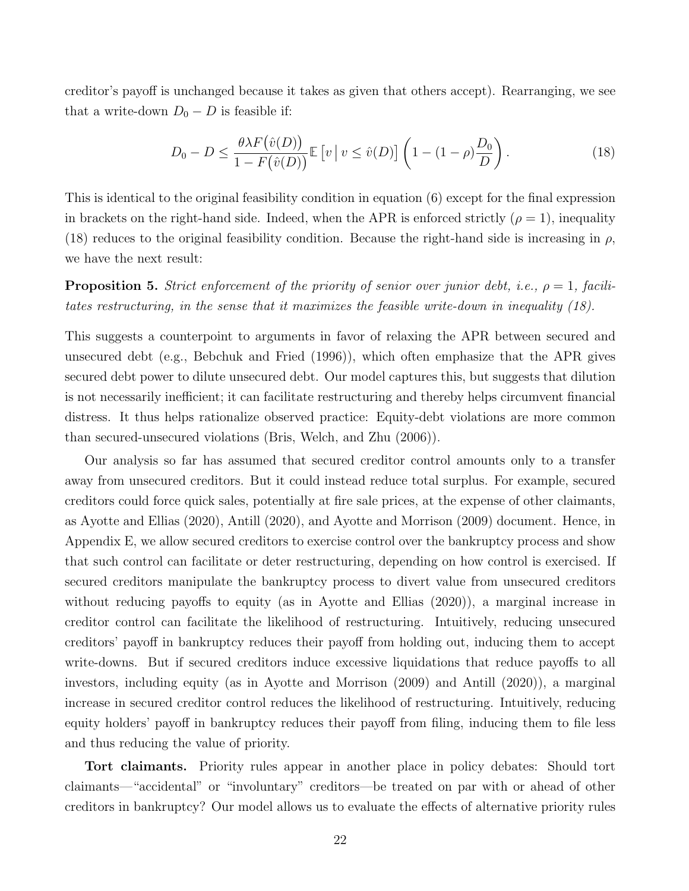creditor's payoff is unchanged because it takes as given that others accept). Rearranging, we see that a write-down  $D_0 - D$  is feasible if:

$$
D_0 - D \le \frac{\theta \lambda F(\hat{v}(D))}{1 - F(\hat{v}(D))} \mathbb{E}\left[v \mid v \le \hat{v}(D)\right] \left(1 - (1 - \rho)\frac{D_0}{D}\right). \tag{18}
$$

This is identical to the original feasibility condition in equation (6) except for the final expression in brackets on the right-hand side. Indeed, when the APR is enforced strictly  $(\rho = 1)$ , inequality (18) reduces to the original feasibility condition. Because the right-hand side is increasing in  $\rho$ , we have the next result:

**Proposition 5.** Strict enforcement of the priority of senior over junior debt, i.e.,  $\rho = 1$ , facilitates restructuring, in the sense that it maximizes the feasible write-down in inequality (18).

This suggests a counterpoint to arguments in favor of relaxing the APR between secured and unsecured debt (e.g., Bebchuk and Fried (1996)), which often emphasize that the APR gives secured debt power to dilute unsecured debt. Our model captures this, but suggests that dilution is not necessarily inefficient; it can facilitate restructuring and thereby helps circumvent financial distress. It thus helps rationalize observed practice: Equity-debt violations are more common than secured-unsecured violations (Bris, Welch, and Zhu (2006)).

Our analysis so far has assumed that secured creditor control amounts only to a transfer away from unsecured creditors. But it could instead reduce total surplus. For example, secured creditors could force quick sales, potentially at fire sale prices, at the expense of other claimants, as Ayotte and Ellias (2020), Antill (2020), and Ayotte and Morrison (2009) document. Hence, in Appendix E, we allow secured creditors to exercise control over the bankruptcy process and show that such control can facilitate or deter restructuring, depending on how control is exercised. If secured creditors manipulate the bankruptcy process to divert value from unsecured creditors without reducing payoffs to equity (as in Ayotte and Ellias (2020)), a marginal increase in creditor control can facilitate the likelihood of restructuring. Intuitively, reducing unsecured creditors' payoff in bankruptcy reduces their payoff from holding out, inducing them to accept write-downs. But if secured creditors induce excessive liquidations that reduce payoffs to all investors, including equity (as in Ayotte and Morrison (2009) and Antill (2020)), a marginal increase in secured creditor control reduces the likelihood of restructuring. Intuitively, reducing equity holders' payoff in bankruptcy reduces their payoff from filing, inducing them to file less and thus reducing the value of priority.

Tort claimants. Priority rules appear in another place in policy debates: Should tort claimants—"accidental" or "involuntary" creditors—be treated on par with or ahead of other creditors in bankruptcy? Our model allows us to evaluate the effects of alternative priority rules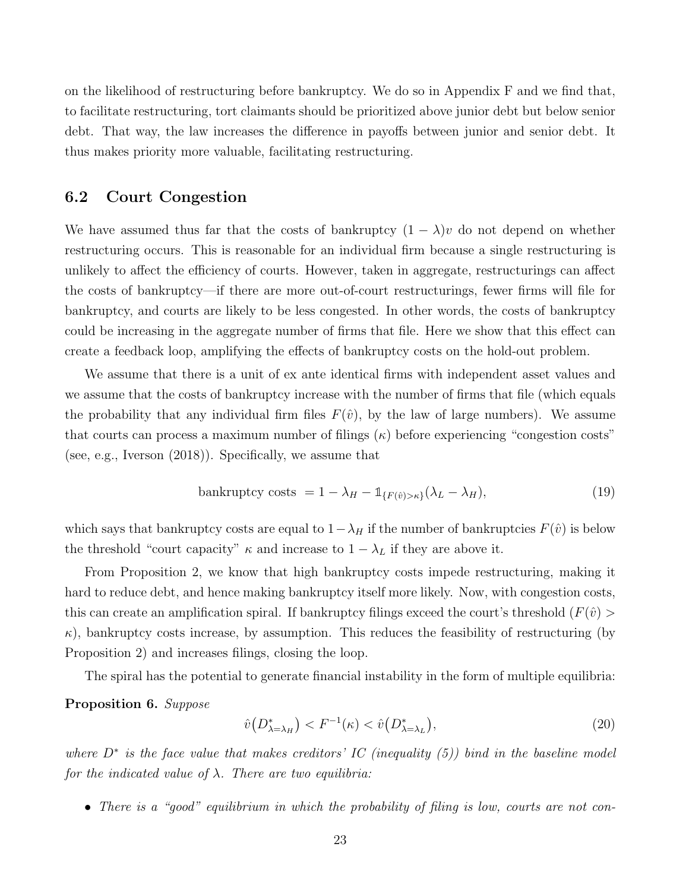on the likelihood of restructuring before bankruptcy. We do so in Appendix F and we find that, to facilitate restructuring, tort claimants should be prioritized above junior debt but below senior debt. That way, the law increases the difference in payoffs between junior and senior debt. It thus makes priority more valuable, facilitating restructuring.

### 6.2 Court Congestion

We have assumed thus far that the costs of bankruptcy  $(1 - \lambda)v$  do not depend on whether restructuring occurs. This is reasonable for an individual firm because a single restructuring is unlikely to affect the efficiency of courts. However, taken in aggregate, restructurings can affect the costs of bankruptcy—if there are more out-of-court restructurings, fewer firms will file for bankruptcy, and courts are likely to be less congested. In other words, the costs of bankruptcy could be increasing in the aggregate number of firms that file. Here we show that this effect can create a feedback loop, amplifying the effects of bankruptcy costs on the hold-out problem.

We assume that there is a unit of ex ante identical firms with independent asset values and we assume that the costs of bankruptcy increase with the number of firms that file (which equals the probability that any individual firm files  $F(\hat{v})$ , by the law of large numbers). We assume that courts can process a maximum number of filings  $(\kappa)$  before experiencing "congestion costs" (see, e.g., Iverson (2018)). Specifically, we assume that

$$
\text{bankruptcy costs} = 1 - \lambda_H - \mathbb{1}_{\{F(\hat{v}) > \kappa\}} (\lambda_L - \lambda_H),\tag{19}
$$

which says that bankruptcy costs are equal to  $1-\lambda_H$  if the number of bankruptcies  $F(\hat{v})$  is below the threshold "court capacity"  $\kappa$  and increase to  $1 - \lambda_L$  if they are above it.

From Proposition 2, we know that high bankruptcy costs impede restructuring, making it hard to reduce debt, and hence making bankruptcy itself more likely. Now, with congestion costs, this can create an amplification spiral. If bankruptcy filings exceed the court's threshold  $(F(\hat{v}))$  $\kappa$ ), bankruptcy costs increase, by assumption. This reduces the feasibility of restructuring (by Proposition 2) and increases filings, closing the loop.

The spiral has the potential to generate financial instability in the form of multiple equilibria:

### Proposition 6. Suppose

$$
\hat{v}\big(D_{\lambda=\lambda_H}^*\big) < F^{-1}(\kappa) < \hat{v}\big(D_{\lambda=\lambda_L}^*\big),\tag{20}
$$

where  $D^*$  is the face value that makes creditors' IC (inequality (5)) bind in the baseline model for the indicated value of  $\lambda$ . There are two equilibria:

• There is a "good" equilibrium in which the probability of filing is low, courts are not con-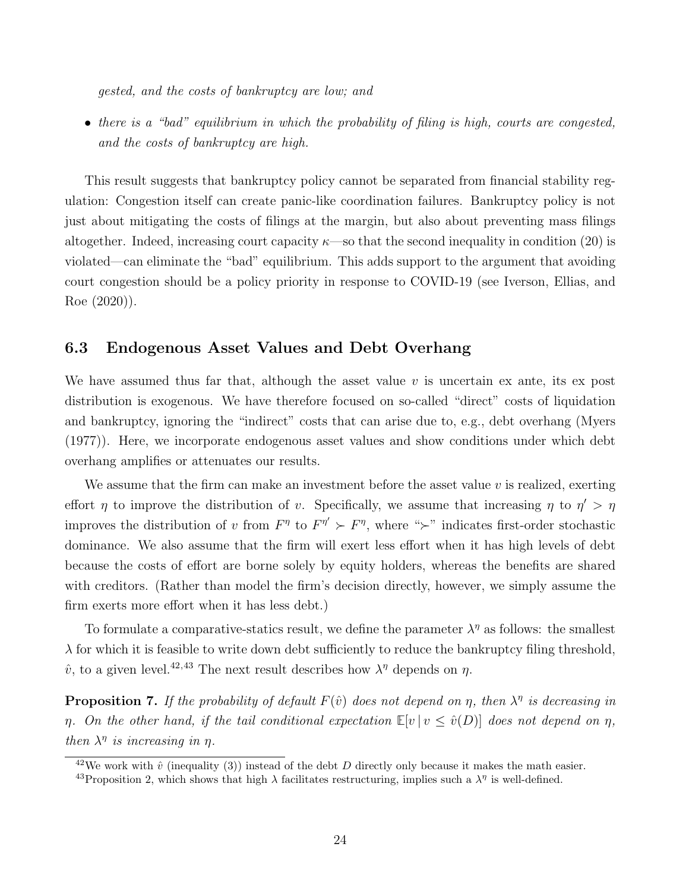gested, and the costs of bankruptcy are low; and

• there is a "bad" equilibrium in which the probability of filing is high, courts are congested, and the costs of bankruptcy are high.

This result suggests that bankruptcy policy cannot be separated from financial stability regulation: Congestion itself can create panic-like coordination failures. Bankruptcy policy is not just about mitigating the costs of filings at the margin, but also about preventing mass filings altogether. Indeed, increasing court capacity  $\kappa$ —so that the second inequality in condition (20) is violated—can eliminate the "bad" equilibrium. This adds support to the argument that avoiding court congestion should be a policy priority in response to COVID-19 (see Iverson, Ellias, and Roe (2020)).

### 6.3 Endogenous Asset Values and Debt Overhang

We have assumed thus far that, although the asset value  $v$  is uncertain ex ante, its ex post distribution is exogenous. We have therefore focused on so-called "direct" costs of liquidation and bankruptcy, ignoring the "indirect" costs that can arise due to, e.g., debt overhang (Myers (1977)). Here, we incorporate endogenous asset values and show conditions under which debt overhang amplifies or attenuates our results.

We assume that the firm can make an investment before the asset value  $v$  is realized, exerting effort  $\eta$  to improve the distribution of v. Specifically, we assume that increasing  $\eta$  to  $\eta' > \eta$ improves the distribution of v from  $F^{\eta}$  to  $F^{\eta'} \succ F^{\eta}$ , where " $\succ$ " indicates first-order stochastic dominance. We also assume that the firm will exert less effort when it has high levels of debt because the costs of effort are borne solely by equity holders, whereas the benefits are shared with creditors. (Rather than model the firm's decision directly, however, we simply assume the firm exerts more effort when it has less debt.)

To formulate a comparative-statics result, we define the parameter  $\lambda^{\eta}$  as follows: the smallest  $\lambda$  for which it is feasible to write down debt sufficiently to reduce the bankruptcy filing threshold,  $\hat{v}$ , to a given level.<sup>42,43</sup> The next result describes how  $\lambda^{\eta}$  depends on  $\eta$ .

**Proposition 7.** If the probability of default  $F(\hat{v})$  does not depend on  $\eta$ , then  $\lambda^{\eta}$  is decreasing in  $\eta$ . On the other hand, if the tail conditional expectation  $\mathbb{E}[v | v \leq \hat{v}(D)]$  does not depend on  $\eta$ , then  $\lambda^{\eta}$  is increasing in  $\eta$ .

<sup>&</sup>lt;sup>42</sup>We work with  $\hat{v}$  (inequality (3)) instead of the debt D directly only because it makes the math easier.

<sup>&</sup>lt;sup>43</sup>Proposition 2, which shows that high  $\lambda$  facilitates restructuring, implies such a  $\lambda^{\eta}$  is well-defined.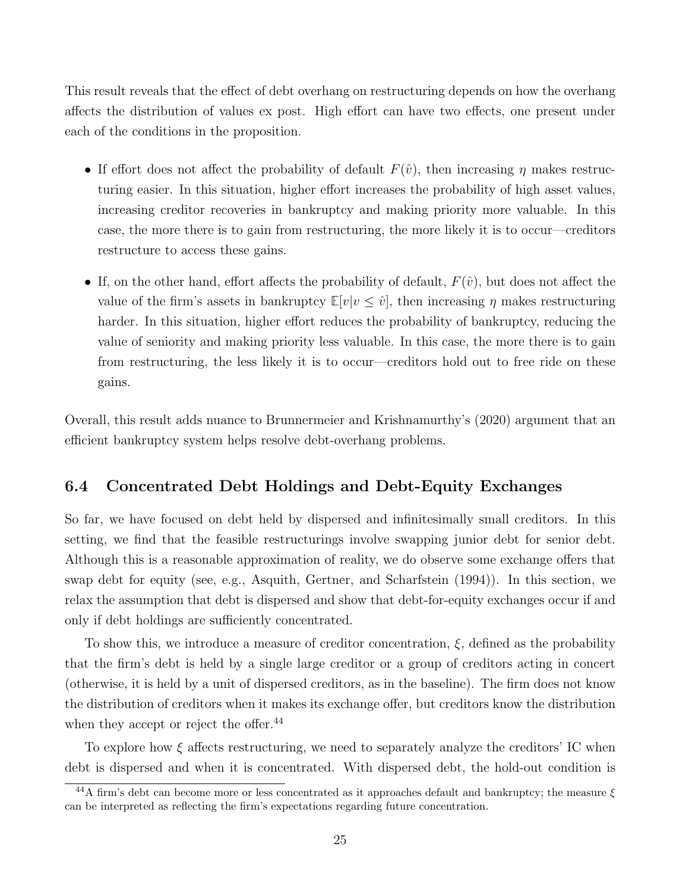This result reveals that the effect of debt overhang on restructuring depends on how the overhang affects the distribution of values ex post. High effort can have two effects, one present under each of the conditions in the proposition.

- If effort does not affect the probability of default  $F(\hat{v})$ , then increasing  $\eta$  makes restructuring easier. In this situation, higher effort increases the probability of high asset values, increasing creditor recoveries in bankruptcy and making priority more valuable. In this case, the more there is to gain from restructuring, the more likely it is to occur—creditors restructure to access these gains.
- If, on the other hand, effort affects the probability of default,  $F(\hat{v})$ , but does not affect the value of the firm's assets in bankruptcy  $\mathbb{E}[v|v \leq \hat{v}]$ , then increasing  $\eta$  makes restructuring harder. In this situation, higher effort reduces the probability of bankruptcy, reducing the value of seniority and making priority less valuable. In this case, the more there is to gain from restructuring, the less likely it is to occur—creditors hold out to free ride on these gains.

Overall, this result adds nuance to Brunnermeier and Krishnamurthy's (2020) argument that an efficient bankruptcy system helps resolve debt-overhang problems.

### 6.4 Concentrated Debt Holdings and Debt-Equity Exchanges

So far, we have focused on debt held by dispersed and infinitesimally small creditors. In this setting, we find that the feasible restructurings involve swapping junior debt for senior debt. Although this is a reasonable approximation of reality, we do observe some exchange offers that swap debt for equity (see, e.g., Asquith, Gertner, and Scharfstein (1994)). In this section, we relax the assumption that debt is dispersed and show that debt-for-equity exchanges occur if and only if debt holdings are sufficiently concentrated.

To show this, we introduce a measure of creditor concentration,  $\xi$ , defined as the probability that the firm's debt is held by a single large creditor or a group of creditors acting in concert (otherwise, it is held by a unit of dispersed creditors, as in the baseline). The firm does not know the distribution of creditors when it makes its exchange offer, but creditors know the distribution when they accept or reject the offer.<sup>44</sup>

To explore how  $\xi$  affects restructuring, we need to separately analyze the creditors' IC when debt is dispersed and when it is concentrated. With dispersed debt, the hold-out condition is

<sup>&</sup>lt;sup>44</sup>A firm's debt can become more or less concentrated as it approaches default and bankruptcy; the measure  $\xi$ can be interpreted as reflecting the firm's expectations regarding future concentration.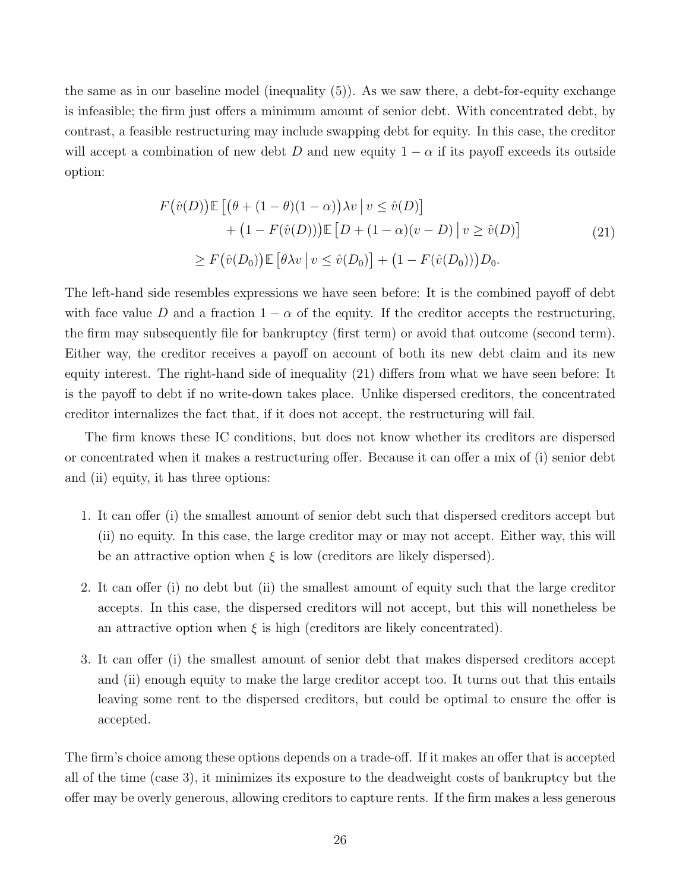the same as in our baseline model (inequality (5)). As we saw there, a debt-for-equity exchange is infeasible; the firm just offers a minimum amount of senior debt. With concentrated debt, by contrast, a feasible restructuring may include swapping debt for equity. In this case, the creditor will accept a combination of new debt D and new equity  $1 - \alpha$  if its payoff exceeds its outside option:

$$
F(\hat{v}(D)) \mathbb{E} [(\theta + (1 - \theta)(1 - \alpha))\lambda v | v \le \hat{v}(D)]
$$
  
+ 
$$
(1 - F(\hat{v}(D))) \mathbb{E} [D + (1 - \alpha)(v - D) | v \ge \hat{v}(D)]
$$
  

$$
\ge F(\hat{v}(D_0)) \mathbb{E} [\theta \lambda v | v \le \hat{v}(D_0)] + (1 - F(\hat{v}(D_0)))D_0.
$$
 (21)

The left-hand side resembles expressions we have seen before: It is the combined payoff of debt with face value D and a fraction  $1 - \alpha$  of the equity. If the creditor accepts the restructuring, the firm may subsequently file for bankruptcy (first term) or avoid that outcome (second term). Either way, the creditor receives a payoff on account of both its new debt claim and its new equity interest. The right-hand side of inequality (21) differs from what we have seen before: It is the payoff to debt if no write-down takes place. Unlike dispersed creditors, the concentrated creditor internalizes the fact that, if it does not accept, the restructuring will fail.

The firm knows these IC conditions, but does not know whether its creditors are dispersed or concentrated when it makes a restructuring offer. Because it can offer a mix of (i) senior debt and (ii) equity, it has three options:

- 1. It can offer (i) the smallest amount of senior debt such that dispersed creditors accept but (ii) no equity. In this case, the large creditor may or may not accept. Either way, this will be an attractive option when  $\xi$  is low (creditors are likely dispersed).
- 2. It can offer (i) no debt but (ii) the smallest amount of equity such that the large creditor accepts. In this case, the dispersed creditors will not accept, but this will nonetheless be an attractive option when  $\xi$  is high (creditors are likely concentrated).
- 3. It can offer (i) the smallest amount of senior debt that makes dispersed creditors accept and (ii) enough equity to make the large creditor accept too. It turns out that this entails leaving some rent to the dispersed creditors, but could be optimal to ensure the offer is accepted.

The firm's choice among these options depends on a trade-off. If it makes an offer that is accepted all of the time (case 3), it minimizes its exposure to the deadweight costs of bankruptcy but the offer may be overly generous, allowing creditors to capture rents. If the firm makes a less generous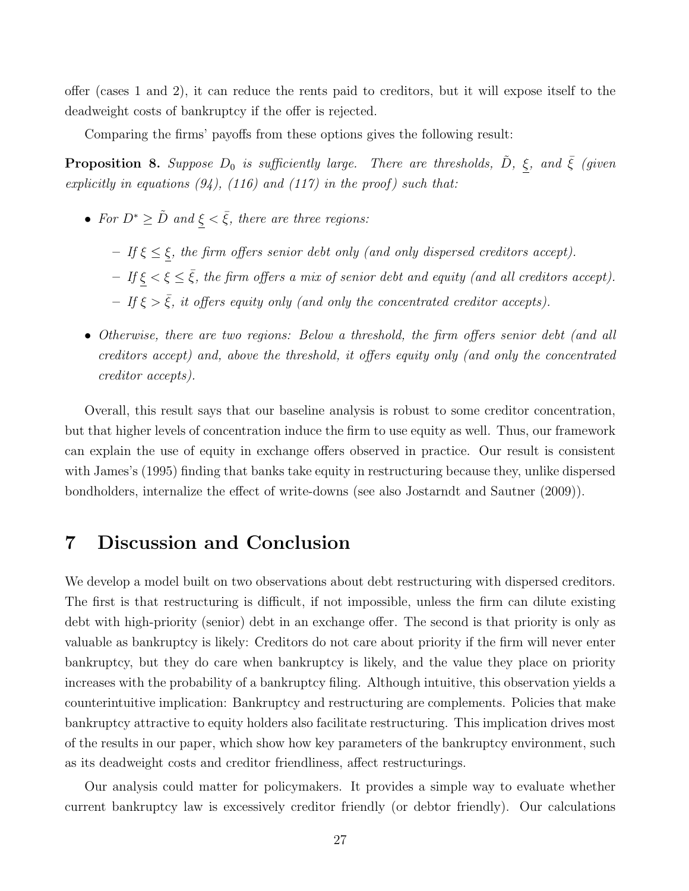offer (cases 1 and 2), it can reduce the rents paid to creditors, but it will expose itself to the deadweight costs of bankruptcy if the offer is rejected.

Comparing the firms' payoffs from these options gives the following result:

**Proposition 8.** Suppose  $D_0$  is sufficiently large. There are thresholds,  $\tilde{D}$ ,  $\xi$ , and  $\bar{\xi}$  (given explicitly in equations  $(94)$ ,  $(116)$  and  $(117)$  in the proof) such that:

- For  $D^* \geq \tilde{D}$  and  $\xi < \bar{\xi}$ , there are three regions:
	- $-$  If  $\xi \leq \xi$ , the firm offers senior debt only (and only dispersed creditors accept).
	- $-$  If  $\xi < \xi \leq \overline{\xi}$ , the firm offers a mix of senior debt and equity (and all creditors accept).
	- If  $\xi > \overline{\xi}$ , it offers equity only (and only the concentrated creditor accepts).
- Otherwise, there are two regions: Below a threshold, the firm offers senior debt (and all creditors accept) and, above the threshold, it offers equity only (and only the concentrated creditor accepts).

Overall, this result says that our baseline analysis is robust to some creditor concentration, but that higher levels of concentration induce the firm to use equity as well. Thus, our framework can explain the use of equity in exchange offers observed in practice. Our result is consistent with James's (1995) finding that banks take equity in restructuring because they, unlike dispersed bondholders, internalize the effect of write-downs (see also Jostarndt and Sautner (2009)).

## 7 Discussion and Conclusion

We develop a model built on two observations about debt restructuring with dispersed creditors. The first is that restructuring is difficult, if not impossible, unless the firm can dilute existing debt with high-priority (senior) debt in an exchange offer. The second is that priority is only as valuable as bankruptcy is likely: Creditors do not care about priority if the firm will never enter bankruptcy, but they do care when bankruptcy is likely, and the value they place on priority increases with the probability of a bankruptcy filing. Although intuitive, this observation yields a counterintuitive implication: Bankruptcy and restructuring are complements. Policies that make bankruptcy attractive to equity holders also facilitate restructuring. This implication drives most of the results in our paper, which show how key parameters of the bankruptcy environment, such as its deadweight costs and creditor friendliness, affect restructurings.

Our analysis could matter for policymakers. It provides a simple way to evaluate whether current bankruptcy law is excessively creditor friendly (or debtor friendly). Our calculations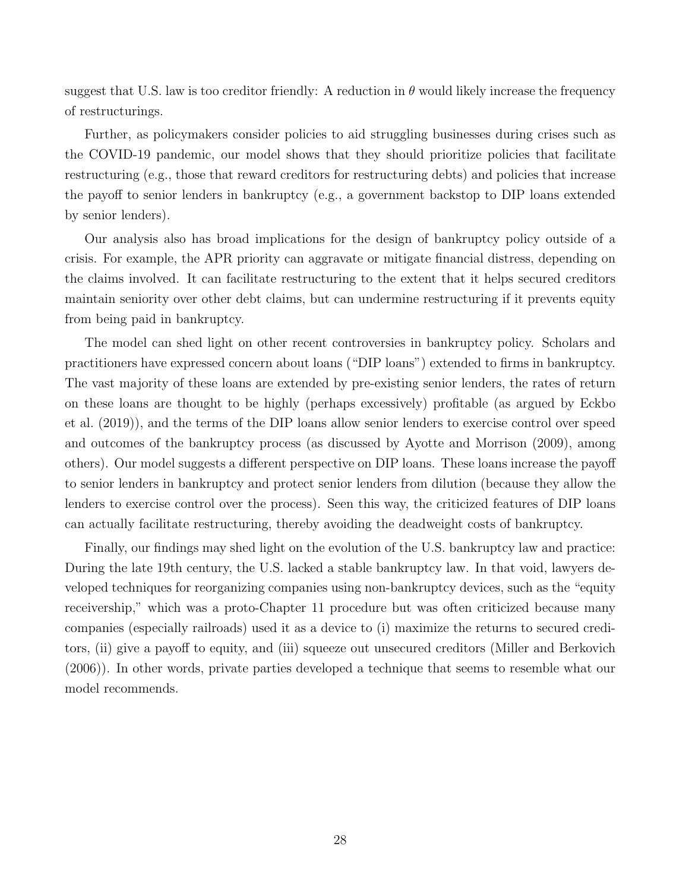suggest that U.S. law is too creditor friendly: A reduction in  $\theta$  would likely increase the frequency of restructurings.

Further, as policymakers consider policies to aid struggling businesses during crises such as the COVID-19 pandemic, our model shows that they should prioritize policies that facilitate restructuring (e.g., those that reward creditors for restructuring debts) and policies that increase the payoff to senior lenders in bankruptcy (e.g., a government backstop to DIP loans extended by senior lenders).

Our analysis also has broad implications for the design of bankruptcy policy outside of a crisis. For example, the APR priority can aggravate or mitigate financial distress, depending on the claims involved. It can facilitate restructuring to the extent that it helps secured creditors maintain seniority over other debt claims, but can undermine restructuring if it prevents equity from being paid in bankruptcy.

The model can shed light on other recent controversies in bankruptcy policy. Scholars and practitioners have expressed concern about loans ("DIP loans") extended to firms in bankruptcy. The vast majority of these loans are extended by pre-existing senior lenders, the rates of return on these loans are thought to be highly (perhaps excessively) profitable (as argued by Eckbo et al. (2019)), and the terms of the DIP loans allow senior lenders to exercise control over speed and outcomes of the bankruptcy process (as discussed by Ayotte and Morrison (2009), among others). Our model suggests a different perspective on DIP loans. These loans increase the payoff to senior lenders in bankruptcy and protect senior lenders from dilution (because they allow the lenders to exercise control over the process). Seen this way, the criticized features of DIP loans can actually facilitate restructuring, thereby avoiding the deadweight costs of bankruptcy.

Finally, our findings may shed light on the evolution of the U.S. bankruptcy law and practice: During the late 19th century, the U.S. lacked a stable bankruptcy law. In that void, lawyers developed techniques for reorganizing companies using non-bankruptcy devices, such as the "equity receivership," which was a proto-Chapter 11 procedure but was often criticized because many companies (especially railroads) used it as a device to (i) maximize the returns to secured creditors, (ii) give a payoff to equity, and (iii) squeeze out unsecured creditors (Miller and Berkovich (2006)). In other words, private parties developed a technique that seems to resemble what our model recommends.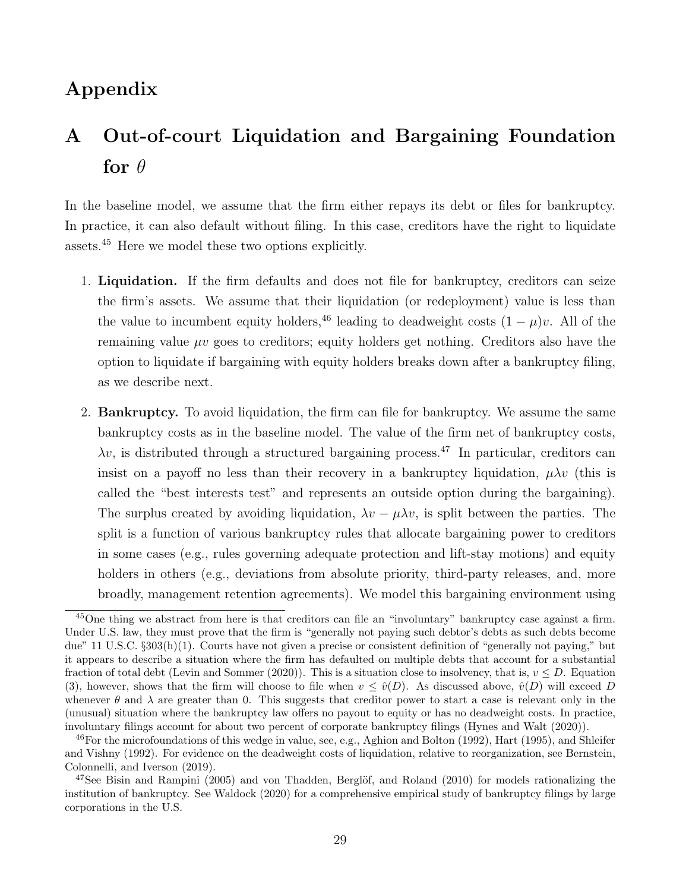# Appendix

# A Out-of-court Liquidation and Bargaining Foundation for  $\theta$

In the baseline model, we assume that the firm either repays its debt or files for bankruptcy. In practice, it can also default without filing. In this case, creditors have the right to liquidate assets.<sup>45</sup> Here we model these two options explicitly.

- 1. Liquidation. If the firm defaults and does not file for bankruptcy, creditors can seize the firm's assets. We assume that their liquidation (or redeployment) value is less than the value to incumbent equity holders,<sup>46</sup> leading to deadweight costs  $(1 - \mu)v$ . All of the remaining value  $\mu\nu$  goes to creditors; equity holders get nothing. Creditors also have the option to liquidate if bargaining with equity holders breaks down after a bankruptcy filing, as we describe next.
- 2. Bankruptcy. To avoid liquidation, the firm can file for bankruptcy. We assume the same bankruptcy costs as in the baseline model. The value of the firm net of bankruptcy costs,  $\lambda v$ , is distributed through a structured bargaining process.<sup>47</sup> In particular, creditors can insist on a payoff no less than their recovery in a bankruptcy liquidation,  $\mu \lambda v$  (this is called the "best interests test" and represents an outside option during the bargaining). The surplus created by avoiding liquidation,  $\lambda v - \mu \lambda v$ , is split between the parties. The split is a function of various bankruptcy rules that allocate bargaining power to creditors in some cases (e.g., rules governing adequate protection and lift-stay motions) and equity holders in others (e.g., deviations from absolute priority, third-party releases, and, more broadly, management retention agreements). We model this bargaining environment using

<sup>&</sup>lt;sup>45</sup>One thing we abstract from here is that creditors can file an "involuntary" bankruptcy case against a firm. Under U.S. law, they must prove that the firm is "generally not paying such debtor's debts as such debts become due" 11 U.S.C. §303(h)(1). Courts have not given a precise or consistent definition of "generally not paying," but it appears to describe a situation where the firm has defaulted on multiple debts that account for a substantial fraction of total debt (Levin and Sommer (2020)). This is a situation close to insolvency, that is,  $v \leq D$ . Equation (3), however, shows that the firm will choose to file when  $v \leq \hat{v}(D)$ . As discussed above,  $\hat{v}(D)$  will exceed D whenever  $\theta$  and  $\lambda$  are greater than 0. This suggests that creditor power to start a case is relevant only in the (unusual) situation where the bankruptcy law offers no payout to equity or has no deadweight costs. In practice, involuntary filings account for about two percent of corporate bankruptcy filings (Hynes and Walt (2020)).

<sup>&</sup>lt;sup>46</sup>For the microfoundations of this wedge in value, see, e.g., Aghion and Bolton (1992), Hart (1995), and Shleifer and Vishny (1992). For evidence on the deadweight costs of liquidation, relative to reorganization, see Bernstein, Colonnelli, and Iverson (2019).

 $^{47}$ See Bisin and Rampini (2005) and von Thadden, Berglöf, and Roland (2010) for models rationalizing the institution of bankruptcy. See Waldock (2020) for a comprehensive empirical study of bankruptcy filings by large corporations in the U.S.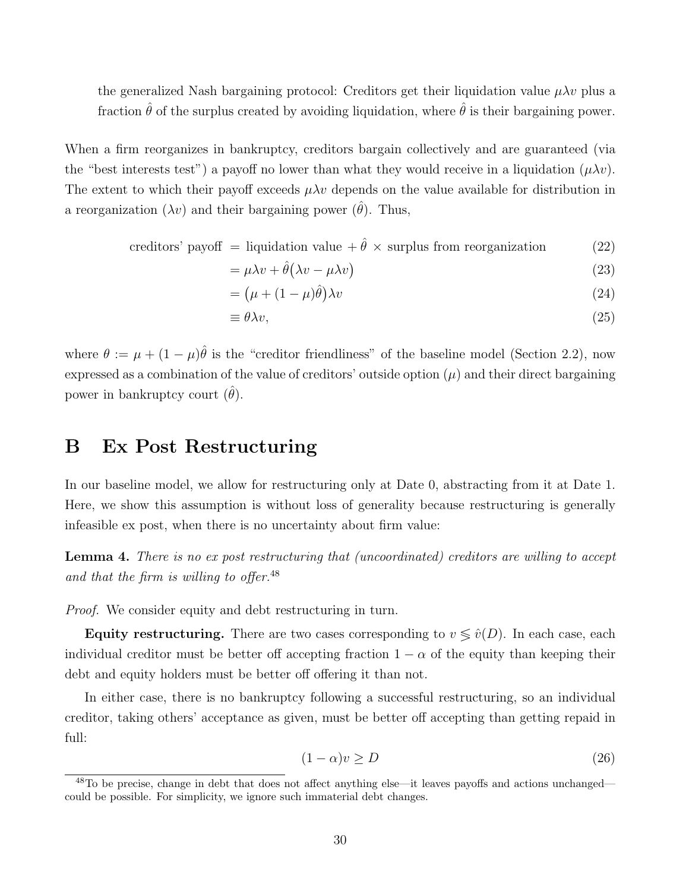the generalized Nash bargaining protocol: Creditors get their liquidation value  $\mu \lambda v$  plus a fraction  $\hat{\theta}$  of the surplus created by avoiding liquidation, where  $\hat{\theta}$  is their bargaining power.

When a firm reorganizes in bankruptcy, creditors bargain collectively and are guaranteed (via the "best interests test") a payoff no lower than what they would receive in a liquidation  $(\mu \lambda v)$ . The extent to which their payoff exceeds  $\mu \lambda v$  depends on the value available for distribution in a reorganization  $(\lambda v)$  and their bargaining power  $(\hat{\theta})$ . Thus,

creditors' payoff = liquidation value +  $\hat{\theta} \times$  surplus from reorganization (22)

$$
= \mu \lambda v + \hat{\theta} (\lambda v - \mu \lambda v) \tag{23}
$$

$$
= (\mu + (1 - \mu)\hat{\theta})\lambda v \tag{24}
$$

$$
\equiv \theta \lambda v,\tag{25}
$$

where  $\theta := \mu + (1 - \mu)\hat{\theta}$  is the "creditor friendliness" of the baseline model (Section 2.2), now expressed as a combination of the value of creditors' outside option  $(\mu)$  and their direct bargaining power in bankruptcy court  $(\theta)$ .

# B Ex Post Restructuring

In our baseline model, we allow for restructuring only at Date 0, abstracting from it at Date 1. Here, we show this assumption is without loss of generality because restructuring is generally infeasible ex post, when there is no uncertainty about firm value:

Lemma 4. There is no ex post restructuring that (uncoordinated) creditors are willing to accept and that the firm is willing to offer. $48$ 

Proof. We consider equity and debt restructuring in turn.

Equity restructuring. There are two cases corresponding to  $v \leq \hat{v}(D)$ . In each case, each individual creditor must be better off accepting fraction  $1 - \alpha$  of the equity than keeping their debt and equity holders must be better off offering it than not.

In either case, there is no bankruptcy following a successful restructuring, so an individual creditor, taking others' acceptance as given, must be better off accepting than getting repaid in full:

$$
(1 - \alpha)v \ge D \tag{26}
$$

<sup>48</sup>To be precise, change in debt that does not affect anything else—it leaves payoffs and actions unchanged could be possible. For simplicity, we ignore such immaterial debt changes.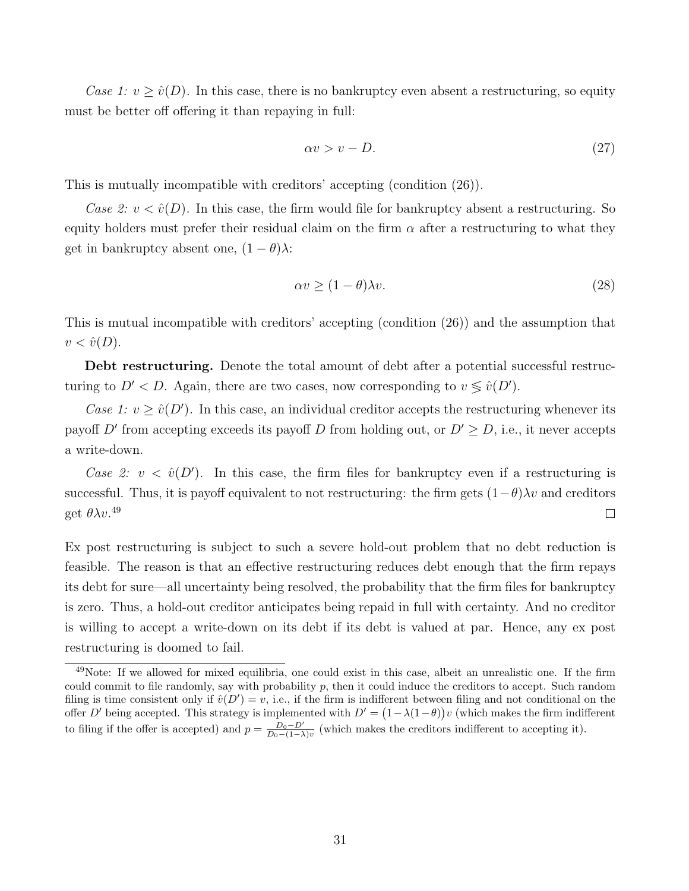Case 1:  $v \geq \hat{v}(D)$ . In this case, there is no bankruptcy even absent a restructuring, so equity must be better off offering it than repaying in full:

$$
\alpha v > v - D. \tag{27}
$$

This is mutually incompatible with creditors' accepting (condition (26)).

Case 2:  $v < \hat{v}(D)$ . In this case, the firm would file for bankruptcy absent a restructuring. So equity holders must prefer their residual claim on the firm  $\alpha$  after a restructuring to what they get in bankruptcy absent one,  $(1 - \theta)\lambda$ :

$$
\alpha v \ge (1 - \theta)\lambda v. \tag{28}
$$

This is mutual incompatible with creditors' accepting (condition (26)) and the assumption that  $v < \hat{v}(D)$ .

Debt restructuring. Denote the total amount of debt after a potential successful restructuring to  $D' < D$ . Again, there are two cases, now corresponding to  $v \leq \hat{v}(D')$ .

Case 1:  $v \geq \hat{v}(D')$ . In this case, an individual creditor accepts the restructuring whenever its payoff D' from accepting exceeds its payoff D from holding out, or  $D' \geq D$ , i.e., it never accepts a write-down.

Case 2:  $v < \hat{v}(D')$ . In this case, the firm files for bankruptcy even if a restructuring is successful. Thus, it is payoff equivalent to not restructuring: the firm gets  $(1-\theta)\lambda v$  and creditors get  $\theta \lambda v$ .<sup>49</sup>  $\Box$ 

Ex post restructuring is subject to such a severe hold-out problem that no debt reduction is feasible. The reason is that an effective restructuring reduces debt enough that the firm repays its debt for sure—all uncertainty being resolved, the probability that the firm files for bankruptcy is zero. Thus, a hold-out creditor anticipates being repaid in full with certainty. And no creditor is willing to accept a write-down on its debt if its debt is valued at par. Hence, any ex post restructuring is doomed to fail.

<sup>&</sup>lt;sup>49</sup>Note: If we allowed for mixed equilibria, one could exist in this case, albeit an unrealistic one. If the firm could commit to file randomly, say with probability  $p$ , then it could induce the creditors to accept. Such random filing is time consistent only if  $\hat{v}(D') = v$ , i.e., if the firm is indifferent between filing and not conditional on the offer D' being accepted. This strategy is implemented with  $D' = (1 - \lambda(1 - \theta))v$  (which makes the firm indifferent to filing if the offer is accepted) and  $p = \frac{D_0 - D'}{D_0 - (1 - \lambda)v}$  (which makes the creditors indifferent to accepting it).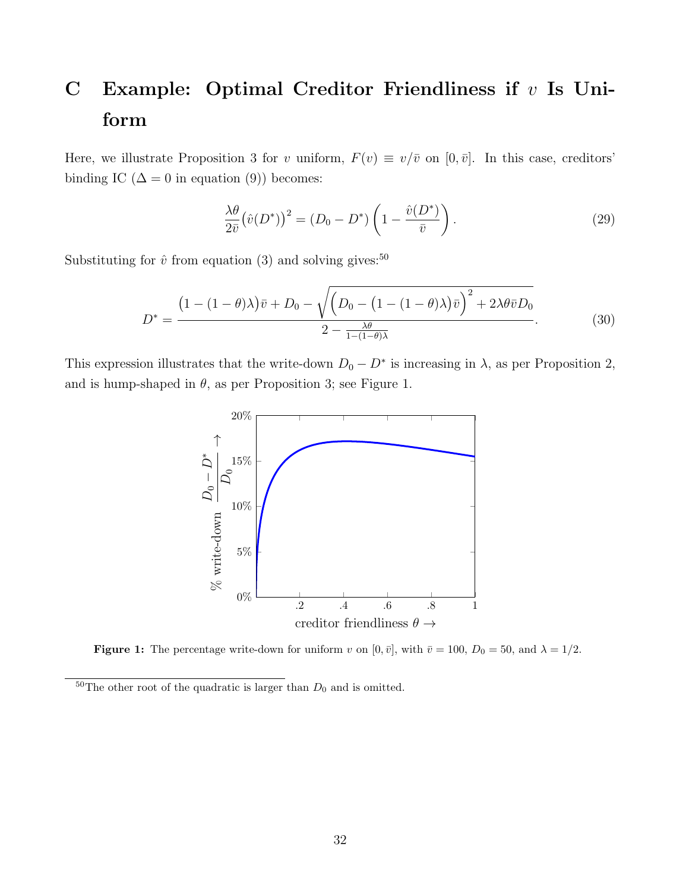# C Example: Optimal Creditor Friendliness if  $v$  Is Uniform

Here, we illustrate Proposition 3 for v uniform,  $F(v) \equiv v/\bar{v}$  on  $[0, \bar{v}]$ . In this case, creditors' binding IC ( $\Delta = 0$  in equation (9)) becomes:

$$
\frac{\lambda \theta}{2\bar{v}} \left(\hat{v}(D^*)\right)^2 = (D_0 - D^*) \left(1 - \frac{\hat{v}(D^*)}{\bar{v}}\right). \tag{29}
$$

Substituting for  $\hat{v}$  from equation (3) and solving gives:<sup>50</sup>

$$
D^* = \frac{\left(1 - (1 - \theta)\lambda\right)\bar{v} + D_0 - \sqrt{\left(D_0 - (1 - (1 - \theta)\lambda\right)\bar{v}\right)^2 + 2\lambda\theta\bar{v}D_0}}{2 - \frac{\lambda\theta}{1 - (1 - \theta)\lambda}}.\tag{30}
$$

This expression illustrates that the write-down  $D_0 - D^*$  is increasing in  $\lambda$ , as per Proposition 2, and is hump-shaped in  $\theta$ , as per Proposition 3; see Figure 1.



**Figure 1:** The percentage write-down for uniform v on  $[0, \bar{v}]$ , with  $\bar{v} = 100$ ,  $D_0 = 50$ , and  $\lambda = 1/2$ .

<sup>&</sup>lt;sup>50</sup>The other root of the quadratic is larger than  $D_0$  and is omitted.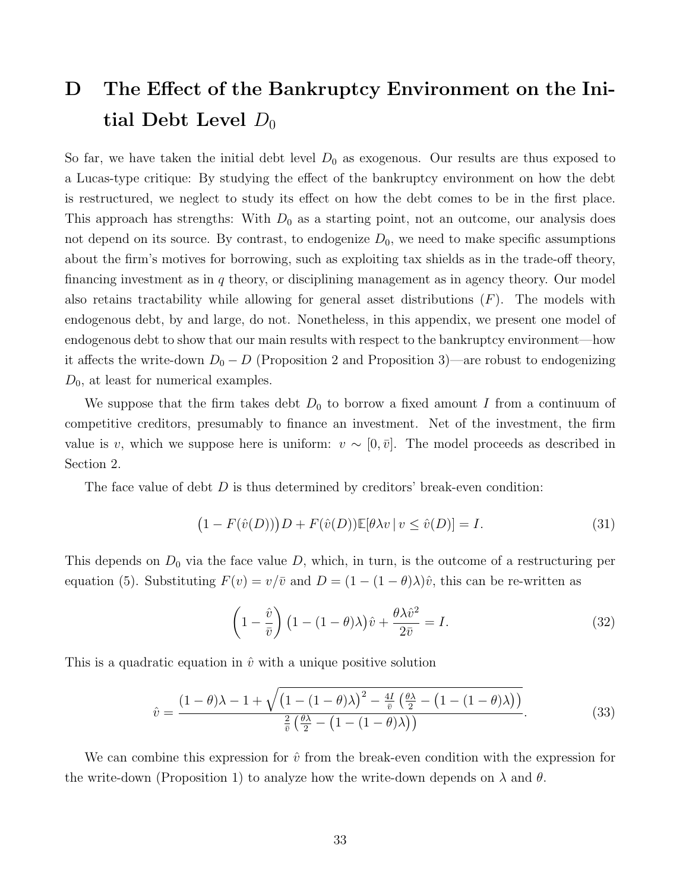# D The Effect of the Bankruptcy Environment on the Initial Debt Level  $D_0$

So far, we have taken the initial debt level  $D_0$  as exogenous. Our results are thus exposed to a Lucas-type critique: By studying the effect of the bankruptcy environment on how the debt is restructured, we neglect to study its effect on how the debt comes to be in the first place. This approach has strengths: With  $D_0$  as a starting point, not an outcome, our analysis does not depend on its source. By contrast, to endogenize  $D_0$ , we need to make specific assumptions about the firm's motives for borrowing, such as exploiting tax shields as in the trade-off theory, financing investment as in  $q$  theory, or disciplining management as in agency theory. Our model also retains tractability while allowing for general asset distributions  $(F)$ . The models with endogenous debt, by and large, do not. Nonetheless, in this appendix, we present one model of endogenous debt to show that our main results with respect to the bankruptcy environment—how it affects the write-down  $D_0 - D$  (Proposition 2 and Proposition 3)—are robust to endogenizing  $D_0$ , at least for numerical examples.

We suppose that the firm takes debt  $D_0$  to borrow a fixed amount I from a continuum of competitive creditors, presumably to finance an investment. Net of the investment, the firm value is v, which we suppose here is uniform:  $v \sim [0, \bar{v}]$ . The model proceeds as described in Section 2.

The face value of debt  $D$  is thus determined by creditors' break-even condition:

$$
(1 - F(\hat{v}(D)))D + F(\hat{v}(D))\mathbb{E}[\theta\lambda v \mid v \le \hat{v}(D)] = I.
$$
\n(31)

This depends on  $D_0$  via the face value  $D$ , which, in turn, is the outcome of a restructuring per equation (5). Substituting  $F(v) = v/\bar{v}$  and  $D = (1 - (1 - \theta)\lambda)\hat{v}$ , this can be re-written as

$$
\left(1 - \frac{\hat{v}}{\bar{v}}\right) \left(1 - (1 - \theta)\lambda\right) \hat{v} + \frac{\theta \lambda \hat{v}^2}{2\bar{v}} = I.
$$
\n(32)

This is a quadratic equation in  $\hat{v}$  with a unique positive solution

$$
\hat{v} = \frac{\left(1-\theta\right)\lambda - 1 + \sqrt{\left(1 - \left(1-\theta\right)\lambda\right)^2 - \frac{4I}{\bar{v}}\left(\frac{\theta\lambda}{2} - \left(1 - \left(1-\theta\right)\lambda\right)\right)}}{\frac{2}{\bar{v}}\left(\frac{\theta\lambda}{2} - \left(1 - \left(1-\theta\right)\lambda\right)\right)}.\tag{33}
$$

We can combine this expression for  $\hat{v}$  from the break-even condition with the expression for the write-down (Proposition 1) to analyze how the write-down depends on  $\lambda$  and  $\theta$ .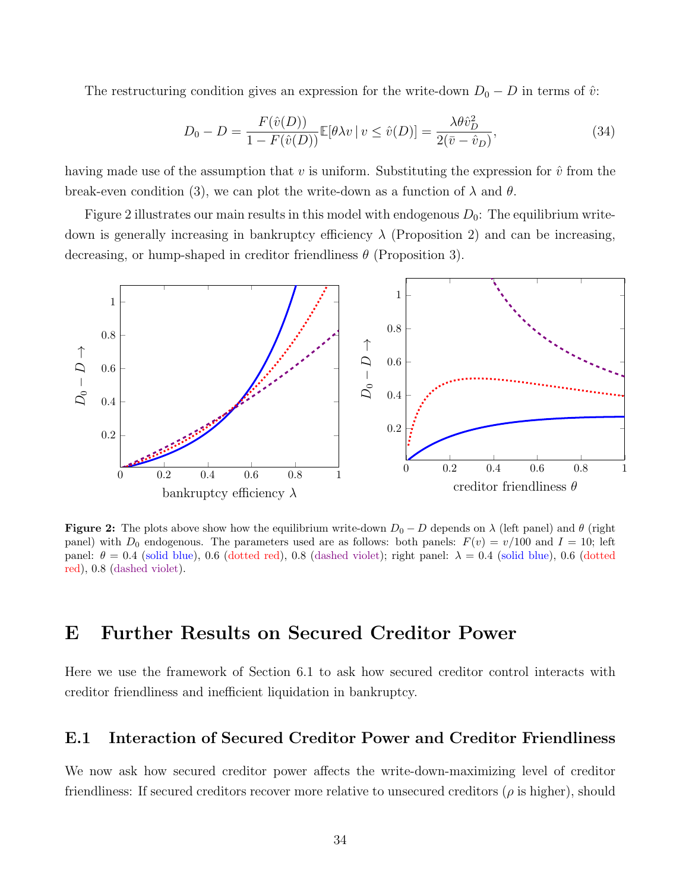The restructuring condition gives an expression for the write-down  $D_0 - D$  in terms of  $\hat{v}$ :

$$
D_0 - D = \frac{F(\hat{v}(D))}{1 - F(\hat{v}(D))} \mathbb{E}[\theta \lambda v \mid v \le \hat{v}(D)] = \frac{\lambda \theta \hat{v}_D^2}{2(\bar{v} - \hat{v}_D)},
$$
\n(34)

having made use of the assumption that v is uniform. Substituting the expression for  $\hat{v}$  from the break-even condition (3), we can plot the write-down as a function of  $\lambda$  and  $\theta$ .

Figure 2 illustrates our main results in this model with endogenous  $D_0$ : The equilibrium writedown is generally increasing in bankruptcy efficiency  $\lambda$  (Proposition 2) and can be increasing, decreasing, or hump-shaped in creditor friendliness  $\theta$  (Proposition 3).



**Figure 2:** The plots above show how the equilibrium write-down  $D_0 - D$  depends on  $\lambda$  (left panel) and  $\theta$  (right panel) with  $D_0$  endogenous. The parameters used are as follows: both panels:  $F(v) = v/100$  and  $I = 10$ ; left panel:  $\theta = 0.4$  (solid blue), 0.6 (dotted red), 0.8 (dashed violet); right panel:  $\lambda = 0.4$  (solid blue), 0.6 (dotted red), 0.8 (dashed violet).

## E Further Results on Secured Creditor Power

Here we use the framework of Section 6.1 to ask how secured creditor control interacts with creditor friendliness and inefficient liquidation in bankruptcy.

### E.1 Interaction of Secured Creditor Power and Creditor Friendliness

We now ask how secured creditor power affects the write-down-maximizing level of creditor friendliness: If secured creditors recover more relative to unsecured creditors ( $\rho$  is higher), should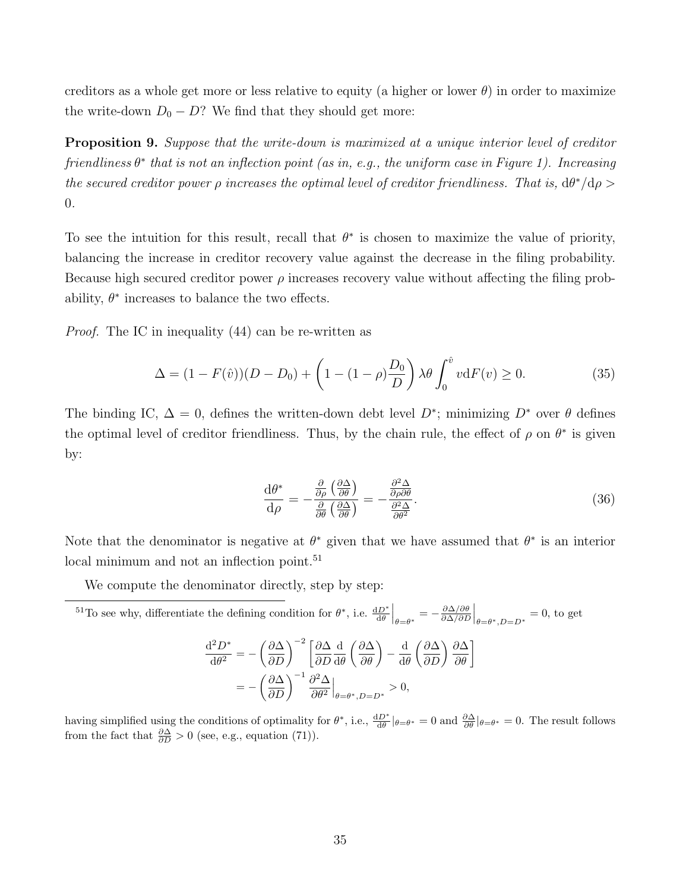creditors as a whole get more or less relative to equity (a higher or lower  $\theta$ ) in order to maximize the write-down  $D_0 - D$ ? We find that they should get more:

Proposition 9. Suppose that the write-down is maximized at a unique interior level of creditor friendliness  $\theta^*$  that is not an inflection point (as in, e.g., the uniform case in Figure 1). Increasing the secured creditor power  $\rho$  increases the optimal level of creditor friendliness. That is,  $d\theta^*/d\rho >$ 0.

To see the intuition for this result, recall that  $\theta^*$  is chosen to maximize the value of priority, balancing the increase in creditor recovery value against the decrease in the filing probability. Because high secured creditor power  $\rho$  increases recovery value without affecting the filing probability,  $\theta^*$  increases to balance the two effects.

Proof. The IC in inequality (44) can be re-written as

$$
\Delta = (1 - F(\hat{v}))(D - D_0) + \left(1 - (1 - \rho)\frac{D_0}{D}\right)\lambda \theta \int_0^{\hat{v}} v \,dF(v) \ge 0. \tag{35}
$$

The binding IC,  $\Delta = 0$ , defines the written-down debt level  $D^*$ ; minimizing  $D^*$  over  $\theta$  defines the optimal level of creditor friendliness. Thus, by the chain rule, the effect of  $\rho$  on  $\theta^*$  is given by:

$$
\frac{\mathrm{d}\theta^*}{\mathrm{d}\rho} = -\frac{\frac{\partial}{\partial\rho} \left(\frac{\partial \Delta}{\partial \theta}\right)}{\frac{\partial}{\partial\theta} \left(\frac{\partial \Delta}{\partial \theta}\right)} = -\frac{\frac{\partial^2 \Delta}{\partial\rho \partial \theta}}{\frac{\partial^2 \Delta}{\partial\theta^2}}.\tag{36}
$$

Note that the denominator is negative at  $\theta^*$  given that we have assumed that  $\theta^*$  is an interior local minimum and not an inflection point.<sup>51</sup>

We compute the denominator directly, step by step:

$$
^{51}\text{To see why, differentiate the defining condition for }\theta^*, \text{ i.e. } \frac{\mathrm{d}D^*}{\mathrm{d}\theta}\Big|_{\theta=\theta^*} = -\frac{\partial \Delta/\partial \theta}{\partial \Delta/\partial D}\Big|_{\theta=\theta^*, D=D^*} = 0, \text{ to get}
$$
\n
$$
\frac{\mathrm{d}^2 D^*}{\mathrm{d}\theta^2} = -\left(\frac{\partial \Delta}{\partial D}\right)^{-2} \left[\frac{\partial \Delta}{\partial D}\frac{\mathrm{d}}{\mathrm{d}\theta}\left(\frac{\partial \Delta}{\partial \theta}\right) - \frac{\mathrm{d}}{\mathrm{d}\theta}\left(\frac{\partial \Delta}{\partial D}\right)\frac{\partial \Delta}{\partial \theta}\right]
$$
\n
$$
= -\left(\frac{\partial \Delta}{\partial D}\right)^{-1} \frac{\partial^2 \Delta}{\partial \theta^2}\Big|_{\theta=\theta^*, D=D^*} > 0,
$$

having simplified using the conditions of optimality for  $\theta^*$ , i.e.,  $\frac{dD^*}{d\theta}|_{\theta=\theta^*}=0$  and  $\frac{\partial \Delta}{\partial \theta}|_{\theta=\theta^*}=0$ . The result follows from the fact that  $\frac{\partial \Delta}{\partial D} > 0$  (see, e.g., equation (71)).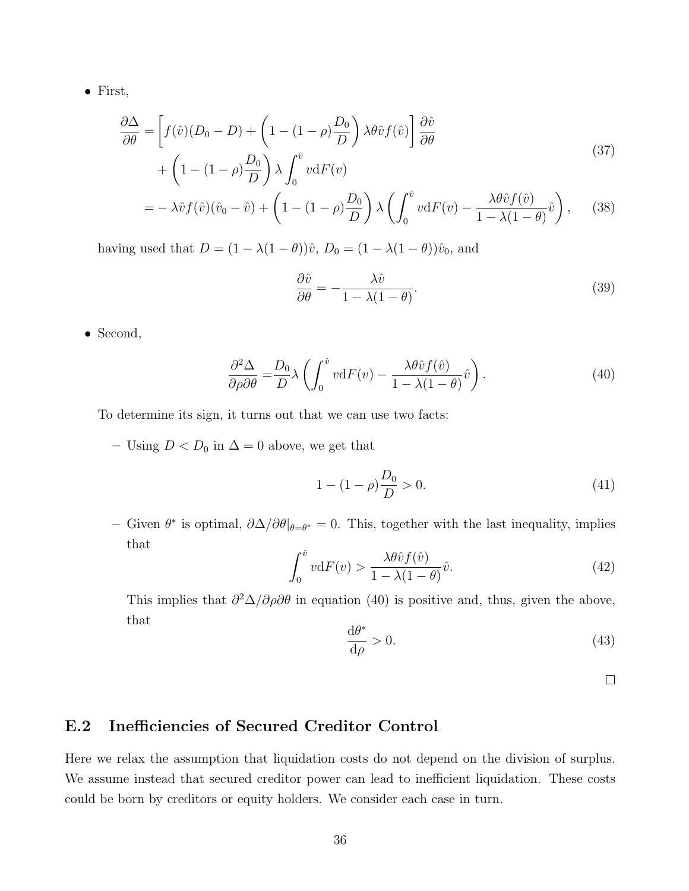• First,

$$
\frac{\partial \Delta}{\partial \theta} = \left[ f(\hat{v})(D_0 - D) + \left(1 - (1 - \rho)\frac{D_0}{D}\right) \lambda \theta \hat{v} f(\hat{v}) \right] \frac{\partial \hat{v}}{\partial \theta} \n+ \left(1 - (1 - \rho)\frac{D_0}{D}\right) \lambda \int_0^{\hat{v}} v \, dF(v)
$$
\n(37)

$$
= -\lambda \hat{v} f(\hat{v}) (\hat{v}_0 - \hat{v}) + \left(1 - (1 - \rho) \frac{D_0}{D}\right) \lambda \left(\int_0^{\hat{v}} v \mathrm{d}F(v) - \frac{\lambda \theta \hat{v} f(\hat{v})}{1 - \lambda (1 - \theta)} \hat{v}\right), \quad (38)
$$

having used that  $D = (1 - \lambda(1 - \theta))\hat{v}$ ,  $D_0 = (1 - \lambda(1 - \theta))\hat{v}_0$ , and

$$
\frac{\partial \hat{v}}{\partial \theta} = -\frac{\lambda \hat{v}}{1 - \lambda (1 - \theta)}.
$$
\n(39)

• Second,

$$
\frac{\partial^2 \Delta}{\partial \rho \partial \theta} = \frac{D_0}{D} \lambda \left( \int_0^{\hat{v}} v \, dF(v) - \frac{\lambda \theta \hat{v} f(\hat{v})}{1 - \lambda (1 - \theta)} \hat{v} \right). \tag{40}
$$

To determine its sign, it turns out that we can use two facts:

– Using *D* < *D*<sub>0</sub> in  $\Delta$  = 0 above, we get that

$$
1 - (1 - \rho) \frac{D_0}{D} > 0. \tag{41}
$$

– Given  $θ^*$  is optimal,  $\partial \Delta/\partial θ|_{θ=θ^*}=0$ . This, together with the last inequality, implies that

$$
\int_0^{\hat{v}} v \mathrm{d}F(v) > \frac{\lambda \theta \hat{v} f(\hat{v})}{1 - \lambda (1 - \theta)} \hat{v}.\tag{42}
$$

This implies that  $\partial^2 \Delta / \partial \rho \partial \theta$  in equation (40) is positive and, thus, given the above, that

$$
\frac{\mathrm{d}\theta^*}{\mathrm{d}\rho} > 0.\tag{43}
$$

 $\Box$ 

## E.2 Inefficiencies of Secured Creditor Control

Here we relax the assumption that liquidation costs do not depend on the division of surplus. We assume instead that secured creditor power can lead to inefficient liquidation. These costs could be born by creditors or equity holders. We consider each case in turn.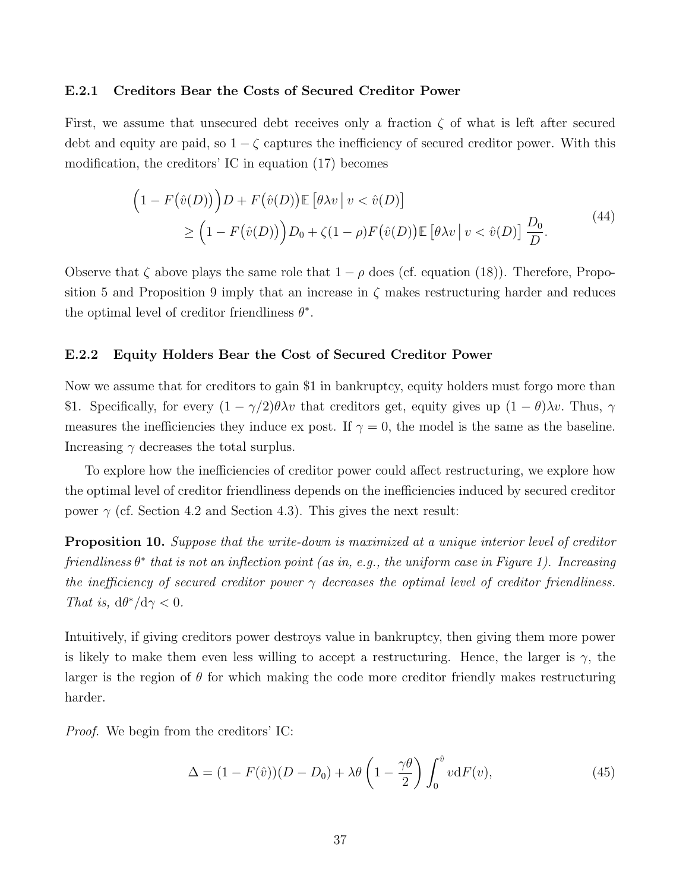#### E.2.1 Creditors Bear the Costs of Secured Creditor Power

First, we assume that unsecured debt receives only a fraction  $\zeta$  of what is left after secured debt and equity are paid, so  $1 - \zeta$  captures the inefficiency of secured creditor power. With this modification, the creditors' IC in equation (17) becomes

$$
\left(1 - F(\hat{v}(D))\right)D + F(\hat{v}(D))\mathbb{E}\left[\theta\lambda v \middle| v < \hat{v}(D)\right] \\
\geq \left(1 - F(\hat{v}(D))\right)D_0 + \zeta(1 - \rho)F(\hat{v}(D))\mathbb{E}\left[\theta\lambda v \middle| v < \hat{v}(D)\right]\frac{D_0}{D}.\n\tag{44}
$$

Observe that  $\zeta$  above plays the same role that  $1 - \rho$  does (cf. equation (18)). Therefore, Proposition 5 and Proposition 9 imply that an increase in  $\zeta$  makes restructuring harder and reduces the optimal level of creditor friendliness  $\theta^*$ .

#### E.2.2 Equity Holders Bear the Cost of Secured Creditor Power

Now we assume that for creditors to gain \$1 in bankruptcy, equity holders must forgo more than \$1. Specifically, for every  $(1 - \gamma/2)\theta\lambda v$  that creditors get, equity gives up  $(1 - \theta)\lambda v$ . Thus,  $\gamma$ measures the inefficiencies they induce ex post. If  $\gamma = 0$ , the model is the same as the baseline. Increasing  $\gamma$  decreases the total surplus.

To explore how the inefficiencies of creditor power could affect restructuring, we explore how the optimal level of creditor friendliness depends on the inefficiencies induced by secured creditor power  $\gamma$  (cf. Section 4.2 and Section 4.3). This gives the next result:

**Proposition 10.** Suppose that the write-down is maximized at a unique interior level of creditor friendliness  $\theta^*$  that is not an inflection point (as in, e.g., the uniform case in Figure 1). Increasing the inefficiency of secured creditor power  $\gamma$  decreases the optimal level of creditor friendliness. That is,  $d\theta^*/d\gamma < 0$ .

Intuitively, if giving creditors power destroys value in bankruptcy, then giving them more power is likely to make them even less willing to accept a restructuring. Hence, the larger is  $\gamma$ , the larger is the region of  $\theta$  for which making the code more creditor friendly makes restructuring harder.

Proof. We begin from the creditors' IC:

$$
\Delta = (1 - F(\hat{v}))(D - D_0) + \lambda \theta \left(1 - \frac{\gamma \theta}{2}\right) \int_0^{\hat{v}} v \mathrm{d}F(v),\tag{45}
$$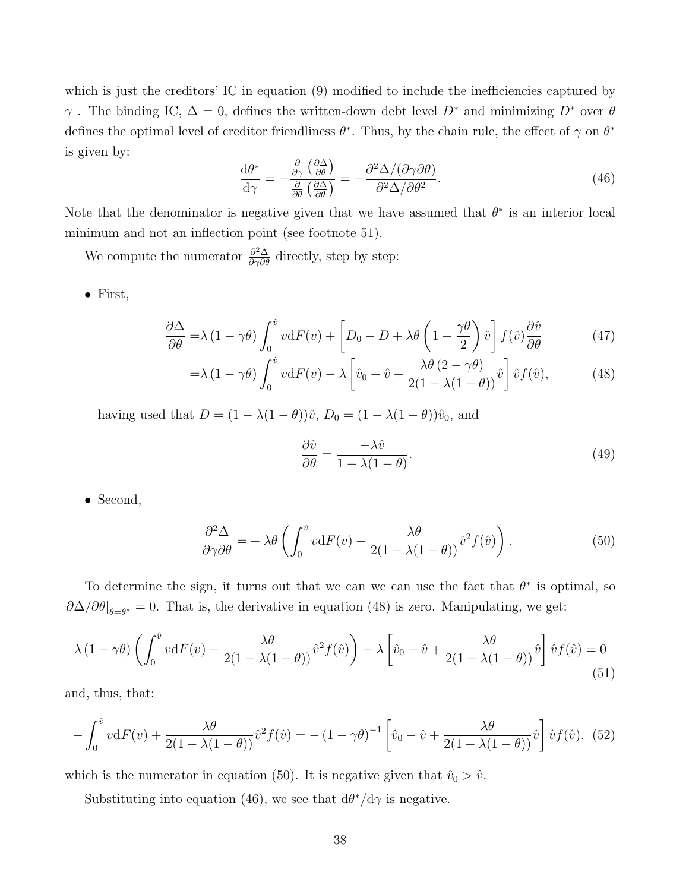which is just the creditors' IC in equation (9) modified to include the inefficiencies captured by  $\gamma$ . The binding IC,  $\Delta = 0$ , defines the written-down debt level  $D^*$  and minimizing  $D^*$  over  $\theta$ defines the optimal level of creditor friendliness  $\theta^*$ . Thus, by the chain rule, the effect of  $\gamma$  on  $\theta^*$ is given by:

$$
\frac{\mathrm{d}\theta^*}{\mathrm{d}\gamma} = -\frac{\frac{\partial}{\partial\gamma} \left(\frac{\partial \Delta}{\partial \theta}\right)}{\frac{\partial}{\partial \theta} \left(\frac{\partial \Delta}{\partial \theta}\right)} = -\frac{\partial^2 \Delta / (\partial \gamma \partial \theta)}{\partial^2 \Delta / \partial \theta^2}.
$$
\n(46)

Note that the denominator is negative given that we have assumed that  $\theta^*$  is an interior local minimum and not an inflection point (see footnote 51).

We compute the numerator  $\frac{\partial^2 \Delta}{\partial \gamma \partial \theta}$  directly, step by step:

• First,

$$
\frac{\partial \Delta}{\partial \theta} = \lambda (1 - \gamma \theta) \int_0^{\hat{v}} v \, dF(v) + \left[ D_0 - D + \lambda \theta \left( 1 - \frac{\gamma \theta}{2} \right) \hat{v} \right] f(\hat{v}) \frac{\partial \hat{v}}{\partial \theta}
$$
(47)

$$
= \lambda (1 - \gamma \theta) \int_0^{\hat{v}} v \mathrm{d}F(v) - \lambda \left[ \hat{v}_0 - \hat{v} + \frac{\lambda \theta (2 - \gamma \theta)}{2(1 - \lambda (1 - \theta))} \hat{v} \right] \hat{v} f(\hat{v}), \tag{48}
$$

having used that  $D = (1 - \lambda(1 - \theta))\hat{v}$ ,  $D_0 = (1 - \lambda(1 - \theta))\hat{v}_0$ , and

$$
\frac{\partial \hat{v}}{\partial \theta} = \frac{-\lambda \hat{v}}{1 - \lambda (1 - \theta)}.
$$
\n(49)

• Second,

$$
\frac{\partial^2 \Delta}{\partial \gamma \partial \theta} = -\lambda \theta \left( \int_0^{\hat{v}} v \mathrm{d}F(v) - \frac{\lambda \theta}{2(1 - \lambda(1 - \theta))} \hat{v}^2 f(\hat{v}) \right). \tag{50}
$$

To determine the sign, it turns out that we can we can use the fact that  $\theta^*$  is optimal, so  $\partial \Delta/\partial \theta|_{\theta=\theta^*}=0$ . That is, the derivative in equation (48) is zero. Manipulating, we get:

$$
\lambda (1 - \gamma \theta) \left( \int_0^{\hat{v}} v \mathrm{d}F(v) - \frac{\lambda \theta}{2(1 - \lambda(1 - \theta))} \hat{v}^2 f(\hat{v}) \right) - \lambda \left[ \hat{v}_0 - \hat{v} + \frac{\lambda \theta}{2(1 - \lambda(1 - \theta))} \hat{v} \right] \hat{v} f(\hat{v}) = 0
$$
\n(51)

and, thus, that:

$$
-\int_0^{\hat{v}} v dF(v) + \frac{\lambda \theta}{2(1 - \lambda(1 - \theta))} \hat{v}^2 f(\hat{v}) = -(1 - \gamma \theta)^{-1} \left[ \hat{v}_0 - \hat{v} + \frac{\lambda \theta}{2(1 - \lambda(1 - \theta))} \hat{v} \right] \hat{v} f(\hat{v}), \tag{52}
$$

which is the numerator in equation (50). It is negative given that  $\hat{v}_0 > \hat{v}$ .

Substituting into equation (46), we see that  $d\theta^*/d\gamma$  is negative.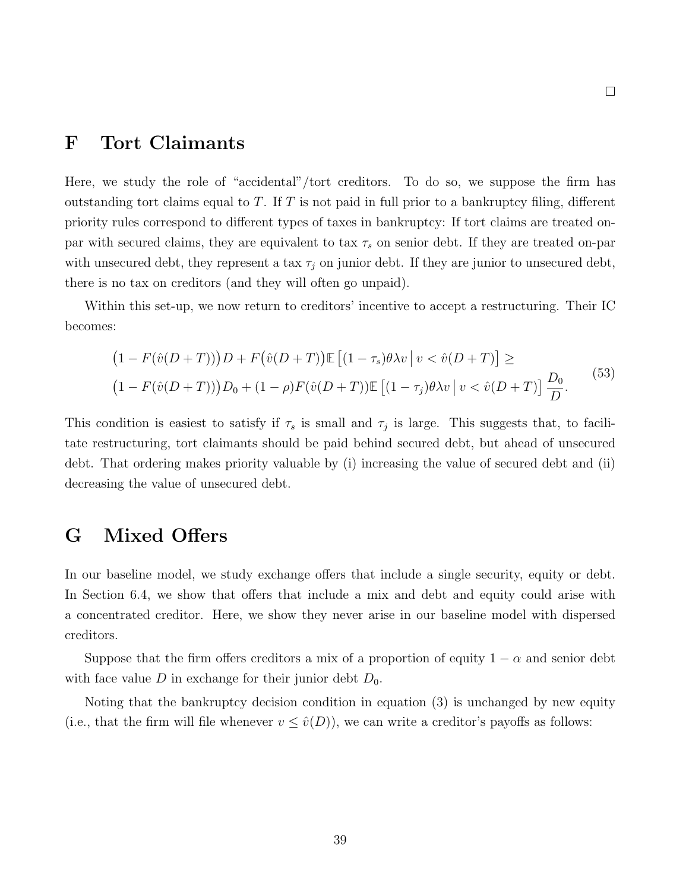## F Tort Claimants

Here, we study the role of "accidental"/tort creditors. To do so, we suppose the firm has outstanding tort claims equal to  $T$ . If  $T$  is not paid in full prior to a bankruptcy filing, different priority rules correspond to different types of taxes in bankruptcy: If tort claims are treated onpar with secured claims, they are equivalent to tax  $\tau_s$  on senior debt. If they are treated on-par with unsecured debt, they represent a tax  $\tau_j$  on junior debt. If they are junior to unsecured debt, there is no tax on creditors (and they will often go unpaid).

Within this set-up, we now return to creditors' incentive to accept a restructuring. Their IC becomes:

$$
(1 - F(\hat{v}(D+T)))D + F(\hat{v}(D+T))\mathbb{E}[(1 - \tau_s)\theta\lambda v | v < \hat{v}(D+T)] \ge
$$
  

$$
(1 - F(\hat{v}(D+T)))D_0 + (1 - \rho)F(\hat{v}(D+T))\mathbb{E}[(1 - \tau_j)\theta\lambda v | v < \hat{v}(D+T)]\frac{D_0}{D}.
$$
<sup>(53)</sup>

This condition is easiest to satisfy if  $\tau_s$  is small and  $\tau_j$  is large. This suggests that, to facilitate restructuring, tort claimants should be paid behind secured debt, but ahead of unsecured debt. That ordering makes priority valuable by (i) increasing the value of secured debt and (ii) decreasing the value of unsecured debt.

# G Mixed Offers

In our baseline model, we study exchange offers that include a single security, equity or debt. In Section 6.4, we show that offers that include a mix and debt and equity could arise with a concentrated creditor. Here, we show they never arise in our baseline model with dispersed creditors.

Suppose that the firm offers creditors a mix of a proportion of equity  $1 - \alpha$  and senior debt with face value D in exchange for their junior debt  $D_0$ .

Noting that the bankruptcy decision condition in equation (3) is unchanged by new equity (i.e., that the firm will file whenever  $v \leq \hat{v}(D)$ ), we can write a creditor's payoffs as follows: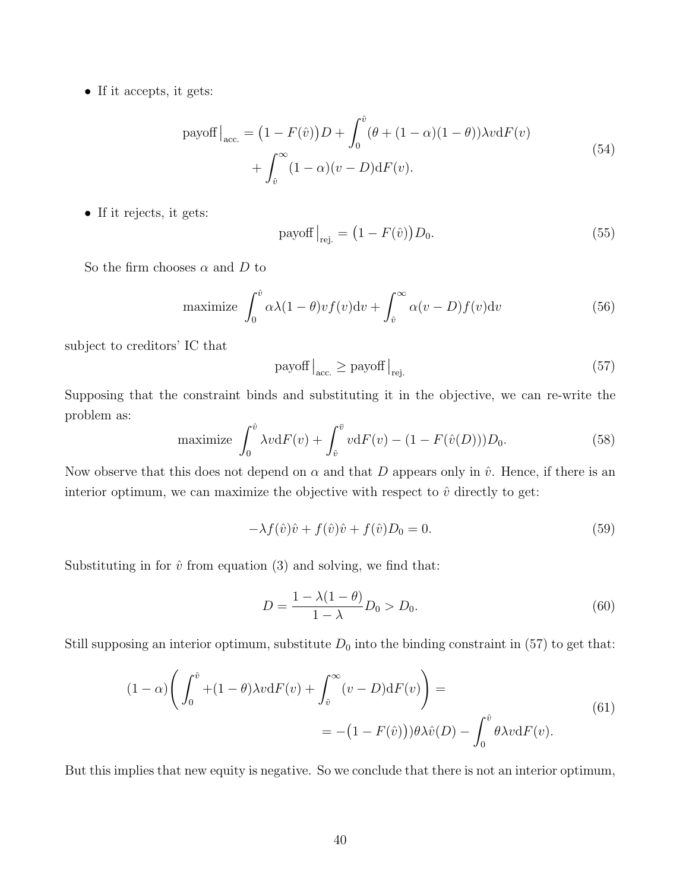• If it accepts, it gets:

payoff 
$$
\Big|_{\text{acc.}} = (1 - F(\hat{v})) D + \int_0^{\hat{v}} (\theta + (1 - \alpha)(1 - \theta)) \lambda v \, dF(v)
$$
  
+  $\int_{\hat{v}}^{\infty} (1 - \alpha)(v - D) \, dF(v).$  (54)

• If it rejects, it gets:

$$
payoff|_{\text{rej.}} = (1 - F(\hat{v}))D_0.
$$
\n(55)

So the firm chooses  $\alpha$  and  $D$  to

maximize 
$$
\int_0^{\hat{v}} \alpha \lambda (1 - \theta) v f(v) dv + \int_{\hat{v}}^{\infty} \alpha (v - D) f(v) dv
$$
 (56)

subject to creditors' IC that

$$
payoff|_{acc.} \geq payoff|_{rej.} \tag{57}
$$

Supposing that the constraint binds and substituting it in the objective, we can re-write the problem as:

maximize 
$$
\int_0^{\hat{v}} \lambda v dF(v) + \int_{\hat{v}}^{\bar{v}} v dF(v) - (1 - F(\hat{v}(D)))D_0.
$$
 (58)

Now observe that this does not depend on  $\alpha$  and that D appears only in  $\hat{v}$ . Hence, if there is an interior optimum, we can maximize the objective with respect to  $\hat{v}$  directly to get:

$$
-\lambda f(\hat{v})\hat{v} + f(\hat{v})\hat{v} + f(\hat{v})D_0 = 0.
$$
\n
$$
(59)
$$

Substituting in for  $\hat{v}$  from equation (3) and solving, we find that:

$$
D = \frac{1 - \lambda(1 - \theta)}{1 - \lambda} D_0 > D_0.
$$
 (60)

Still supposing an interior optimum, substitute  $D_0$  into the binding constraint in (57) to get that:

$$
(1 - \alpha) \left( \int_0^{\hat{v}} + (1 - \theta) \lambda v \mathrm{d}F(v) + \int_{\hat{v}}^{\infty} (v - D) \mathrm{d}F(v) \right) = - (1 - F(\hat{v})) \theta \lambda \hat{v}(D) - \int_0^{\hat{v}} \theta \lambda v \mathrm{d}F(v).
$$
\n(61)

But this implies that new equity is negative. So we conclude that there is not an interior optimum,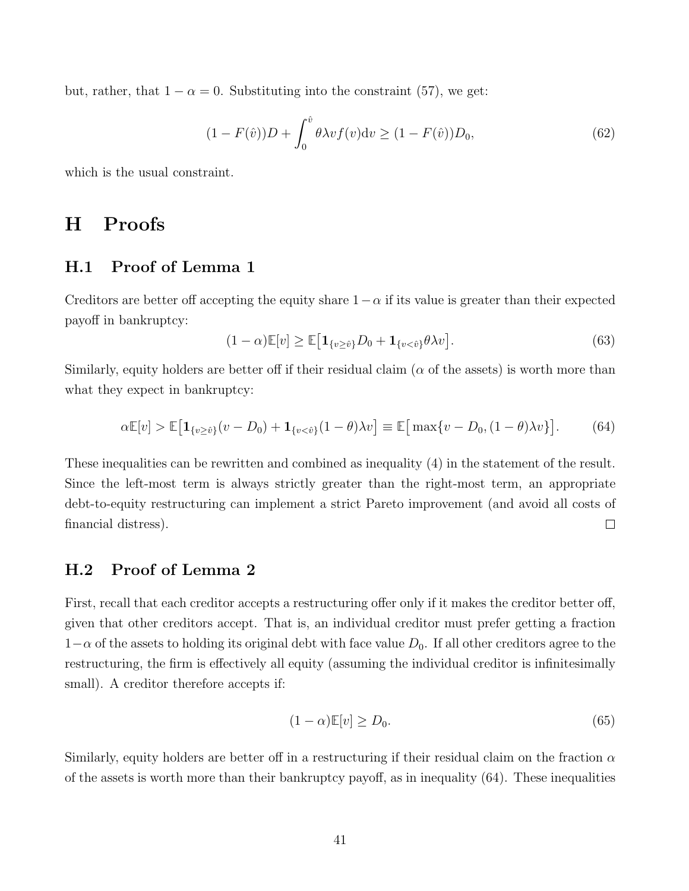but, rather, that  $1 - \alpha = 0$ . Substituting into the constraint (57), we get:

$$
(1 - F(\hat{v}))D + \int_0^{\hat{v}} \theta \lambda v f(v) dv \ge (1 - F(\hat{v}))D_0,
$$
\n(62)

which is the usual constraint.

# H Proofs

## H.1 Proof of Lemma 1

Creditors are better off accepting the equity share  $1-\alpha$  if its value is greater than their expected payoff in bankruptcy:

$$
(1 - \alpha)\mathbb{E}[v] \ge \mathbb{E}\big[\mathbf{1}_{\{v \ge \hat{v}\}} D_0 + \mathbf{1}_{\{v < \hat{v}\}} \theta \lambda v\big].\tag{63}
$$

Similarly, equity holders are better off if their residual claim ( $\alpha$  of the assets) is worth more than what they expect in bankruptcy:

$$
\alpha \mathbb{E}[v] > \mathbb{E}\big[\mathbf{1}_{\{v \ge \hat{v}\}}(v - D_0) + \mathbf{1}_{\{v < \hat{v}\}}(1 - \theta)\lambda v\big] \equiv \mathbb{E}\big[\max\{v - D_0, (1 - \theta)\lambda v\}\big].\tag{64}
$$

These inequalities can be rewritten and combined as inequality (4) in the statement of the result. Since the left-most term is always strictly greater than the right-most term, an appropriate debt-to-equity restructuring can implement a strict Pareto improvement (and avoid all costs of  $\Box$ financial distress).

### H.2 Proof of Lemma 2

First, recall that each creditor accepts a restructuring offer only if it makes the creditor better off, given that other creditors accept. That is, an individual creditor must prefer getting a fraction  $1-\alpha$  of the assets to holding its original debt with face value  $D_0$ . If all other creditors agree to the restructuring, the firm is effectively all equity (assuming the individual creditor is infinitesimally small). A creditor therefore accepts if:

$$
(1 - \alpha)\mathbb{E}[v] \ge D_0. \tag{65}
$$

Similarly, equity holders are better off in a restructuring if their residual claim on the fraction  $\alpha$ of the assets is worth more than their bankruptcy payoff, as in inequality (64). These inequalities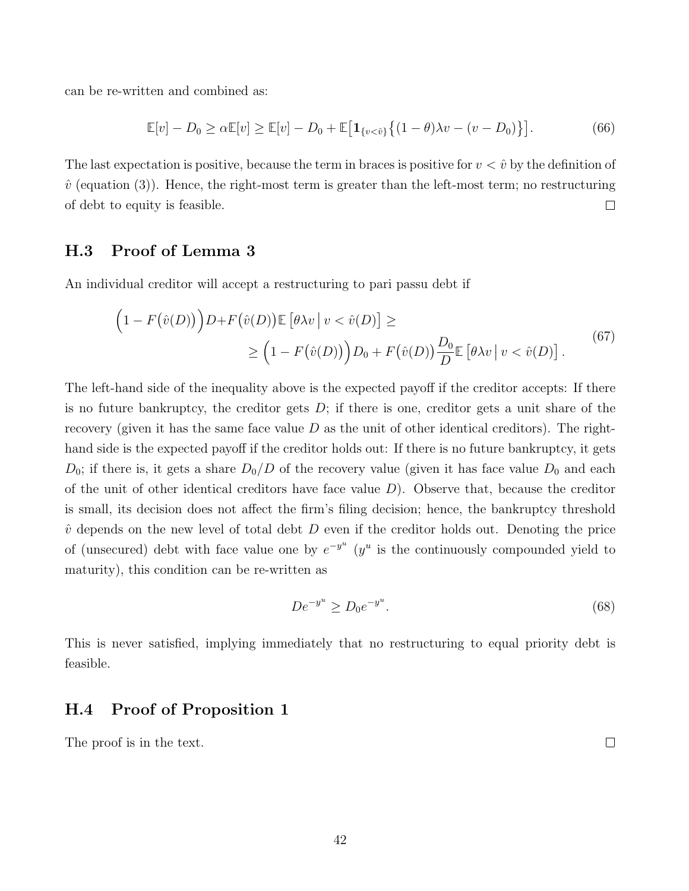can be re-written and combined as:

$$
\mathbb{E}[v] - D_0 \ge \alpha \mathbb{E}[v] \ge \mathbb{E}[v] - D_0 + \mathbb{E}\big[\mathbf{1}_{\{v < \hat{v}\}}\big\{(1-\theta)\lambda v - (v - D_0)\big\}\big].\tag{66}
$$

The last expectation is positive, because the term in braces is positive for  $v < \hat{v}$  by the definition of  $\hat{v}$  (equation (3)). Hence, the right-most term is greater than the left-most term; no restructuring of debt to equity is feasible.  $\Box$ 

### H.3 Proof of Lemma 3

An individual creditor will accept a restructuring to pari passu debt if

$$
\left(1 - F(\hat{v}(D))\right)D + F(\hat{v}(D)) \mathbb{E}\left[\theta\lambda v \mid v < \hat{v}(D)\right] \ge \tag{67}
$$
\n
$$
\ge \left(1 - F(\hat{v}(D))\right)D_0 + F(\hat{v}(D))\frac{D_0}{D} \mathbb{E}\left[\theta\lambda v \mid v < \hat{v}(D)\right].
$$

The left-hand side of the inequality above is the expected payoff if the creditor accepts: If there is no future bankruptcy, the creditor gets  $D$ ; if there is one, creditor gets a unit share of the recovery (given it has the same face value  $D$  as the unit of other identical creditors). The righthand side is the expected payoff if the creditor holds out: If there is no future bankruptcy, it gets  $D_0$ ; if there is, it gets a share  $D_0/D$  of the recovery value (given it has face value  $D_0$  and each of the unit of other identical creditors have face value  $D$ ). Observe that, because the creditor is small, its decision does not affect the firm's filing decision; hence, the bankruptcy threshold  $\hat{v}$  depends on the new level of total debt D even if the creditor holds out. Denoting the price of (unsecured) debt with face value one by  $e^{-y^u}$  ( $y^u$  is the continuously compounded yield to maturity), this condition can be re-written as

$$
De^{-y^u} \ge D_0 e^{-y^u}.
$$
\n(68)

This is never satisfied, implying immediately that no restructuring to equal priority debt is feasible.

### H.4 Proof of Proposition 1

The proof is in the text.

42

 $\Box$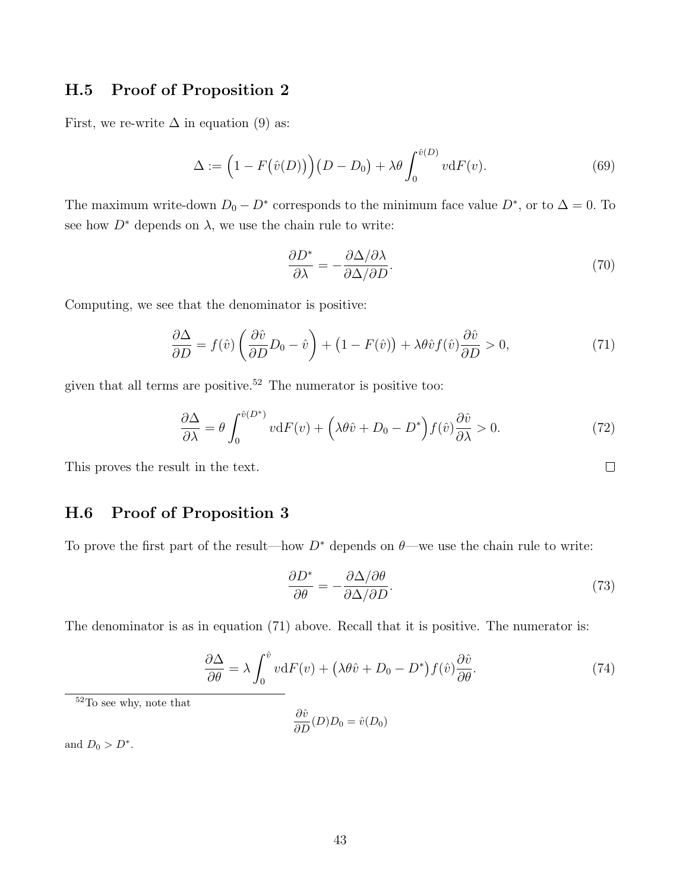### H.5 Proof of Proposition 2

First, we re-write  $\Delta$  in equation (9) as:

$$
\Delta := \left(1 - F(\hat{v}(D))\right)(D - D_0) + \lambda \theta \int_0^{\hat{v}(D)} v \mathrm{d}F(v). \tag{69}
$$

The maximum write-down  $D_0 - D^*$  corresponds to the minimum face value  $D^*$ , or to  $\Delta = 0$ . To see how  $D^*$  depends on  $\lambda$ , we use the chain rule to write:

$$
\frac{\partial D^*}{\partial \lambda} = -\frac{\partial \Delta / \partial \lambda}{\partial \Delta / \partial D}.
$$
\n(70)

Computing, we see that the denominator is positive:

$$
\frac{\partial \Delta}{\partial D} = f(\hat{v}) \left( \frac{\partial \hat{v}}{\partial D} D_0 - \hat{v} \right) + \left( 1 - F(\hat{v}) \right) + \lambda \theta \hat{v} f(\hat{v}) \frac{\partial \hat{v}}{\partial D} > 0, \tag{71}
$$

given that all terms are positive.<sup>52</sup> The numerator is positive too:

$$
\frac{\partial \Delta}{\partial \lambda} = \theta \int_0^{\hat{v}(D^*)} v \, dF(v) + \left(\lambda \theta \hat{v} + D_0 - D^*\right) f(\hat{v}) \frac{\partial \hat{v}}{\partial \lambda} > 0. \tag{72}
$$

This proves the result in the text.

## H.6 Proof of Proposition 3

To prove the first part of the result—how  $D^*$  depends on  $\theta$ —we use the chain rule to write:

$$
\frac{\partial D^*}{\partial \theta} = -\frac{\partial \Delta / \partial \theta}{\partial \Delta / \partial D}.
$$
\n(73)

The denominator is as in equation (71) above. Recall that it is positive. The numerator is:

$$
\frac{\partial \Delta}{\partial \theta} = \lambda \int_0^{\hat{v}} v \mathrm{d}F(v) + \left(\lambda \theta \hat{v} + D_0 - D^*\right) f(\hat{v}) \frac{\partial \hat{v}}{\partial \theta}.\tag{74}
$$

<sup>52</sup>To see why, note that

$$
\frac{\partial \hat{v}}{\partial D}(D)D_0 = \hat{v}(D_0)
$$

and  $D_0 > D^*$ .

 $\Box$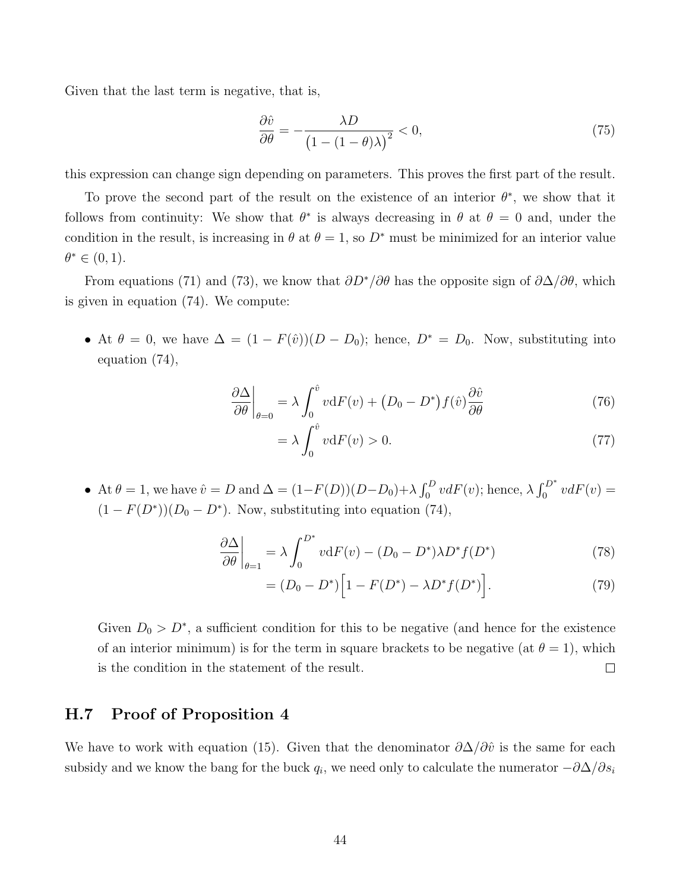Given that the last term is negative, that is,

$$
\frac{\partial \hat{v}}{\partial \theta} = -\frac{\lambda D}{\left(1 - (1 - \theta)\lambda\right)^2} < 0,\tag{75}
$$

this expression can change sign depending on parameters. This proves the first part of the result.

To prove the second part of the result on the existence of an interior  $\theta^*$ , we show that it follows from continuity: We show that  $\theta^*$  is always decreasing in  $\theta$  at  $\theta = 0$  and, under the condition in the result, is increasing in  $\theta$  at  $\theta = 1$ , so  $D^*$  must be minimized for an interior value  $\theta^* \in (0,1)$ .

From equations (71) and (73), we know that  $\partial D^*/\partial \theta$  has the opposite sign of  $\partial \Delta/\partial \theta$ , which is given in equation (74). We compute:

• At  $\theta = 0$ , we have  $\Delta = (1 - F(\hat{v}))(D - D_0)$ ; hence,  $D^* = D_0$ . Now, substituting into equation (74),

$$
\left. \frac{\partial \Delta}{\partial \theta} \right|_{\theta=0} = \lambda \int_0^{\hat{v}} v \, dF(v) + \left( D_0 - D^* \right) f(\hat{v}) \frac{\partial \hat{v}}{\partial \theta} \tag{76}
$$

$$
=\lambda \int_0^{\hat{v}} v \mathrm{d}F(v) > 0. \tag{77}
$$

• At  $\theta = 1$ , we have  $\hat{v} = D$  and  $\Delta = (1 - F(D))(D - D_0) + \lambda \int_0^D v dF(v)$ ; hence,  $\lambda \int_0^{D^*} v dF(v) =$  $(1 - F(D^*))(D_0 - D^*)$ . Now, substituting into equation (74),

$$
\left. \frac{\partial \Delta}{\partial \theta} \right|_{\theta=1} = \lambda \int_0^{D^*} v \, dF(v) - (D_0 - D^*) \lambda D^* f(D^*) \tag{78}
$$

$$
= (D_0 - D^*) \Big[ 1 - F(D^*) - \lambda D^* f(D^*) \Big]. \tag{79}
$$

Given  $D_0 > D^*$ , a sufficient condition for this to be negative (and hence for the existence of an interior minimum) is for the term in square brackets to be negative (at  $\theta = 1$ ), which is the condition in the statement of the result.  $\Box$ 

### H.7 Proof of Proposition 4

We have to work with equation (15). Given that the denominator  $\partial \Delta / \partial \hat{v}$  is the same for each subsidy and we know the bang for the buck  $q_i$ , we need only to calculate the numerator  $-\partial \Delta/\partial s_i$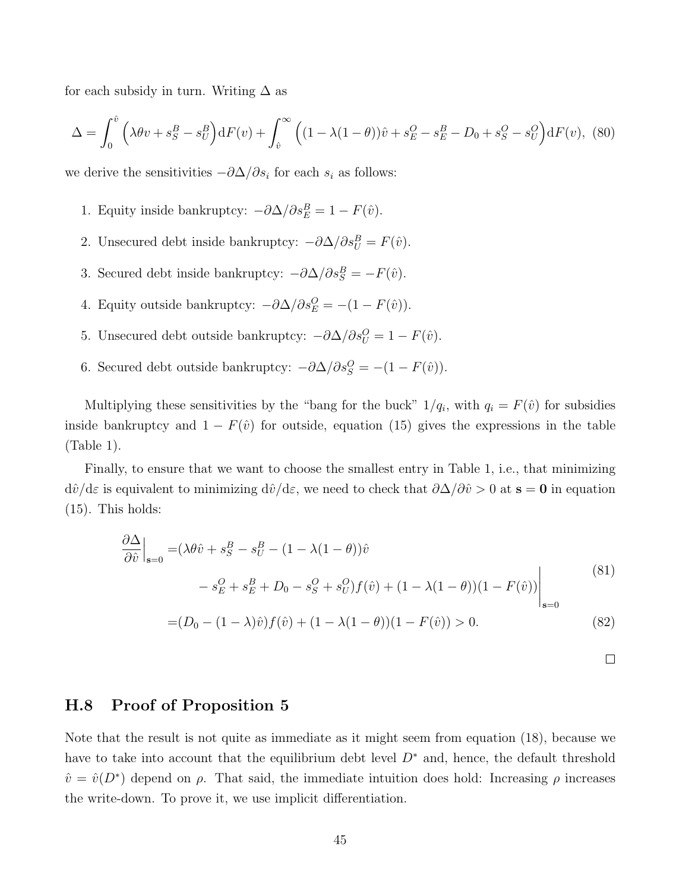for each subsidy in turn. Writing  $\Delta$  as

$$
\Delta = \int_0^{\hat{v}} \left( \lambda \theta v + s_S^B - s_U^B \right) dF(v) + \int_{\hat{v}}^{\infty} \left( (1 - \lambda (1 - \theta)) \hat{v} + s_E^O - s_E^B - D_0 + s_S^O - s_U^O \right) dF(v), \tag{80}
$$

we derive the sensitivities  $-\partial \Delta/\partial s_i$  for each  $s_i$  as follows:

- 1. Equity inside bankruptcy:  $-\partial \Delta/\partial s_E^B = 1 F(\hat{v})$ .
- 2. Unsecured debt inside bankruptcy:  $-\partial \Delta/\partial s_U^B = F(\hat{v})$ .
- 3. Secured debt inside bankruptcy:  $-\partial \Delta/\partial s_S^B = -F(\hat{v})$ .
- 4. Equity outside bankruptcy:  $-\partial \Delta/\partial s_E^O = -(1 F(\hat{v}))$ .
- 5. Unsecured debt outside bankruptcy:  $-\partial \Delta/\partial s_U^0 = 1 F(\hat{v})$ .
- 6. Secured debt outside bankruptcy:  $-\partial \Delta/\partial s_S^0 = -(1 F(\hat{v}))$ .

Multiplying these sensitivities by the "bang for the buck"  $1/q_i$ , with  $q_i = F(\hat{v})$  for subsidies inside bankruptcy and  $1 - F(\hat{v})$  for outside, equation (15) gives the expressions in the table (Table 1).

Finally, to ensure that we want to choose the smallest entry in Table 1, i.e., that minimizing  $d\hat{v}/d\varepsilon$  is equivalent to minimizing  $d\hat{v}/d\varepsilon$ , we need to check that  $\partial\Delta/\partial\hat{v} > 0$  at  $s = 0$  in equation (15). This holds:

$$
\frac{\partial \Delta}{\partial \hat{v}}\Big|_{\mathbf{s}=0} = (\lambda \theta \hat{v} + s_S^B - s_U^B - (1 - \lambda(1 - \theta))\hat{v} \n- s_E^O + s_E^B + D_0 - s_S^O + s_U^O f(\hat{v}) + (1 - \lambda(1 - \theta))(1 - F(\hat{v}))\Big|_{\mathbf{s}=0}
$$
\n(81)

$$
=(D_0 - (1 - \lambda)\hat{v})f(\hat{v}) + (1 - \lambda(1 - \theta))(1 - F(\hat{v})) > 0.
$$
\n(82)

 $\Box$ 

### H.8 Proof of Proposition 5

Note that the result is not quite as immediate as it might seem from equation (18), because we have to take into account that the equilibrium debt level  $D^*$  and, hence, the default threshold  $\hat{v} = \hat{v}(D^*)$  depend on  $\rho$ . That said, the immediate intuition does hold: Increasing  $\rho$  increases the write-down. To prove it, we use implicit differentiation.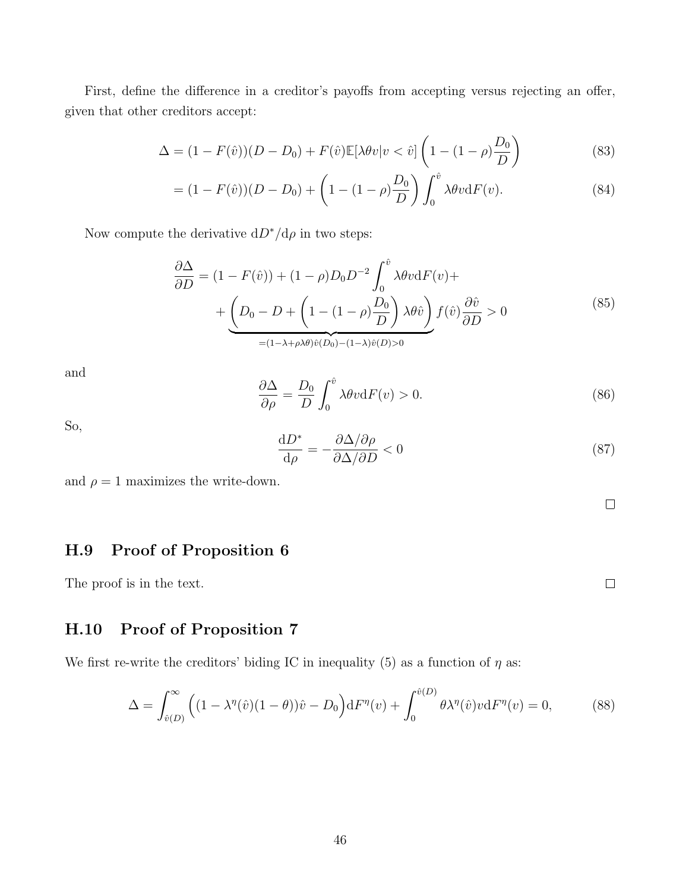First, define the difference in a creditor's payoffs from accepting versus rejecting an offer, given that other creditors accept:

$$
\Delta = (1 - F(\hat{v}))(D - D_0) + F(\hat{v})\mathbb{E}[\lambda \theta v | v < \hat{v}] \left(1 - (1 - \rho)\frac{D_0}{D}\right) \tag{83}
$$

$$
= (1 - F(\hat{v}))(D - D_0) + \left(1 - (1 - \rho)\frac{D_0}{D}\right) \int_0^{\hat{v}} \lambda \theta v \mathrm{d}F(v). \tag{84}
$$

Now compute the derivative  $dD^* / d\rho$  in two steps:

$$
\frac{\partial \Delta}{\partial D} = (1 - F(\hat{v})) + (1 - \rho)D_0 D^{-2} \int_0^{\hat{v}} \lambda \theta v \, dF(v) +
$$

$$
+ \underbrace{\left(D_0 - D + \left(1 - (1 - \rho)\frac{D_0}{D}\right) \lambda \theta \hat{v}\right)}_{=(1 - \lambda + \rho) \theta \hat{v}(D_0) - (1 - \lambda) \hat{v}(D) > 0} f(\hat{v}) \frac{\partial \hat{v}}{\partial D} > 0 \tag{85}
$$

and

$$
\frac{\partial \Delta}{\partial \rho} = \frac{D_0}{D} \int_0^{\hat{v}} \lambda \theta v \mathrm{d} F(v) > 0. \tag{86}
$$

So,

$$
\frac{\mathrm{d}D^*}{\mathrm{d}\rho} = -\frac{\partial \Delta/\partial \rho}{\partial \Delta/\partial D} < 0 \tag{87}
$$

and  $\rho = 1$  maximizes the write-down.

 $\Box$ 

 $\Box$ 

## H.9 Proof of Proposition 6

The proof is in the text.

## H.10 Proof of Proposition 7

We first re-write the creditors' biding IC in inequality (5) as a function of  $\eta$  as:

$$
\Delta = \int_{\hat{v}(D)}^{\infty} \left( (1 - \lambda^{\eta}(\hat{v})(1 - \theta))\hat{v} - D_0 \right) dF^{\eta}(v) + \int_0^{\hat{v}(D)} \theta \lambda^{\eta}(\hat{v}) v dF^{\eta}(v) = 0, \tag{88}
$$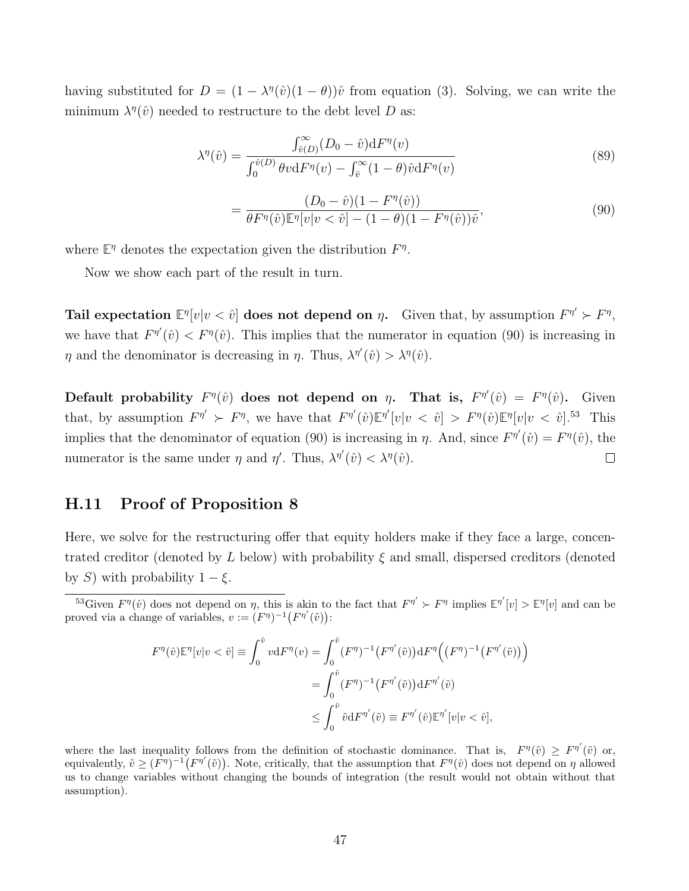having substituted for  $D = (1 - \lambda^{\eta}(\hat{v})(1 - \theta))\hat{v}$  from equation (3). Solving, we can write the minimum  $\lambda^{\eta}(\hat{v})$  needed to restructure to the debt level D as:

$$
\lambda^{\eta}(\hat{v}) = \frac{\int_{\hat{v}(D)}^{\infty} (D_0 - \hat{v}) dF^{\eta}(v)}{\int_0^{\hat{v}(D)} \theta v dF^{\eta}(v) - \int_{\hat{v}}^{\infty} (1 - \theta) \hat{v} dF^{\eta}(v)}
$$
(89)

$$
= \frac{(D_0 - \hat{v})(1 - F^{\eta}(\hat{v}))}{\theta F^{\eta}(\hat{v}) \mathbb{E}^{\eta}[v|v < \hat{v}] - (1 - \theta)(1 - F^{\eta}(\hat{v}))\hat{v}},
$$
\n(90)

where  $\mathbb{E}^{\eta}$  denotes the expectation given the distribution  $F^{\eta}$ .

Now we show each part of the result in turn.

**Tail expectation**  $\mathbb{E}^{\eta}[v|v < \hat{v}]$  does not depend on  $\eta$ . Given that, by assumption  $F^{\eta'} \succ F^{\eta}$ , we have that  $F^{\eta'}(\hat{v}) < F^{\eta}(\hat{v})$ . This implies that the numerator in equation (90) is increasing in  $\eta$  and the denominator is decreasing in  $\eta$ . Thus,  $\lambda^{\eta'}(\hat{v}) > \lambda^{\eta}(\hat{v})$ .

Default probability  $F^{\eta}(\hat{v})$  does not depend on  $\eta$ . That is,  $F^{\eta'}(\hat{v}) = F^{\eta}(\hat{v})$ . Given that, by assumption  $F^{\eta'} \succ F^{\eta}$ , we have that  $F^{\eta'}(\hat{v}) \mathbb{E}^{\eta'}[v|v \langle \hat{v} \rangle] > F^{\eta}(\hat{v}) \mathbb{E}^{\eta}[v|v \langle \hat{v} \rangle]$ .<sup>53</sup> This implies that the denominator of equation (90) is increasing in  $\eta$ . And, since  $F^{\eta'}(\hat{v}) = F^{\eta}(\hat{v})$ , the numerator is the same under  $\eta$  and  $\eta'$ . Thus,  $\lambda^{\eta'}(\hat{v}) < \lambda^{\eta}(\hat{v})$ .  $\Box$ 

### H.11 Proof of Proposition 8

Here, we solve for the restructuring offer that equity holders make if they face a large, concentrated creditor (denoted by L below) with probability  $\xi$  and small, dispersed creditors (denoted by S) with probability  $1 - \xi$ .

$$
F^{\eta}(\hat{v})\mathbb{E}^{\eta}[v|v<\hat{v}]\equiv \int_0^{\hat{v}} v \mathrm{d}F^{\eta}(v) = \int_0^{\hat{v}} (F^{\eta})^{-1} (F^{\eta'}(\tilde{v})) \mathrm{d}F^{\eta}((F^{\eta})^{-1} (F^{\eta'}(\tilde{v})))
$$

$$
= \int_0^{\hat{v}} (F^{\eta})^{-1} (F^{\eta'}(\tilde{v})) \mathrm{d}F^{\eta'}(\tilde{v})
$$

$$
\leq \int_0^{\hat{v}} \tilde{v} \mathrm{d}F^{\eta'}(\tilde{v}) \equiv F^{\eta'}(\hat{v}) \mathbb{E}^{\eta'}[v|v<\hat{v}],
$$

where the last inequality follows from the definition of stochastic dominance. That is,  $F^{\eta}(\tilde{v}) \geq F^{\eta'}(\tilde{v})$  or, equivalently,  $\tilde{v} \geq (\tilde{F}^{\eta})^{-1} (F^{\eta'}(\tilde{v}))$ . Note, critically, that the assumption that  $F^{\eta}(\hat{v})$  does not depend on  $\eta$  allowed us to change variables without changing the bounds of integration (the result would not obtain without that assumption).

<sup>&</sup>lt;sup>53</sup>Given  $F^{\eta}(\hat{v})$  does not depend on  $\eta$ , this is akin to the fact that  $F^{\eta'} > F^{\eta}$  implies  $\mathbb{E}^{\eta'}[v] > \mathbb{E}^{\eta}[v]$  and can be proved via a change of variables,  $v := (F^{\eta})^{-1} (F^{\eta'}(\tilde{v}))$ :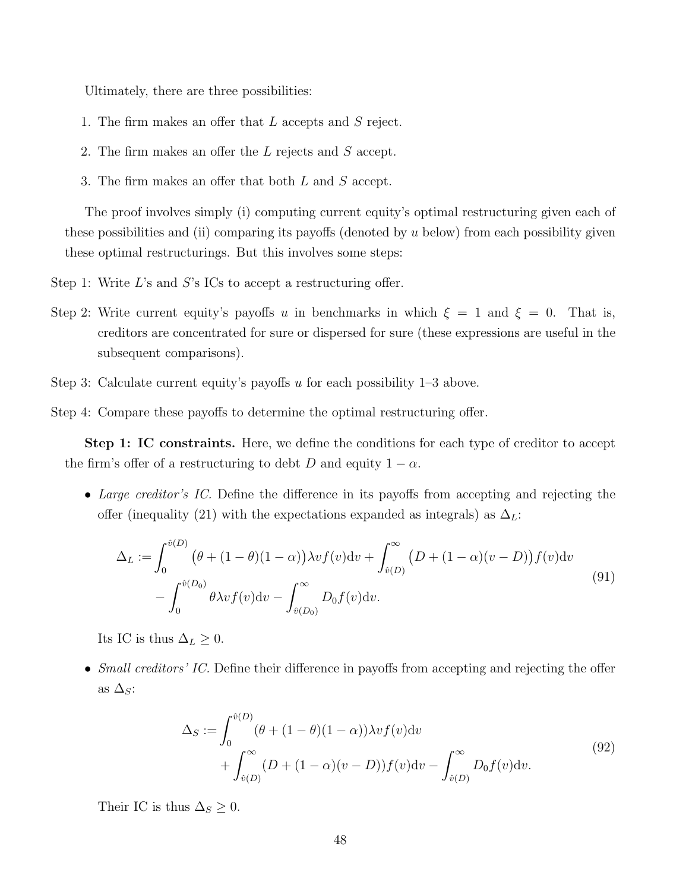Ultimately, there are three possibilities:

- 1. The firm makes an offer that L accepts and S reject.
- 2. The firm makes an offer the L rejects and S accept.
- 3. The firm makes an offer that both L and S accept.

The proof involves simply (i) computing current equity's optimal restructuring given each of these possibilities and (ii) comparing its payoffs (denoted by u below) from each possibility given these optimal restructurings. But this involves some steps:

Step 1: Write  $L$ 's and  $S$ 's ICs to accept a restructuring offer.

- Step 2: Write current equity's payoffs u in benchmarks in which  $\xi = 1$  and  $\xi = 0$ . That is, creditors are concentrated for sure or dispersed for sure (these expressions are useful in the subsequent comparisons).
- Step 3: Calculate current equity's payoffs  $u$  for each possibility  $1-3$  above.

Step 4: Compare these payoffs to determine the optimal restructuring offer.

Step 1: IC constraints. Here, we define the conditions for each type of creditor to accept the firm's offer of a restructuring to debt D and equity  $1 - \alpha$ .

• Large creditor's IC. Define the difference in its payoffs from accepting and rejecting the offer (inequality (21) with the expectations expanded as integrals) as  $\Delta_L$ :

$$
\Delta_L := \int_0^{\hat{v}(D)} (\theta + (1 - \theta)(1 - \alpha)) \lambda v f(v) dv + \int_{\hat{v}(D)}^{\infty} (D + (1 - \alpha)(v - D)) f(v) dv \n- \int_0^{\hat{v}(D_0)} \theta \lambda v f(v) dv - \int_{\hat{v}(D_0)}^{\infty} D_0 f(v) dv.
$$
\n(91)

Its IC is thus  $\Delta_L \geq 0$ .

• Small creditors' IC. Define their difference in payoffs from accepting and rejecting the offer as  $\Delta_S$ :

$$
\Delta_S := \int_0^{\hat{v}(D)} (\theta + (1 - \theta)(1 - \alpha)) \lambda v f(v) dv \n+ \int_{\hat{v}(D)}^\infty (D + (1 - \alpha)(v - D)) f(v) dv - \int_{\hat{v}(D)}^\infty D_0 f(v) dv.
$$
\n(92)

Their IC is thus  $\Delta_S \geq 0$ .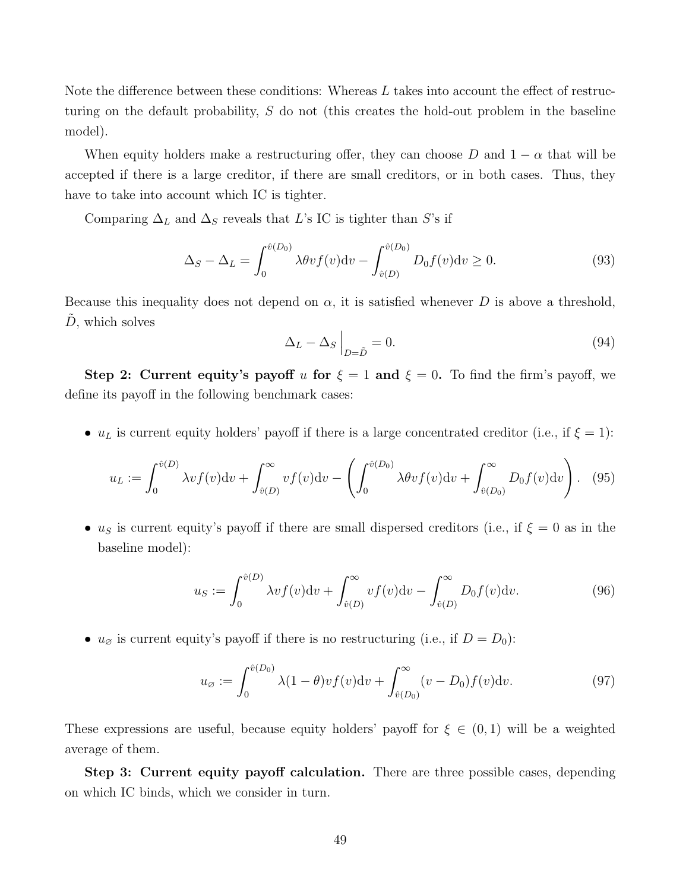Note the difference between these conditions: Whereas L takes into account the effect of restructuring on the default probability, S do not (this creates the hold-out problem in the baseline model).

When equity holders make a restructuring offer, they can choose D and  $1 - \alpha$  that will be accepted if there is a large creditor, if there are small creditors, or in both cases. Thus, they have to take into account which IC is tighter.

Comparing  $\Delta_L$  and  $\Delta_S$  reveals that L's IC is tighter than S's if

$$
\Delta_S - \Delta_L = \int_0^{\hat{v}(D_0)} \lambda \theta v f(v) \mathrm{d}v - \int_{\hat{v}(D)}^{\hat{v}(D_0)} D_0 f(v) \mathrm{d}v \ge 0.
$$
\n(93)

Because this inequality does not depend on  $\alpha$ , it is satisfied whenever D is above a threshold,  $\tilde{D}$ , which solves

$$
\Delta_L - \Delta_S \Big|_{D = \tilde{D}} = 0. \tag{94}
$$

Step 2: Current equity's payoff u for  $\xi = 1$  and  $\xi = 0$ . To find the firm's payoff, we define its payoff in the following benchmark cases:

•  $u<sub>L</sub>$  is current equity holders' payoff if there is a large concentrated creditor (i.e., if  $\xi = 1$ ):

$$
u_L := \int_0^{\hat{v}(D)} \lambda v f(v) \mathrm{d}v + \int_{\hat{v}(D)}^\infty v f(v) \mathrm{d}v - \left( \int_0^{\hat{v}(D_0)} \lambda \theta v f(v) \mathrm{d}v + \int_{\hat{v}(D_0)}^\infty D_0 f(v) \mathrm{d}v \right). \tag{95}
$$

• us is current equity's payoff if there are small dispersed creditors (i.e., if  $\xi = 0$  as in the baseline model):

$$
u_S := \int_0^{\hat{v}(D)} \lambda v f(v) \mathrm{d}v + \int_{\hat{v}(D)}^\infty v f(v) \mathrm{d}v - \int_{\hat{v}(D)}^\infty D_0 f(v) \mathrm{d}v. \tag{96}
$$

•  $u_{\emptyset}$  is current equity's payoff if there is no restructuring (i.e., if  $D = D_0$ ):

$$
u_{\varnothing} := \int_0^{\hat{v}(D_0)} \lambda (1 - \theta) v f(v) \mathrm{d}v + \int_{\hat{v}(D_0)}^{\infty} (v - D_0) f(v) \mathrm{d}v. \tag{97}
$$

These expressions are useful, because equity holders' payoff for  $\xi \in (0,1)$  will be a weighted average of them.

Step 3: Current equity payoff calculation. There are three possible cases, depending on which IC binds, which we consider in turn.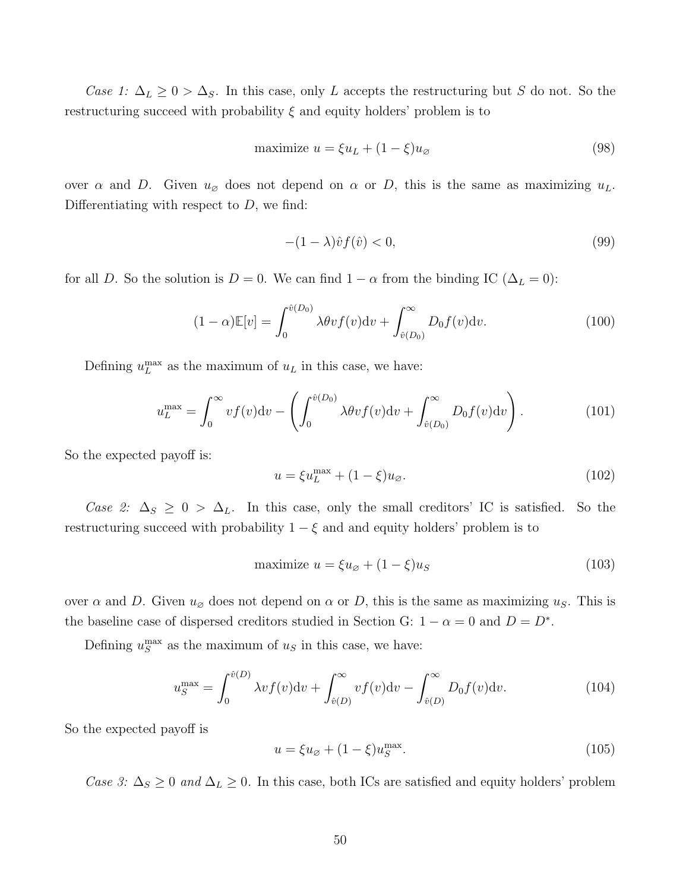Case 1:  $\Delta_L \geq 0 > \Delta_S$ . In this case, only L accepts the restructuring but S do not. So the restructuring succeed with probability  $\xi$  and equity holders' problem is to

$$
\text{maximize } u = \xi u_L + (1 - \xi) u_\emptyset \tag{98}
$$

over  $\alpha$  and D. Given  $u_{\beta}$  does not depend on  $\alpha$  or D, this is the same as maximizing  $u_L$ . Differentiating with respect to  $D$ , we find:

$$
-(1 - \lambda)\hat{v}f(\hat{v}) < 0,\tag{99}
$$

for all D. So the solution is  $D = 0$ . We can find  $1 - \alpha$  from the binding IC ( $\Delta_L = 0$ ):

$$
(1 - \alpha)\mathbb{E}[v] = \int_0^{\hat{v}(D_0)} \lambda \theta v f(v) \mathrm{d}v + \int_{\hat{v}(D_0)}^{\infty} D_0 f(v) \mathrm{d}v.
$$
 (100)

Defining  $u_L^{\text{max}}$  as the maximum of  $u_L$  in this case, we have:

$$
u_L^{\max} = \int_0^\infty v f(v) \mathrm{d}v - \left( \int_0^{\hat{v}(D_0)} \lambda \theta v f(v) \mathrm{d}v + \int_{\hat{v}(D_0)}^\infty D_0 f(v) \mathrm{d}v \right). \tag{101}
$$

So the expected payoff is:

$$
u = \xi u_L^{\text{max}} + (1 - \xi)u_\varnothing. \tag{102}
$$

Case 2:  $\Delta_S \geq 0$  >  $\Delta_L$ . In this case, only the small creditors' IC is satisfied. So the restructuring succeed with probability  $1 - \xi$  and and equity holders' problem is to

$$
\text{maximize } u = \xi u_{\varnothing} + (1 - \xi) u_{\varnothing} \tag{103}
$$

over  $\alpha$  and D. Given  $u_{\varnothing}$  does not depend on  $\alpha$  or D, this is the same as maximizing  $u_S$ . This is the baseline case of dispersed creditors studied in Section G:  $1 - \alpha = 0$  and  $D = D^*$ .

Defining  $u_S^{\text{max}}$  as the maximum of  $u_S$  in this case, we have:

$$
u_S^{\max} = \int_0^{\hat{v}(D)} \lambda v f(v) \mathrm{d}v + \int_{\hat{v}(D)}^{\infty} v f(v) \mathrm{d}v - \int_{\hat{v}(D)}^{\infty} D_0 f(v) \mathrm{d}v. \tag{104}
$$

So the expected payoff is

$$
u = \xi u_{\varnothing} + (1 - \xi)u_S^{\text{max}}.\tag{105}
$$

Case 3:  $\Delta_S \geq 0$  and  $\Delta_L \geq 0$ . In this case, both ICs are satisfied and equity holders' problem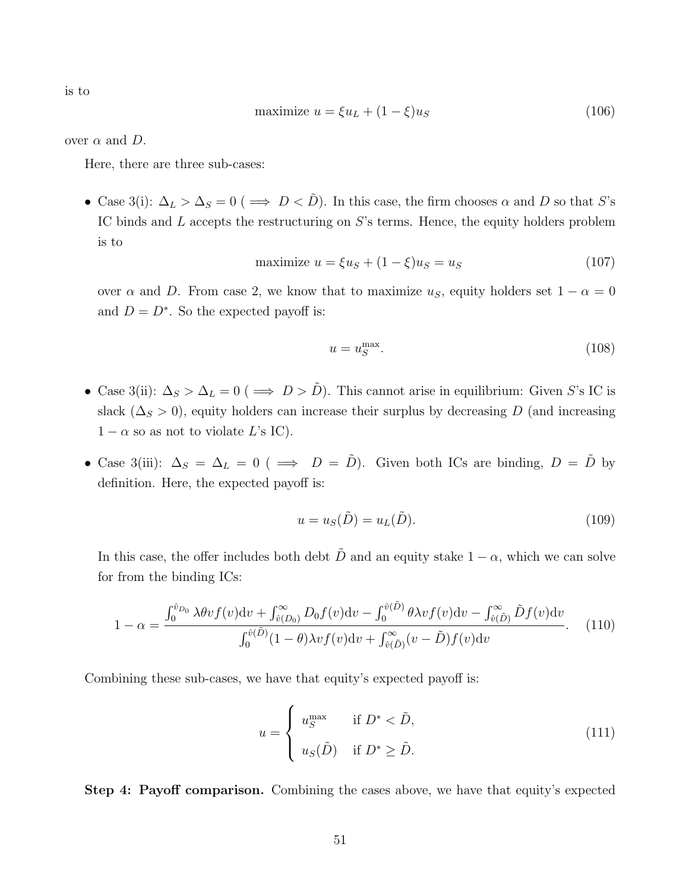is to

$$
\text{maximize } u = \xi u_L + (1 - \xi)u_S \tag{106}
$$

over  $\alpha$  and  $D$ .

Here, there are three sub-cases:

• Case 3(i):  $\Delta_L > \Delta_S = 0$  ( $\implies D < \tilde{D}$ ). In this case, the firm chooses  $\alpha$  and  $D$  so that S's IC binds and L accepts the restructuring on S's terms. Hence, the equity holders problem is to

$$
\text{maximize } u = \xi u_S + (1 - \xi)u_S = u_S \tag{107}
$$

over  $\alpha$  and D. From case 2, we know that to maximize  $u_s$ , equity holders set  $1 - \alpha = 0$ and  $D = D^*$ . So the expected payoff is:

$$
u = u_S^{\text{max}}.\tag{108}
$$

- Case 3(ii):  $\Delta_S > \Delta_L = 0$  (  $\implies D > \tilde{D}$ ). This cannot arise in equilibrium: Given S's IC is slack ( $\Delta_S > 0$ ), equity holders can increase their surplus by decreasing D (and increasing  $1 - \alpha$  so as not to violate L's IC).
- Case 3(iii):  $\Delta_S = \Delta_L = 0$  (  $\implies D = \tilde{D}$ ). Given both ICs are binding,  $D = \tilde{D}$  by definition. Here, the expected payoff is:

$$
u = u_S(\tilde{D}) = u_L(\tilde{D}).\tag{109}
$$

In this case, the offer includes both debt  $\tilde{D}$  and an equity stake  $1 - \alpha$ , which we can solve for from the binding ICs:

$$
1 - \alpha = \frac{\int_0^{\hat{v}_{D_0}} \lambda \theta v f(v) \mathrm{d}v + \int_{\hat{v}(D_0)}^{\infty} D_0 f(v) \mathrm{d}v - \int_0^{\hat{v}(\tilde{D})} \theta \lambda v f(v) \mathrm{d}v - \int_{\hat{v}(\tilde{D})}^{\infty} \tilde{D} f(v) \mathrm{d}v}{\int_0^{\hat{v}(\tilde{D})} (1 - \theta) \lambda v f(v) \mathrm{d}v + \int_{\hat{v}(\tilde{D})}^{\infty} (v - \tilde{D}) f(v) \mathrm{d}v}.
$$
 (110)

Combining these sub-cases, we have that equity's expected payoff is:

$$
u = \begin{cases} u_S^{\max} & \text{if } D^* < \tilde{D}, \\ u_S(\tilde{D}) & \text{if } D^* \ge \tilde{D}. \end{cases}
$$
 (111)

Step 4: Payoff comparison. Combining the cases above, we have that equity's expected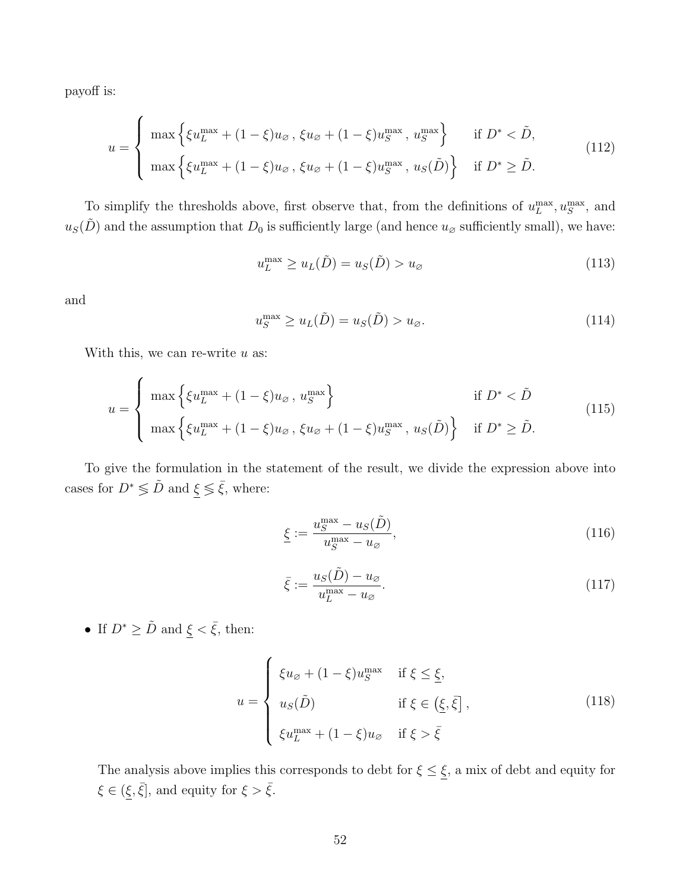payoff is:

$$
u = \begin{cases} \max \left\{ \xi u_L^{\max} + (1 - \xi) u_{\varnothing} , \, \xi u_{\varnothing} + (1 - \xi) u_S^{\max} , \, u_S^{\max} \right\} & \text{if } D^* < \tilde{D}, \\ \max \left\{ \xi u_L^{\max} + (1 - \xi) u_{\varnothing} , \, \xi u_{\varnothing} + (1 - \xi) u_S^{\max} , \, u_S(\tilde{D}) \right\} & \text{if } D^* \ge \tilde{D}. \end{cases} \tag{112}
$$

To simplify the thresholds above, first observe that, from the definitions of  $u_L^{\text{max}}, u_S^{\text{max}}$ , and  $u<sub>S</sub>(D)$  and the assumption that  $D<sub>0</sub>$  is sufficiently large (and hence  $u<sub>\varnothing</sub>$  sufficiently small), we have:

$$
u_L^{\max} \ge u_L(\tilde{D}) = u_S(\tilde{D}) > u_{\varnothing} \tag{113}
$$

and

$$
u_S^{\max} \ge u_L(\tilde{D}) = u_S(\tilde{D}) > u_{\varnothing}.
$$
\n(114)

With this, we can re-write  $u$  as:

$$
u = \begin{cases} \max \left\{ \xi u_L^{\max} + (1 - \xi) u_{\varnothing} \,, \, u_S^{\max} \right\} & \text{if } D^* < \tilde{D} \\ \max \left\{ \xi u_L^{\max} + (1 - \xi) u_{\varnothing} \,, \, \xi u_{\varnothing} + (1 - \xi) u_S^{\max} \,, \, u_S(\tilde{D}) \right\} & \text{if } D^* \ge \tilde{D} . \end{cases} \tag{115}
$$

To give the formulation in the statement of the result, we divide the expression above into cases for  $D^*\lessgtr \tilde{D}$  and  $\underline{\xi}\lessgtr \bar{\xi},$  where:

$$
\underline{\xi} := \frac{u_S^{\max} - u_S(\tilde{D})}{u_S^{\max} - u_\varnothing},\tag{116}
$$

$$
\bar{\xi} := \frac{u_S(\tilde{D}) - u_{\varnothing}}{u_L^{\max} - u_{\varnothing}}.\tag{117}
$$

• If  $D^*\geq \tilde{D}$  and  $\underline{\xi}<\bar{\xi},$  then:

$$
u = \begin{cases} \xi u_{\varnothing} + (1 - \xi) u_{\varnothing}^{\max} & \text{if } \xi \leq \underline{\xi}, \\ u_{\varnothing}(\tilde{D}) & \text{if } \xi \in (\underline{\xi}, \bar{\xi}], \\ \xi u_{\underline{L}}^{\max} + (1 - \xi) u_{\varnothing} & \text{if } \xi > \bar{\xi} \end{cases} \tag{118}
$$

The analysis above implies this corresponds to debt for  $\xi \leq \underline{\xi}$ , a mix of debt and equity for  $\xi \in (\xi, \bar{\xi}],$  and equity for  $\xi > \bar{\xi}$ .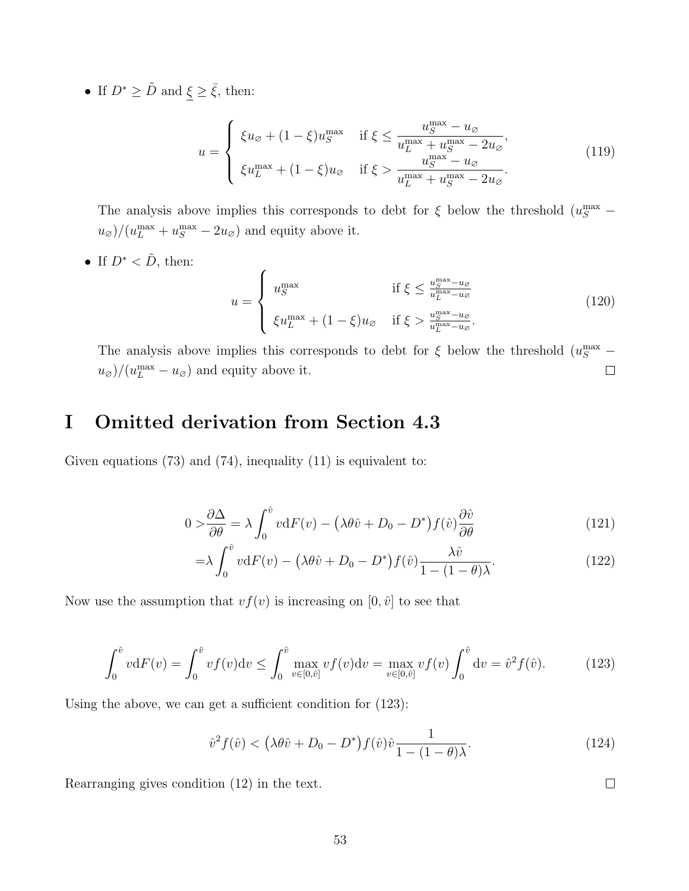• If  $D^* \geq \tilde{D}$  and  $\underline{\xi} \geq \overline{\xi}$ , then:

$$
u = \begin{cases} \xi u_{\varnothing} + (1 - \xi) u_{S}^{\max} & \text{if } \xi \le \frac{u_{S}^{\max} - u_{\varnothing}}{u_{L}^{\max} + u_{S}^{\max} - 2u_{\varnothing}},\\ \xi u_{L}^{\max} + (1 - \xi) u_{\varnothing} & \text{if } \xi > \frac{u_{S}^{\max} - u_{\varnothing}}{u_{L}^{\max} + u_{S}^{\max} - 2u_{\varnothing}}. \end{cases} \tag{119}
$$

The analysis above implies this corresponds to debt for  $\xi$  below the threshold  $(u_S^{\text{max}} (u_{\varnothing})/(u_L^{\max} + u_S^{\max} - 2u_{\varnothing})$  and equity above it.

• If  $D^* < \tilde{D}$ , then:

$$
u = \begin{cases} u_S^{\max} & \text{if } \xi \le \frac{u_S^{\max} - u_{\beta}}{u_L^{\max} - u_{\beta}} \\ \xi u_L^{\max} + (1 - \xi) u_{\beta} & \text{if } \xi > \frac{u_S^{\max} - u_{\beta}}{u_L^{\max} - u_{\beta}}. \end{cases} \tag{120}
$$

The analysis above implies this corresponds to debt for  $\xi$  below the threshold  $(u_S^{\text{max}} (u_{\varnothing})/(u_L^{\max} - u_{\varnothing})$  and equity above it.  $\Box$ 

# I Omitted derivation from Section 4.3

Given equations  $(73)$  and  $(74)$ , inequality  $(11)$  is equivalent to:

$$
0 > \frac{\partial \Delta}{\partial \theta} = \lambda \int_0^{\hat{v}} v \mathrm{d}F(v) - \left(\lambda \theta \hat{v} + D_0 - D^*\right) f(\hat{v}) \frac{\partial \hat{v}}{\partial \theta} \tag{121}
$$

$$
=\lambda \int_0^{\hat{v}} v \mathrm{d}F(v) - \left(\lambda \theta \hat{v} + D_0 - D^*\right) f(\hat{v}) \frac{\lambda \hat{v}}{1 - (1 - \theta)\lambda}.\tag{122}
$$

Now use the assumption that  $vf(v)$  is increasing on  $[0, \hat{v}]$  to see that

$$
\int_0^{\hat{v}} v \mathrm{d}F(v) = \int_0^{\hat{v}} v f(v) \mathrm{d}v \le \int_0^{\hat{v}} \max_{v \in [0,\hat{v}]} v f(v) \mathrm{d}v = \max_{v \in [0,\hat{v}]} v f(v) \int_0^{\hat{v}} \mathrm{d}v = \hat{v}^2 f(\hat{v}). \tag{123}
$$

Using the above, we can get a sufficient condition for (123):

$$
\hat{v}^2 f(\hat{v}) < \left(\lambda \theta \hat{v} + D_0 - D^*\right) f(\hat{v}) \hat{v} \frac{1}{1 - (1 - \theta)\lambda}.\tag{124}
$$

 $\Box$ 

Rearranging gives condition (12) in the text.

53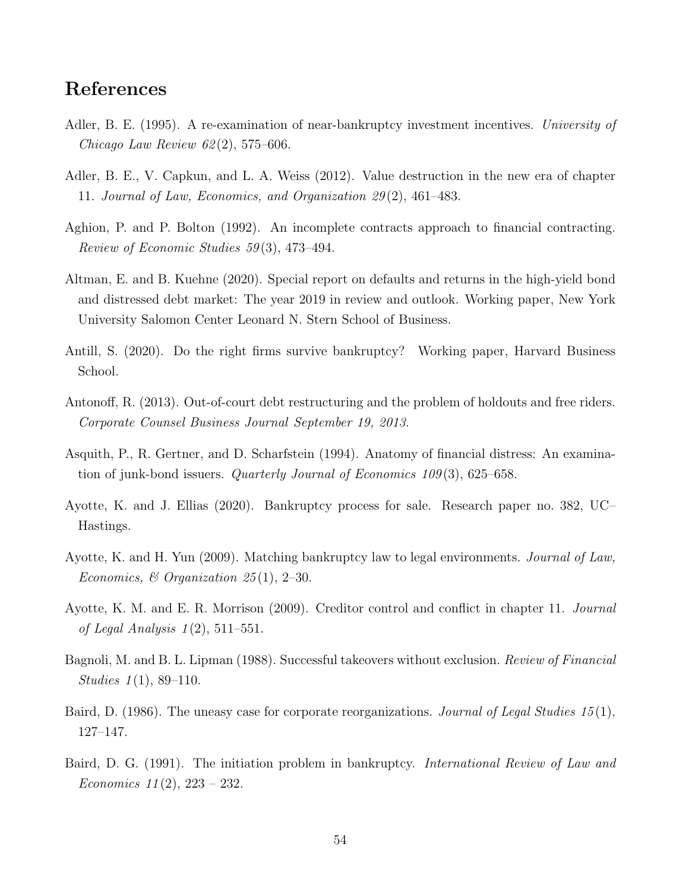# References

- Adler, B. E. (1995). A re-examination of near-bankruptcy investment incentives. University of Chicago Law Review  $62(2)$ , 575–606.
- Adler, B. E., V. Capkun, and L. A. Weiss (2012). Value destruction in the new era of chapter 11. Journal of Law, Economics, and Organization 29 (2), 461–483.
- Aghion, P. and P. Bolton (1992). An incomplete contracts approach to financial contracting. Review of Economic Studies 59 (3), 473–494.
- Altman, E. and B. Kuehne (2020). Special report on defaults and returns in the high-yield bond and distressed debt market: The year 2019 in review and outlook. Working paper, New York University Salomon Center Leonard N. Stern School of Business.
- Antill, S. (2020). Do the right firms survive bankruptcy? Working paper, Harvard Business School.
- Antonoff, R. (2013). Out-of-court debt restructuring and the problem of holdouts and free riders. Corporate Counsel Business Journal September 19, 2013.
- Asquith, P., R. Gertner, and D. Scharfstein (1994). Anatomy of financial distress: An examination of junk-bond issuers. *Quarterly Journal of Economics 109* $(3)$ , 625–658.
- Ayotte, K. and J. Ellias (2020). Bankruptcy process for sale. Research paper no. 382, UC– Hastings.
- Ayotte, K. and H. Yun (2009). Matching bankruptcy law to legal environments. Journal of Law, Economics,  $\mathcal{B}$  Organization 25(1), 2–30.
- Ayotte, K. M. and E. R. Morrison (2009). Creditor control and conflict in chapter 11. Journal of Legal Analysis  $1(2)$ , 511–551.
- Bagnoli, M. and B. L. Lipman (1988). Successful takeovers without exclusion. Review of Financial Studies  $1(1), 89-110$ .
- Baird, D. (1986). The uneasy case for corporate reorganizations. Journal of Legal Studies 15(1), 127–147.
- Baird, D. G. (1991). The initiation problem in bankruptcy. *International Review of Law and* Economics  $11(2)$ ,  $223 - 232$ .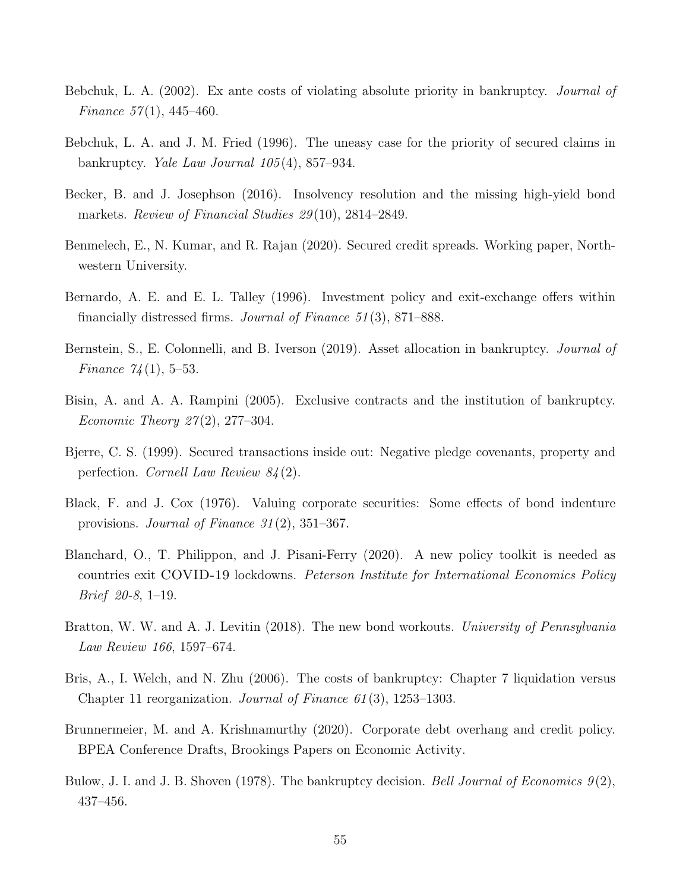- Bebchuk, L. A. (2002). Ex ante costs of violating absolute priority in bankruptcy. Journal of Finance  $57(1)$ , 445-460.
- Bebchuk, L. A. and J. M. Fried (1996). The uneasy case for the priority of secured claims in bankruptcy. Yale Law Journal 105 (4), 857–934.
- Becker, B. and J. Josephson (2016). Insolvency resolution and the missing high-yield bond markets. Review of Financial Studies 29(10), 2814–2849.
- Benmelech, E., N. Kumar, and R. Rajan (2020). Secured credit spreads. Working paper, Northwestern University.
- Bernardo, A. E. and E. L. Talley (1996). Investment policy and exit-exchange offers within financially distressed firms. Journal of Finance 51 (3), 871–888.
- Bernstein, S., E. Colonnelli, and B. Iverson (2019). Asset allocation in bankruptcy. *Journal of Finance*  $74(1)$ , 5–53.
- Bisin, A. and A. A. Rampini (2005). Exclusive contracts and the institution of bankruptcy. *Economic Theory 27* $(2)$ , 277–304.
- Bjerre, C. S. (1999). Secured transactions inside out: Negative pledge covenants, property and perfection. Cornell Law Review 84 (2).
- Black, F. and J. Cox (1976). Valuing corporate securities: Some effects of bond indenture provisions. Journal of Finance 31 (2), 351–367.
- Blanchard, O., T. Philippon, and J. Pisani-Ferry (2020). A new policy toolkit is needed as countries exit COVID-19 lockdowns. Peterson Institute for International Economics Policy Brief 20-8, 1–19.
- Bratton, W. W. and A. J. Levitin (2018). The new bond workouts. University of Pennsylvania Law Review 166, 1597–674.
- Bris, A., I. Welch, and N. Zhu (2006). The costs of bankruptcy: Chapter 7 liquidation versus Chapter 11 reorganization. Journal of Finance  $61(3)$ , 1253–1303.
- Brunnermeier, M. and A. Krishnamurthy (2020). Corporate debt overhang and credit policy. BPEA Conference Drafts, Brookings Papers on Economic Activity.
- Bulow, J. I. and J. B. Shoven (1978). The bankruptcy decision. Bell Journal of Economics  $9(2)$ , 437–456.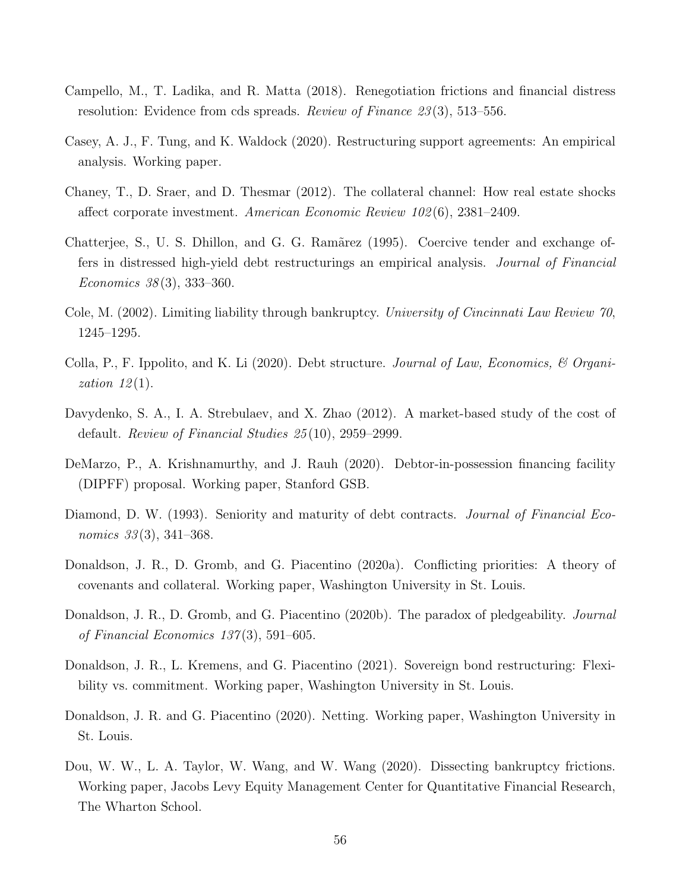- Campello, M., T. Ladika, and R. Matta (2018). Renegotiation frictions and financial distress resolution: Evidence from cds spreads. Review of Finance 23 (3), 513–556.
- Casey, A. J., F. Tung, and K. Waldock (2020). Restructuring support agreements: An empirical analysis. Working paper.
- Chaney, T., D. Sraer, and D. Thesmar (2012). The collateral channel: How real estate shocks affect corporate investment. American Economic Review 102 (6), 2381–2409.
- Chatterjee, S., U. S. Dhillon, and G. G. Ramãrez (1995). Coercive tender and exchange offers in distressed high-yield debt restructurings an empirical analysis. Journal of Financial Economics 38 (3), 333–360.
- Cole, M. (2002). Limiting liability through bankruptcy. *University of Cincinnati Law Review 70*, 1245–1295.
- Colla, P., F. Ippolito, and K. Li (2020). Debt structure. Journal of Law, Economics, & Organization  $12(1)$ .
- Davydenko, S. A., I. A. Strebulaev, and X. Zhao (2012). A market-based study of the cost of default. Review of Financial Studies 25 (10), 2959–2999.
- DeMarzo, P., A. Krishnamurthy, and J. Rauh (2020). Debtor-in-possession financing facility (DIPFF) proposal. Working paper, Stanford GSB.
- Diamond, D. W. (1993). Seniority and maturity of debt contracts. *Journal of Financial Eco*nomics 33(3), 341–368.
- Donaldson, J. R., D. Gromb, and G. Piacentino (2020a). Conflicting priorities: A theory of covenants and collateral. Working paper, Washington University in St. Louis.
- Donaldson, J. R., D. Gromb, and G. Piacentino (2020b). The paradox of pledgeability. *Journal* of Financial Economics 137 (3), 591–605.
- Donaldson, J. R., L. Kremens, and G. Piacentino (2021). Sovereign bond restructuring: Flexibility vs. commitment. Working paper, Washington University in St. Louis.
- Donaldson, J. R. and G. Piacentino (2020). Netting. Working paper, Washington University in St. Louis.
- Dou, W. W., L. A. Taylor, W. Wang, and W. Wang (2020). Dissecting bankruptcy frictions. Working paper, Jacobs Levy Equity Management Center for Quantitative Financial Research, The Wharton School.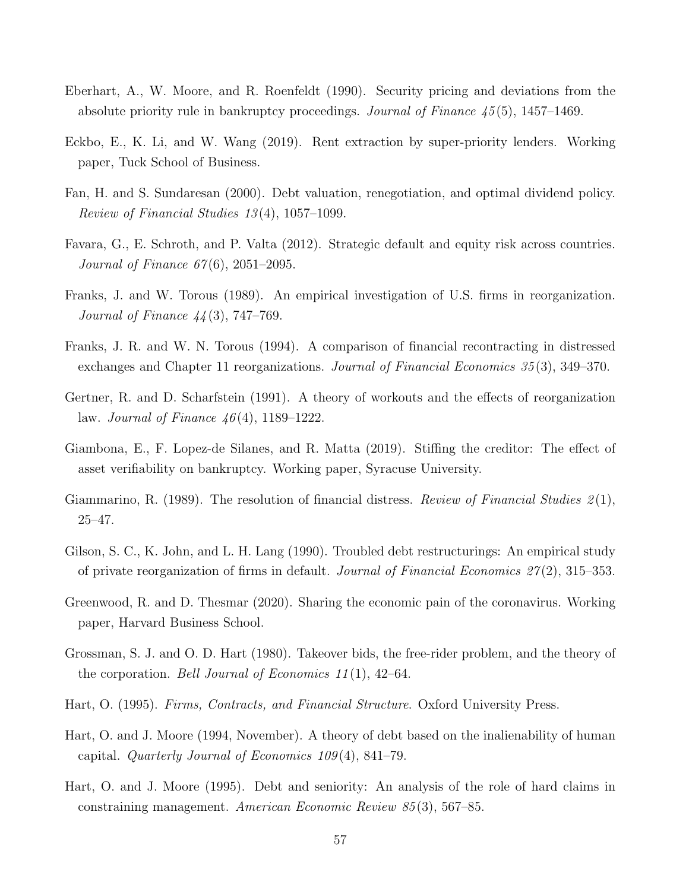- Eberhart, A., W. Moore, and R. Roenfeldt (1990). Security pricing and deviations from the absolute priority rule in bankruptcy proceedings. Journal of Finance 45 (5), 1457–1469.
- Eckbo, E., K. Li, and W. Wang (2019). Rent extraction by super-priority lenders. Working paper, Tuck School of Business.
- Fan, H. and S. Sundaresan (2000). Debt valuation, renegotiation, and optimal dividend policy. Review of Financial Studies 13 (4), 1057–1099.
- Favara, G., E. Schroth, and P. Valta (2012). Strategic default and equity risk across countries. *Journal of Finance*  $67(6)$ , 2051–2095.
- Franks, J. and W. Torous (1989). An empirical investigation of U.S. firms in reorganization. Journal of Finance 44 (3), 747–769.
- Franks, J. R. and W. N. Torous (1994). A comparison of financial recontracting in distressed exchanges and Chapter 11 reorganizations. *Journal of Financial Economics 35* (3), 349–370.
- Gertner, R. and D. Scharfstein (1991). A theory of workouts and the effects of reorganization law. *Journal of Finance*  $46(4)$ , 1189–1222.
- Giambona, E., F. Lopez-de Silanes, and R. Matta (2019). Stiffing the creditor: The effect of asset verifiability on bankruptcy. Working paper, Syracuse University.
- Giammarino, R. (1989). The resolution of financial distress. Review of Financial Studies  $\mathcal{Z}(1)$ , 25–47.
- Gilson, S. C., K. John, and L. H. Lang (1990). Troubled debt restructurings: An empirical study of private reorganization of firms in default. Journal of Financial Economics  $27(2)$ , 315–353.
- Greenwood, R. and D. Thesmar (2020). Sharing the economic pain of the coronavirus. Working paper, Harvard Business School.
- Grossman, S. J. and O. D. Hart (1980). Takeover bids, the free-rider problem, and the theory of the corporation. *Bell Journal of Economics* 11(1), 42–64.
- Hart, O. (1995). Firms, Contracts, and Financial Structure. Oxford University Press.
- Hart, O. and J. Moore (1994, November). A theory of debt based on the inalienability of human capital. Quarterly Journal of Economics 109 (4), 841–79.
- Hart, O. and J. Moore (1995). Debt and seniority: An analysis of the role of hard claims in constraining management. American Economic Review 85 (3), 567–85.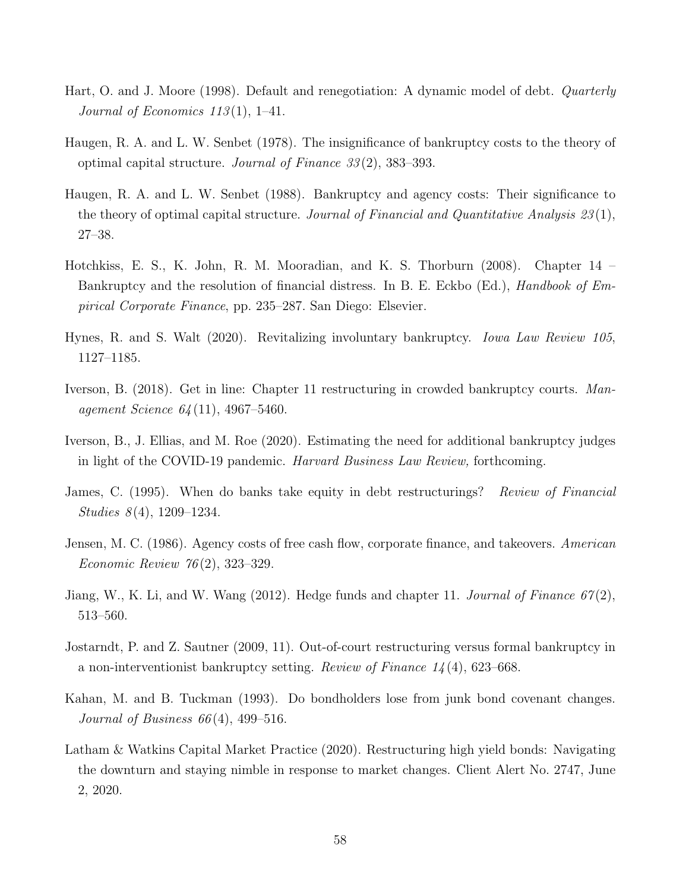- Hart, O. and J. Moore (1998). Default and renegotiation: A dynamic model of debt. Quarterly Journal of Economics 113(1), 1–41.
- Haugen, R. A. and L. W. Senbet (1978). The insignificance of bankruptcy costs to the theory of optimal capital structure. Journal of Finance  $33(2)$ , 383–393.
- Haugen, R. A. and L. W. Senbet (1988). Bankruptcy and agency costs: Their significance to the theory of optimal capital structure. Journal of Financial and Quantitative Analysis  $23(1)$ , 27–38.
- Hotchkiss, E. S., K. John, R. M. Mooradian, and K. S. Thorburn (2008). Chapter 14 Bankruptcy and the resolution of financial distress. In B. E. Eckbo (Ed.), *Handbook of Em*pirical Corporate Finance, pp. 235–287. San Diego: Elsevier.
- Hynes, R. and S. Walt (2020). Revitalizing involuntary bankruptcy. Iowa Law Review 105, 1127–1185.
- Iverson, B. (2018). Get in line: Chapter 11 restructuring in crowded bankruptcy courts. Management Science 64 (11), 4967–5460.
- Iverson, B., J. Ellias, and M. Roe (2020). Estimating the need for additional bankruptcy judges in light of the COVID-19 pandemic. Harvard Business Law Review, forthcoming.
- James, C. (1995). When do banks take equity in debt restructurings? *Review of Financial* Studies  $8(4)$ , 1209–1234.
- Jensen, M. C. (1986). Agency costs of free cash flow, corporate finance, and takeovers. American Economic Review 76 (2), 323–329.
- Jiang, W., K. Li, and W. Wang  $(2012)$ . Hedge funds and chapter 11. Journal of Finance  $67(2)$ , 513–560.
- Jostarndt, P. and Z. Sautner (2009, 11). Out-of-court restructuring versus formal bankruptcy in a non-interventionist bankruptcy setting. Review of Finance  $1/4$  (4), 623–668.
- Kahan, M. and B. Tuckman (1993). Do bondholders lose from junk bond covenant changes. Journal of Business  $66(4)$ , 499-516.
- Latham & Watkins Capital Market Practice (2020). Restructuring high yield bonds: Navigating the downturn and staying nimble in response to market changes. Client Alert No. 2747, June 2, 2020.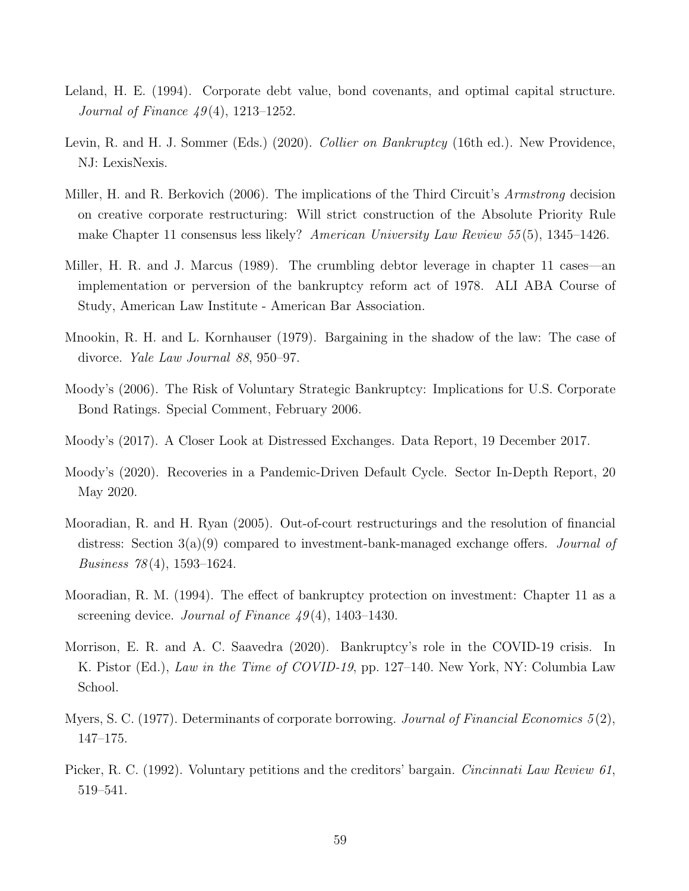- Leland, H. E. (1994). Corporate debt value, bond covenants, and optimal capital structure. *Journal of Finance*  $49(4)$ , 1213–1252.
- Levin, R. and H. J. Sommer (Eds.) (2020). *Collier on Bankruptcy* (16th ed.). New Providence, NJ: LexisNexis.
- Miller, H. and R. Berkovich (2006). The implications of the Third Circuit's Armstrong decision on creative corporate restructuring: Will strict construction of the Absolute Priority Rule make Chapter 11 consensus less likely? American University Law Review 55 (5), 1345–1426.
- Miller, H. R. and J. Marcus (1989). The crumbling debtor leverage in chapter 11 cases—an implementation or perversion of the bankruptcy reform act of 1978. ALI ABA Course of Study, American Law Institute - American Bar Association.
- Mnookin, R. H. and L. Kornhauser (1979). Bargaining in the shadow of the law: The case of divorce. Yale Law Journal 88, 950–97.
- Moody's (2006). The Risk of Voluntary Strategic Bankruptcy: Implications for U.S. Corporate Bond Ratings. Special Comment, February 2006.
- Moody's (2017). A Closer Look at Distressed Exchanges. Data Report, 19 December 2017.
- Moody's (2020). Recoveries in a Pandemic-Driven Default Cycle. Sector In-Depth Report, 20 May 2020.
- Mooradian, R. and H. Ryan (2005). Out-of-court restructurings and the resolution of financial distress: Section  $3(a)(9)$  compared to investment-bank-managed exchange offers. *Journal of* Business 78 (4), 1593–1624.
- Mooradian, R. M. (1994). The effect of bankruptcy protection on investment: Chapter 11 as a screening device. *Journal of Finance*  $49(4)$ , 1403–1430.
- Morrison, E. R. and A. C. Saavedra (2020). Bankruptcy's role in the COVID-19 crisis. In K. Pistor (Ed.), Law in the Time of COVID-19, pp. 127–140. New York, NY: Columbia Law School.
- Myers, S. C. (1977). Determinants of corporate borrowing. Journal of Financial Economics  $5(2)$ , 147–175.
- Picker, R. C. (1992). Voluntary petitions and the creditors' bargain. *Cincinnati Law Review 61*, 519–541.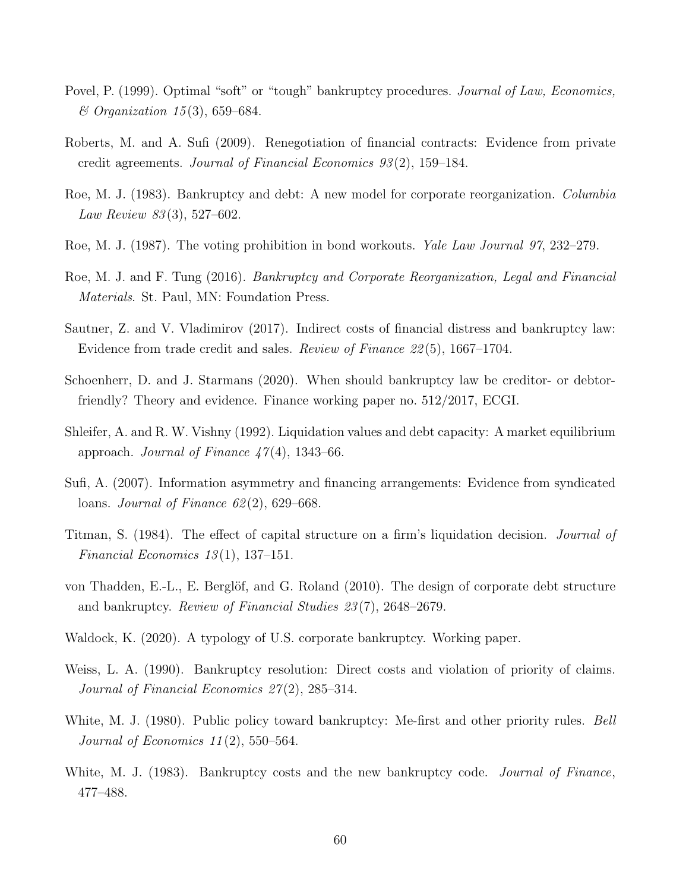- Povel, P. (1999). Optimal "soft" or "tough" bankruptcy procedures. Journal of Law, Economics,  $& Organization\ 15(3), 659-684.$
- Roberts, M. and A. Sufi (2009). Renegotiation of financial contracts: Evidence from private credit agreements. Journal of Financial Economics 93 (2), 159–184.
- Roe, M. J. (1983). Bankruptcy and debt: A new model for corporate reorganization. Columbia Law Review 83 (3), 527–602.
- Roe, M. J. (1987). The voting prohibition in bond workouts. *Yale Law Journal 97*, 232–279.
- Roe, M. J. and F. Tung (2016). Bankruptcy and Corporate Reorganization, Legal and Financial Materials. St. Paul, MN: Foundation Press.
- Sautner, Z. and V. Vladimirov (2017). Indirect costs of financial distress and bankruptcy law: Evidence from trade credit and sales. Review of Finance 22 (5), 1667–1704.
- Schoenherr, D. and J. Starmans (2020). When should bankruptcy law be creditor- or debtorfriendly? Theory and evidence. Finance working paper no. 512/2017, ECGI.
- Shleifer, A. and R. W. Vishny (1992). Liquidation values and debt capacity: A market equilibrium approach. Journal of Finance  $47(4)$ , 1343–66.
- Sufi, A. (2007). Information asymmetry and financing arrangements: Evidence from syndicated loans. Journal of Finance  $62(2)$ , 629–668.
- Titman, S. (1984). The effect of capital structure on a firm's liquidation decision. Journal of Financial Economics  $13(1)$ , 137-151.
- von Thadden, E.-L., E. Berglöf, and G. Roland  $(2010)$ . The design of corporate debt structure and bankruptcy. Review of Financial Studies 23 (7), 2648–2679.
- Waldock, K. (2020). A typology of U.S. corporate bankruptcy. Working paper.
- Weiss, L. A. (1990). Bankruptcy resolution: Direct costs and violation of priority of claims. Journal of Financial Economics 27(2), 285–314.
- White, M. J. (1980). Public policy toward bankruptcy: Me-first and other priority rules. *Bell* Journal of Economics  $11(2)$ , 550–564.
- White, M. J. (1983). Bankruptcy costs and the new bankruptcy code. *Journal of Finance*, 477–488.